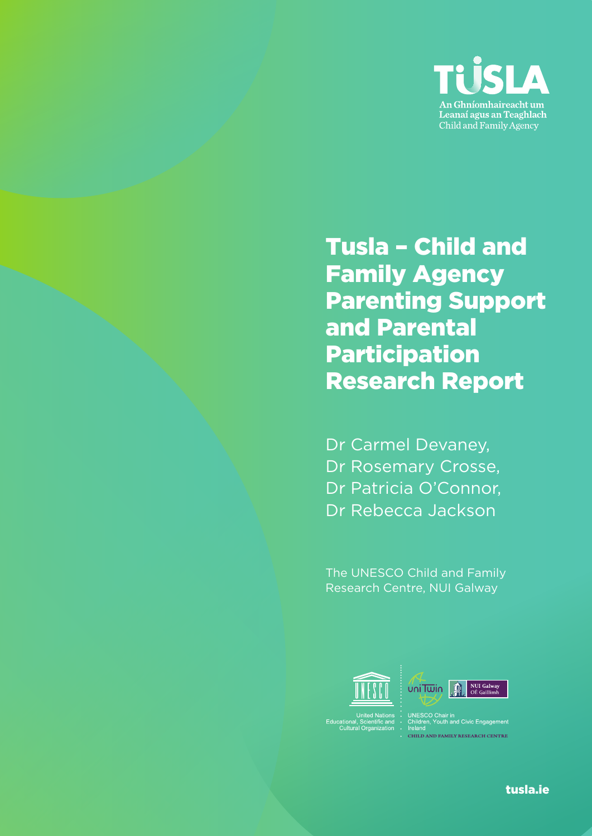

Tusla – Child and Family Agency Parenting Support and Parental Participation Research Report

Dr Carmel Devaney, Dr Rosemary Crosse, Dr Patricia O'Connor, Dr Rebecca Jackson

The UNESCO Child and Family Research Centre, NUI Galway



**CHILD AND FAMILY RESEARCH CENTRE** 

tusla.ie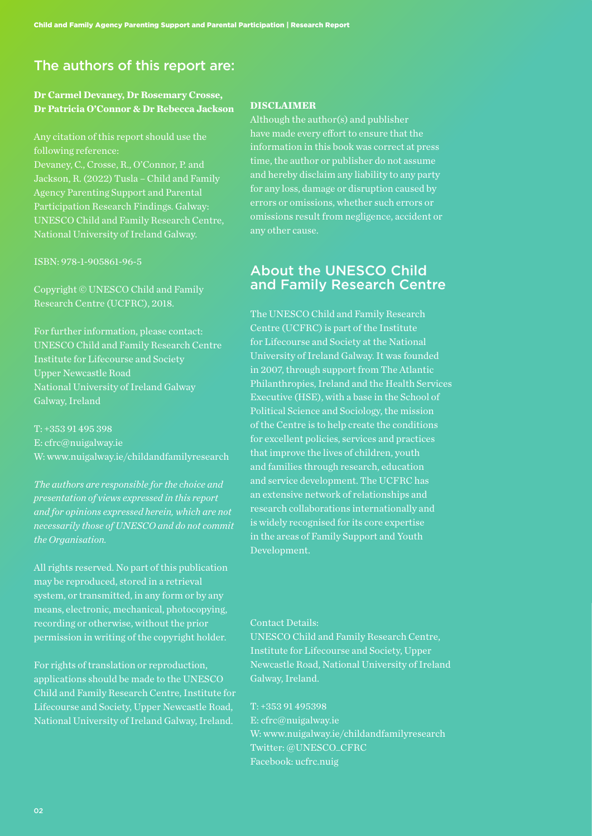## The authors of this report are:

## **Dr Carmel Devaney, Dr Rosemary Crosse, Dr Patricia O'Connor & Dr Rebecca Jackson**

Any citation of this report should use the following reference: Devaney, C., Crosse, R., O'Connor, P. and Jackson, R. (2022) Tusla – Child and Family Agency Parenting Support and Parental Participation Research Findings. Galway: UNESCO Child and Family Research Centre, National University of Ireland Galway.

ISBN: 978-1-905861-96-5

Copyright © UNESCO Child and Family Research Centre (UCFRC), 2018.

For further information, please contact: UNESCO Child and Family Research Centre Institute for Lifecourse and Society Upper Newcastle Road National University of Ireland Galway Galway, Ireland

T: +353 91 495 398 E: cfrc@nuigalway.ie W: www.nuigalway.ie/childandfamilyresearch

*The authors are responsible for the choice and presentation of views expressed in this report and for opinions expressed herein, which are not necessarily those of UNESCO and do not commit the Organisation.*

All rights reserved. No part of this publication may be reproduced, stored in a retrieval system, or transmitted, in any form or by any means, electronic, mechanical, photocopying, recording or otherwise, without the prior permission in writing of the copyright holder.

For rights of translation or reproduction, applications should be made to the UNESCO Child and Family Research Centre, Institute for Lifecourse and Society, Upper Newcastle Road, National University of Ireland Galway, Ireland.

#### **DISCLAIMER**

Although the author(s) and publisher have made every effort to ensure that the information in this book was correct at press time, the author or publisher do not assume and hereby disclaim any liability to any party for any loss, damage or disruption caused by errors or omissions, whether such errors or omissions result from negligence, accident or any other cause.

## About the UNESCO Child and Family Research Centre

The UNESCO Child and Family Research Centre (UCFRC) is part of the Institute for Lifecourse and Society at the National University of Ireland Galway. It was founded in 2007, through support from The Atlantic Philanthropies, Ireland and the Health Services Executive (HSE), with a base in the School of Political Science and Sociology, the mission of the Centre is to help create the conditions for excellent policies, services and practices that improve the lives of children, youth and families through research, education and service development. The UCFRC has an extensive network of relationships and research collaborations internationally and is widely recognised for its core expertise in the areas of Family Support and Youth Development.

#### Contact Details:

UNESCO Child and Family Research Centre, Institute for Lifecourse and Society, Upper Newcastle Road, National University of Ireland Galway, Ireland.

T: +353 91 495398 E: cfrc@nuigalway.ie W: www.nuigalway.ie/childandfamilyresearch Twitter: @UNESCO\_CFRC Facebook: ucfrc.nuig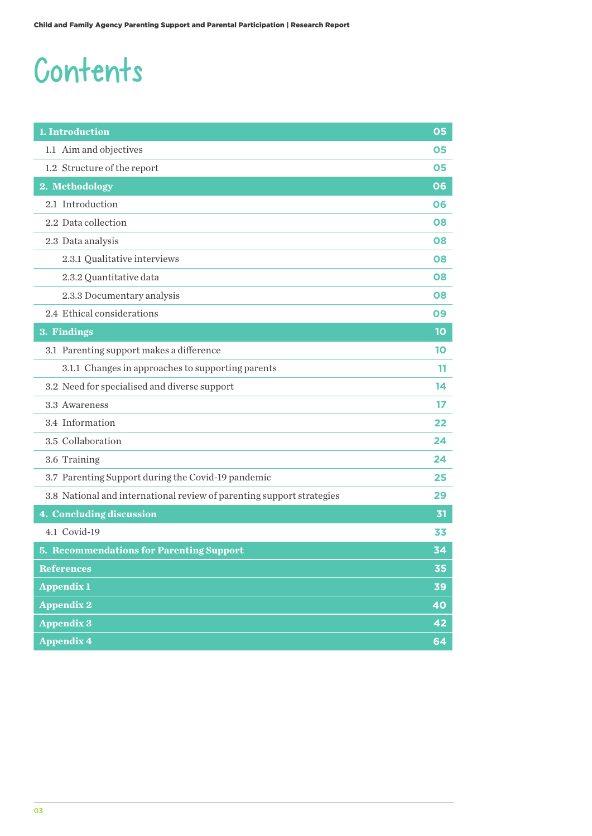## Contents

| 1. Introduction                                                       | 05 |
|-----------------------------------------------------------------------|----|
| 1.1 Aim and objectives                                                | 05 |
| 1.2 Structure of the report                                           | 05 |
| 2. Methodology                                                        | 06 |
| 2.1 Introduction                                                      | 06 |
| 2.2 Data collection                                                   | 08 |
| 2.3 Data analysis                                                     | 08 |
| 2.3.1 Qualitative interviews                                          | 08 |
| 2.3.2 Quantitative data                                               | 08 |
| 2.3.3 Documentary analysis                                            | 08 |
| 2.4 Ethical considerations                                            | 09 |
| 3. Findings                                                           | 10 |
| 3.1 Parenting support makes a difference                              | 10 |
| 3.1.1 Changes in approaches to supporting parents                     | 11 |
| 3.2 Need for specialised and diverse support                          | 14 |
| 3.3 Awareness                                                         | 17 |
| 3.4 Information                                                       | 22 |
| 3.5 Collaboration                                                     | 24 |
| 3.6 Training                                                          | 24 |
| 3.7 Parenting Support during the Covid-19 pandemic                    | 25 |
| 3.8 National and international review of parenting support strategies | 29 |
| 4. Concluding discussion                                              | 31 |
| 4.1 Covid-19                                                          | 33 |
| <b>5. Recommendations for Parenting Support</b>                       | 34 |
| <b>References</b>                                                     | 35 |
| <b>Appendix 1</b>                                                     | 39 |
| <b>Appendix 2</b>                                                     | 40 |
| <b>Appendix 3</b>                                                     | 42 |
| <b>Appendix 4</b>                                                     | 64 |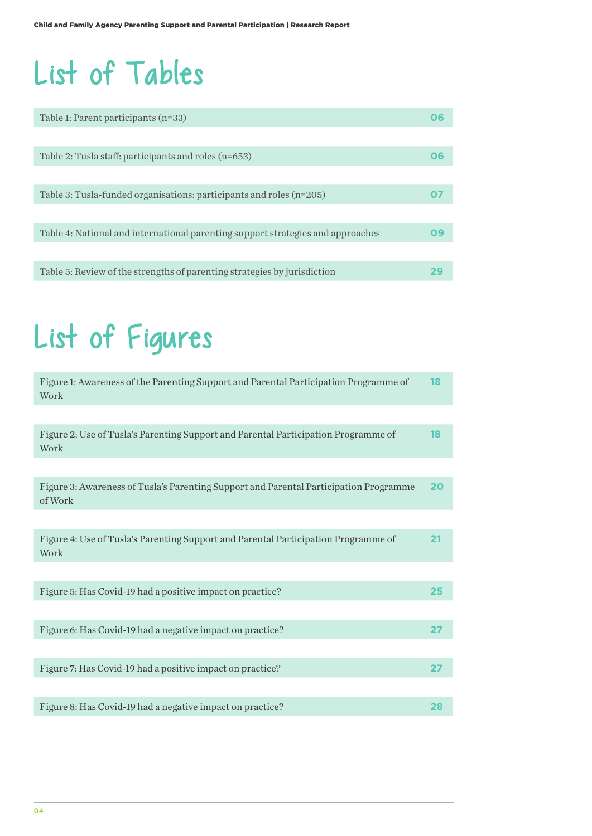## List of Tables

| Table 1: Parent participants (n=33)                                             |    |
|---------------------------------------------------------------------------------|----|
|                                                                                 |    |
| Table 2: Tusla staff: participants and roles (n=653)                            | 06 |
|                                                                                 |    |
| Table 3: Tusla-funded organisations: participants and roles $(n=205)$           |    |
|                                                                                 |    |
| Table 4: National and international parenting support strategies and approaches | Ωa |
|                                                                                 |    |
| Table 5: Review of the strengths of parenting strategies by jurisdiction        |    |

## List of Figures

| 18 |
|----|
|    |
| 18 |
|    |
| 20 |
|    |
| 21 |
|    |
| 25 |
|    |
| 27 |
|    |
| 27 |
|    |
| 28 |
|    |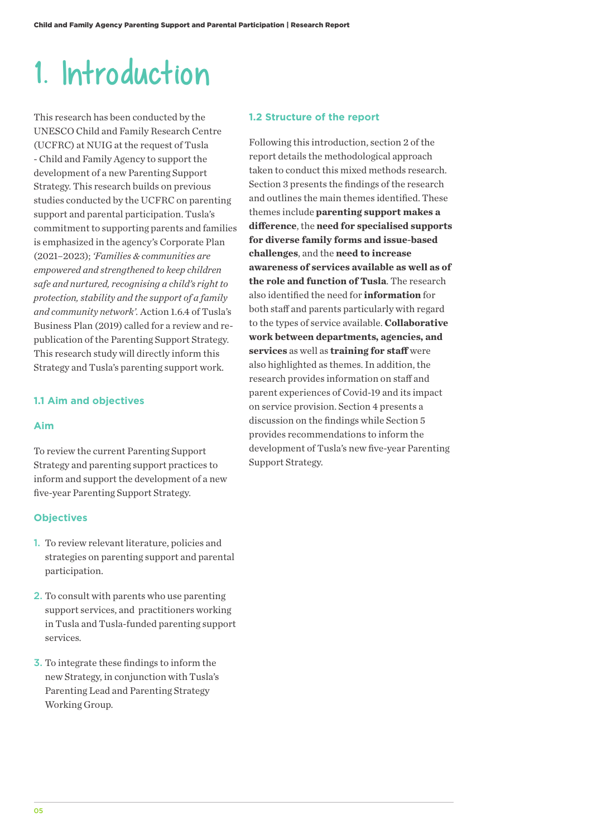## 1. Introduction

This research has been conducted by the UNESCO Child and Family Research Centre (UCFRC) at NUIG at the request of Tusla - Child and Family Agency to support the development of a new Parenting Support Strategy. This research builds on previous studies conducted by the UCFRC on parenting support and parental participation. Tusla's commitment to supporting parents and families is emphasized in the agency's Corporate Plan (2021–2023); *'Families & communities are empowered and strengthened to keep children safe and nurtured, recognising a child's right to protection, stability and the support of a family and community network'.* Action 1.6.4 of Tusla's Business Plan (2019) called for a review and republication of the Parenting Support Strategy. This research study will directly inform this Strategy and Tusla's parenting support work.

#### **1.1 Aim and objectives**

#### **Aim**

To review the current Parenting Support Strategy and parenting support practices to inform and support the development of a new five-year Parenting Support Strategy.

#### **Objectives**

- 1. To review relevant literature, policies and strategies on parenting support and parental participation.
- 2. To consult with parents who use parenting support services, and practitioners working in Tusla and Tusla-funded parenting support services.
- 3. To integrate these findings to inform the new Strategy, in conjunction with Tusla's Parenting Lead and Parenting Strategy Working Group.

#### **1.2 Structure of the report**

Following this introduction, section 2 of the report details the methodological approach taken to conduct this mixed methods research. Section 3 presents the findings of the research and outlines the main themes identified. These themes include **parenting support makes a difference**, the **need for specialised supports for diverse family forms and issue-based challenges**, and the **need to increase awareness of services available as well as of the role and function of Tusla**. The research also identified the need for **information** for both staff and parents particularly with regard to the types of service available. **Collaborative work between departments, agencies, and services** as well as **training for staff** were also highlighted as themes. In addition, the research provides information on staff and parent experiences of Covid-19 and its impact on service provision. Section 4 presents a discussion on the findings while Section 5 provides recommendations to inform the development of Tusla's new five-year Parenting Support Strategy.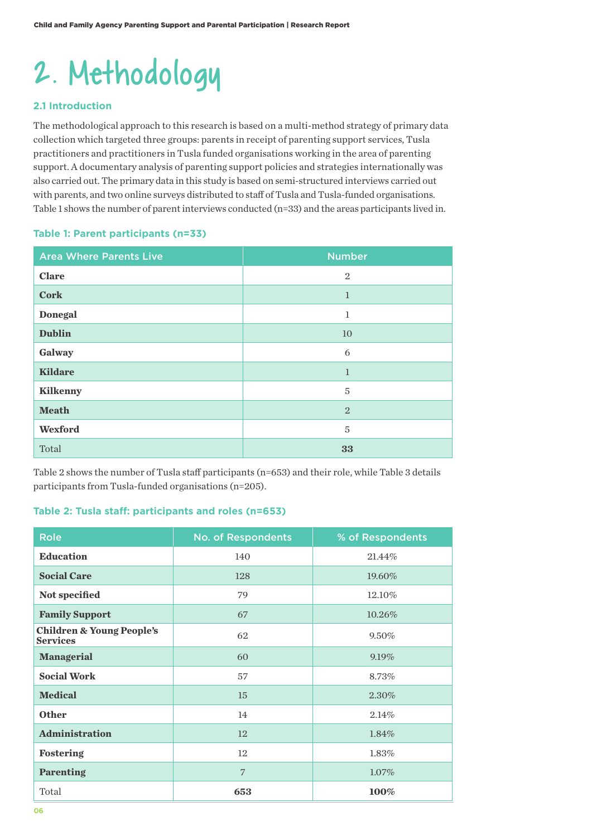# 2. Methodology

### **2.1 Introduction**

The methodological approach to this research is based on a multi-method strategy of primary data collection which targeted three groups: parents in receipt of parenting support services, Tusla practitioners and practitioners in Tusla funded organisations working in the area of parenting support. A documentary analysis of parenting support policies and strategies internationally was also carried out. The primary data in this study is based on semi-structured interviews carried out with parents, and two online surveys distributed to staff of Tusla and Tusla-funded organisations. Table 1 shows the number of parent interviews conducted (n=33) and the areas participants lived in.

#### **Table 1: Parent participants (n=33)**

| <b>Area Where Parents Live</b> | <b>Number</b>  |
|--------------------------------|----------------|
| <b>Clare</b>                   | $\overline{2}$ |
| <b>Cork</b>                    | $\mathbf{1}$   |
| <b>Donegal</b>                 | $\mathbf{1}$   |
| <b>Dublin</b>                  | 10             |
| Galway                         | 6              |
| <b>Kildare</b>                 | $\mathbf{1}$   |
| <b>Kilkenny</b>                | 5              |
| <b>Meath</b>                   | $\overline{2}$ |
| Wexford                        | 5              |
| Total                          | 33             |

Table 2 shows the number of Tusla staff participants (n=653) and their role, while Table 3 details participants from Tusla-funded organisations (n=205).

#### **Table 2: Tusla staff: participants and roles (n=653)**

| <b>Role</b>                                             | <b>No. of Respondents</b> | % of Respondents |
|---------------------------------------------------------|---------------------------|------------------|
| <b>Education</b>                                        | 140                       | 21.44%           |
| <b>Social Care</b>                                      | 128                       | 19.60%           |
| Not specified                                           | 79                        | 12.10%           |
| <b>Family Support</b>                                   | 67                        | 10.26%           |
| <b>Children &amp; Young People's</b><br><b>Services</b> | 62                        | 9.50%            |
| <b>Managerial</b>                                       | 60                        | 9.19%            |
| <b>Social Work</b>                                      | 57                        | 8.73%            |
| <b>Medical</b>                                          | 15                        | 2.30%            |
| <b>Other</b>                                            | 14                        | 2.14%            |
| <b>Administration</b>                                   | 12                        | 1.84%            |
| Fostering                                               | 12                        | 1.83%            |
| <b>Parenting</b>                                        | 7                         | $1.07\%$         |
| Total                                                   | 653                       | 100%             |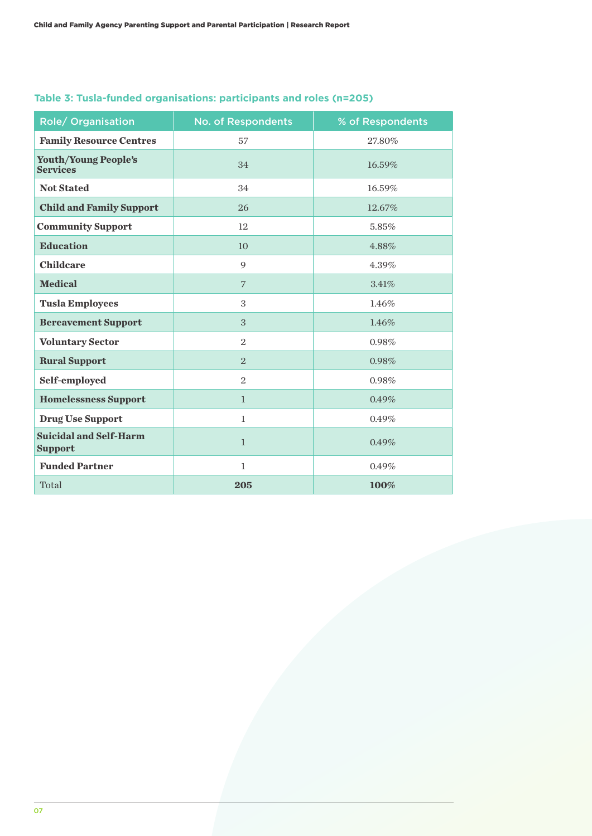| Role/ Organisation                              | <b>No. of Respondents</b> | % of Respondents |
|-------------------------------------------------|---------------------------|------------------|
| <b>Family Resource Centres</b>                  | 57                        | 27.80%           |
| <b>Youth/Young People's</b><br><b>Services</b>  | 34                        | 16.59%           |
| <b>Not Stated</b>                               | 34                        | 16.59%           |
| <b>Child and Family Support</b>                 | 26                        | 12.67%           |
| <b>Community Support</b>                        | 12                        | 5.85%            |
| <b>Education</b>                                | 10                        | 4.88%            |
| <b>Childcare</b>                                | 9                         | 4.39%            |
| <b>Medical</b>                                  | $\overline{7}$            | 3.41%            |
| <b>Tusla Employees</b>                          | 3                         | 1.46%            |
| <b>Bereavement Support</b>                      | 3                         | 1.46%            |
| <b>Voluntary Sector</b>                         | $\overline{2}$            | 0.98%            |
| <b>Rural Support</b>                            | $\overline{2}$            | 0.98%            |
| Self-employed                                   | $\overline{2}$            | 0.98%            |
| <b>Homelessness Support</b>                     | $\mathbf{1}$              | 0.49%            |
| <b>Drug Use Support</b>                         | $\mathbf{1}$              | 0.49%            |
| <b>Suicidal and Self-Harm</b><br><b>Support</b> | $\mathbf{1}$              | 0.49%            |
| <b>Funded Partner</b>                           | $\mathbf 1$               | 0.49%            |
| Total                                           | 205                       | 100%             |

## **Table 3: Tusla-funded organisations: participants and roles (n=205)**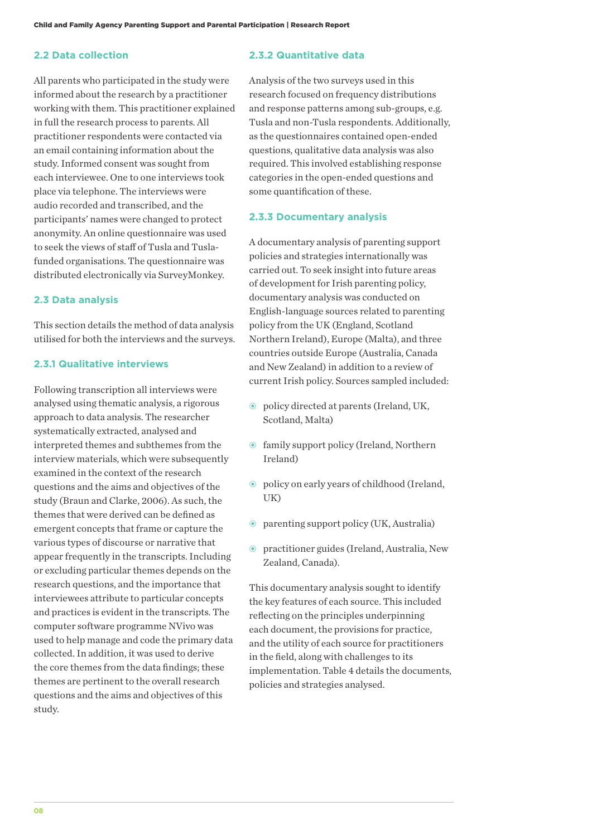#### **2.2 Data collection**

All parents who participated in the study were informed about the research by a practitioner working with them. This practitioner explained in full the research process to parents. All practitioner respondents were contacted via an email containing information about the study. Informed consent was sought from each interviewee. One to one interviews took place via telephone. The interviews were audio recorded and transcribed, and the participants' names were changed to protect anonymity. An online questionnaire was used to seek the views of staff of Tusla and Tuslafunded organisations. The questionnaire was distributed electronically via SurveyMonkey.

#### **2.3 Data analysis**

This section details the method of data analysis utilised for both the interviews and the surveys.

#### **2.3.1 Qualitative interviews**

Following transcription all interviews were analysed using thematic analysis, a rigorous approach to data analysis. The researcher systematically extracted, analysed and interpreted themes and subthemes from the interview materials, which were subsequently examined in the context of the research questions and the aims and objectives of the study (Braun and Clarke, 2006). As such, the themes that were derived can be defined as emergent concepts that frame or capture the various types of discourse or narrative that appear frequently in the transcripts. Including or excluding particular themes depends on the research questions, and the importance that interviewees attribute to particular concepts and practices is evident in the transcripts. The computer software programme NVivo was used to help manage and code the primary data collected. In addition, it was used to derive the core themes from the data findings; these themes are pertinent to the overall research questions and the aims and objectives of this study.

#### **2.3.2 Quantitative data**

Analysis of the two surveys used in this research focused on frequency distributions and response patterns among sub-groups, e.g. Tusla and non-Tusla respondents. Additionally, as the questionnaires contained open-ended questions, qualitative data analysis was also required. This involved establishing response categories in the open-ended questions and some quantification of these.

#### **2.3.3 Documentary analysis**

A documentary analysis of parenting support policies and strategies internationally was carried out. To seek insight into future areas of development for Irish parenting policy, documentary analysis was conducted on English-language sources related to parenting policy from the UK (England, Scotland Northern Ireland), Europe (Malta), and three countries outside Europe (Australia, Canada and New Zealand) in addition to a review of current Irish policy. Sources sampled included:

- policy directed at parents (Ireland, UK, Scotland, Malta)
- family support policy (Ireland, Northern Ireland)
- policy on early years of childhood (Ireland, UK)
- parenting support policy (UK, Australia)
- practitioner guides (Ireland, Australia, New Zealand, Canada).

This documentary analysis sought to identify the key features of each source. This included reflecting on the principles underpinning each document, the provisions for practice, and the utility of each source for practitioners in the field, along with challenges to its implementation. Table 4 details the documents, policies and strategies analysed.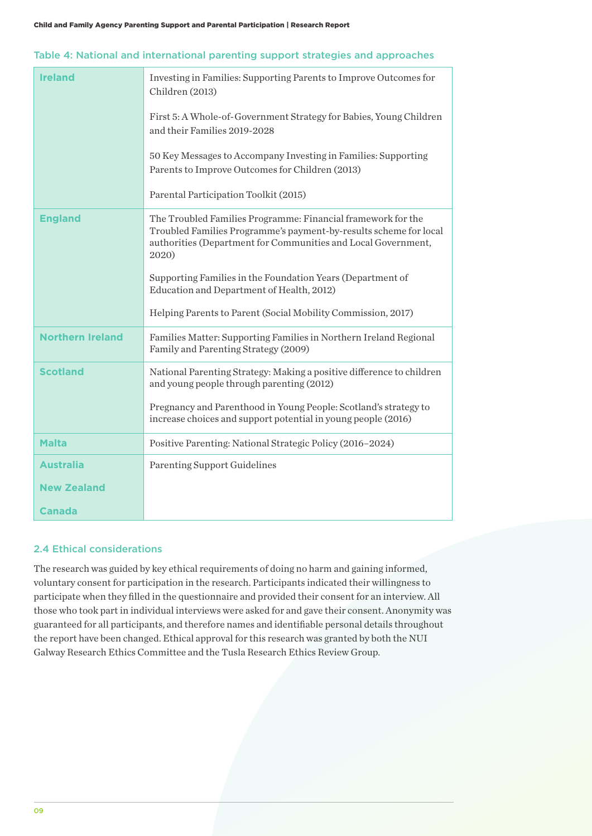| <b>Ireland</b>          | Investing in Families: Supporting Parents to Improve Outcomes for<br>Children (2013)<br>First 5: A Whole-of-Government Strategy for Babies, Young Children<br>and their Families 2019-2028                  |
|-------------------------|-------------------------------------------------------------------------------------------------------------------------------------------------------------------------------------------------------------|
|                         | 50 Key Messages to Accompany Investing in Families: Supporting<br>Parents to Improve Outcomes for Children (2013)                                                                                           |
|                         | Parental Participation Toolkit (2015)                                                                                                                                                                       |
| <b>England</b>          | The Troubled Families Programme: Financial framework for the<br>Troubled Families Programme's payment-by-results scheme for local<br>authorities (Department for Communities and Local Government,<br>2020) |
|                         | Supporting Families in the Foundation Years (Department of<br>Education and Department of Health, 2012)                                                                                                     |
|                         | Helping Parents to Parent (Social Mobility Commission, 2017)                                                                                                                                                |
| <b>Northern Ireland</b> | Families Matter: Supporting Families in Northern Ireland Regional<br>Family and Parenting Strategy (2009)                                                                                                   |
| <b>Scotland</b>         | National Parenting Strategy: Making a positive difference to children<br>and young people through parenting (2012)                                                                                          |
|                         | Pregnancy and Parenthood in Young People: Scotland's strategy to<br>increase choices and support potential in young people (2016)                                                                           |
| <b>Malta</b>            | Positive Parenting: National Strategic Policy (2016-2024)                                                                                                                                                   |
| <b>Australia</b>        | <b>Parenting Support Guidelines</b>                                                                                                                                                                         |
| <b>New Zealand</b>      |                                                                                                                                                                                                             |
| <b>Canada</b>           |                                                                                                                                                                                                             |

#### 2.4 Ethical considerations

The research was guided by key ethical requirements of doing no harm and gaining informed, voluntary consent for participation in the research. Participants indicated their willingness to participate when they filled in the questionnaire and provided their consent for an interview. All those who took part in individual interviews were asked for and gave their consent. Anonymity was guaranteed for all participants, and therefore names and identifiable personal details throughout the report have been changed. Ethical approval for this research was granted by both the NUI Galway Research Ethics Committee and the Tusla Research Ethics Review Group.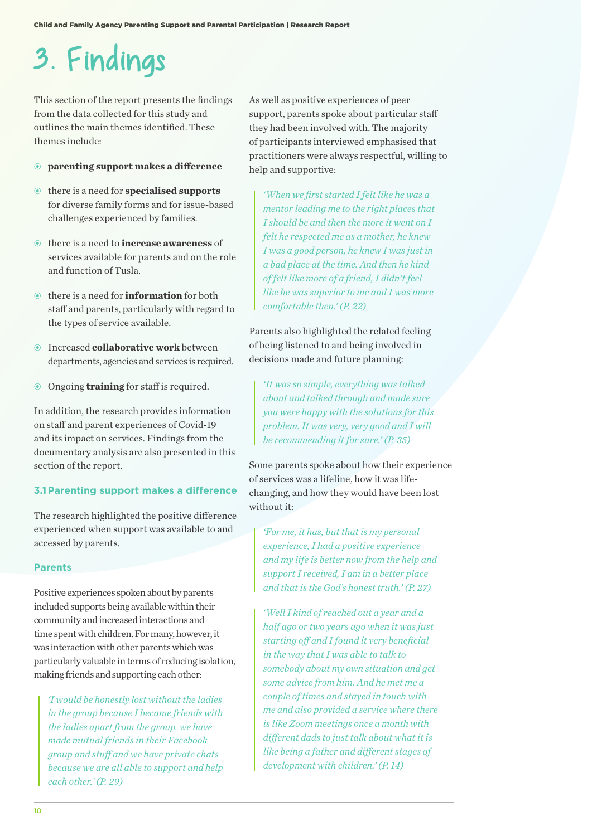## 3. Findings

This section of the report presents the findings from the data collected for this study and outlines the main themes identified. These themes include:

#### • **parenting support makes a difference**

- there is a need for **specialised supports** for diverse family forms and for issue-based challenges experienced by families.
- there is a need to **increase awareness** of services available for parents and on the role and function of Tusla.
- there is a need for **information** for both staff and parents, particularly with regard to the types of service available.
- Increased **collaborative work** between departments, agencies and services is required.
- Ongoing **training** for staff is required.

In addition, the research provides information on staff and parent experiences of Covid-19 and its impact on services. Findings from the documentary analysis are also presented in this section of the report.

#### **3.1Parenting support makes a difference**

The research highlighted the positive difference experienced when support was available to and accessed by parents.

#### **Parents**

Positive experiences spoken about by parents included supports being available within their community and increased interactions and time spent with children. For many, however, it was interaction with other parents which was particularly valuable in terms of reducing isolation, making friends and supporting each other:

*'I would be honestly lost without the ladies in the group because I became friends with the ladies apart from the group, we have made mutual friends in their Facebook group and stuff and we have private chats because we are all able to support and help each other.' (P. 29)*

As well as positive experiences of peer support, parents spoke about particular staff they had been involved with. The majority of participants interviewed emphasised that practitioners were always respectful, willing to help and supportive:

*'When we first started I felt like he was a mentor leading me to the right places that I should be and then the more it went on I felt he respected me as a mother, he knew I was a good person, he knew I was just in a bad place at the time. And then he kind of felt like more of a friend, I didn't feel like he was superior to me and I was more comfortable then.' (P. 22)*

Parents also highlighted the related feeling of being listened to and being involved in decisions made and future planning:

*'It was so simple, everything was talked about and talked through and made sure you were happy with the solutions for this problem. It was very, very good and I will be recommending it for sure.' (P. 35)* 

Some parents spoke about how their experience of services was a lifeline, how it was lifechanging, and how they would have been lost without it:

*'For me, it has, but that is my personal experience, I had a positive experience and my life is better now from the help and support I received, I am in a better place and that is the God's honest truth.' (P. 27)*

*'Well I kind of reached out a year and a half ago or two years ago when it was just starting off and I found it very beneficial in the way that I was able to talk to somebody about my own situation and get some advice from him. And he met me a couple of times and stayed in touch with me and also provided a service where there is like Zoom meetings once a month with different dads to just talk about what it is like being a father and different stages of development with children.' (P. 14)*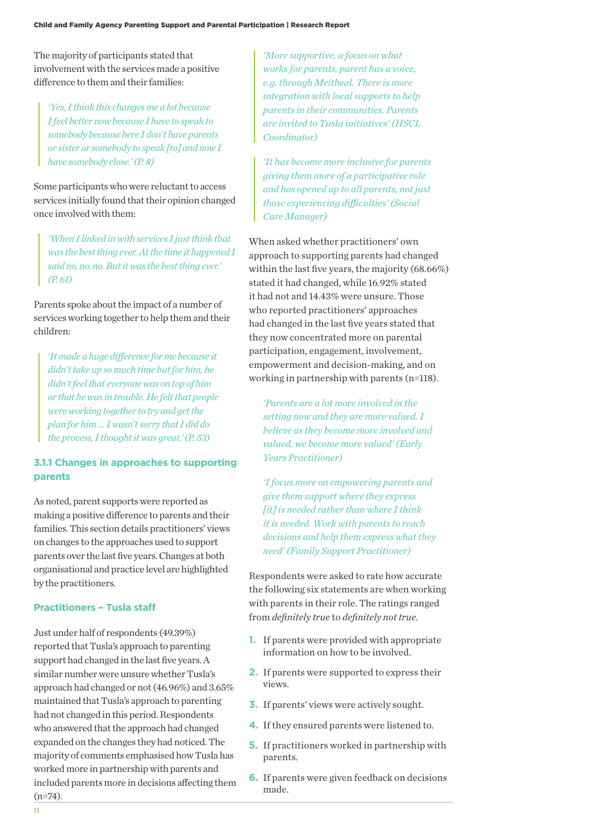The majority of participants stated that involvement with the services made a positive difference to them and their families:

*'Yes, I think this changes me a lot because I feel better now because I have to speak to somebody because here I don't have parents or sister or somebody to speak [to] and now I have somebody close.' (P. 8)*

Some participants who were reluctant to access services initially found that their opinion changed once involved with them:

*'When I linked in with services I just think that was the best thing ever. At the time it happened I said no, no, no. But it was the best thing ever.' (P. 61)*

Parents spoke about the impact of a number of services working together to help them and their children:

*'It made a huge difference for me because it didn't take up so much time but for him, he didn't feel that everyone was on top of him or that he was in trouble. He felt that people were working together to try and get the plan for him … I wasn't sorry that I did do the process, I thought it was great.' (P. 53)*

## **3.1.1 Changes in approaches to supporting parents**

As noted, parent supports were reported as making a positive difference to parents and their families. This section details practitioners' views on changes to the approaches used to support parents over the last five years. Changes at both organisational and practice level are highlighted by the practitioners.

#### **Practitioners – Tusla staff**

Just under half of respondents (49.39%) reported that Tusla's approach to parenting support had changed in the last five years. A similar number were unsure whether Tusla's approach had changed or not (46.96%) and 3.65% maintained that Tusla's approach to parenting had not changed in this period. Respondents who answered that the approach had changed expanded on the changes they had noticed. The majority of comments emphasised how Tusla has worked more in partnership with parents and included parents more in decisions affecting them (n=74).

*'More supportive, a focus on what works for parents, parent has a voice, e.g. through Meitheal. There is more integration with local supports to help parents in their communities. Parents are invited to Tusla initiatives' (HSCL Coordinator)*

*'It has become more inclusive for parents giving them more of a participative role and has opened up to all parents, not just those experiencing difficulties' (Social Care Manager)*

When asked whether practitioners' own approach to supporting parents had changed within the last five years, the majority (68.66%) stated it had changed, while 16.92% stated it had not and 14.43% were unsure. Those who reported practitioners' approaches had changed in the last five years stated that they now concentrated more on parental participation, engagement, involvement, empowerment and decision-making, and on working in partnership with parents (n=118).

*'Parents are a lot more involved in the setting now and they are more valued. I believe as they become more involved and valued, we become more valued' (Early Years Practitioner)*

*'I focus more on empowering parents and give them support where they express [it] is needed rather than where I think it is needed. Work with parents to reach decisions and help them express what they need' (Family Support Practitioner)*

Respondents were asked to rate how accurate the following six statements are when working with parents in their role. The ratings ranged from *definitely true* to *definitely not true*.

- **1.** If parents were provided with appropriate information on how to be involved.
- **2.** If parents were supported to express their views.
- **3.** If parents' views were actively sought.
- **4.** If they ensured parents were listened to.
- **5.** If practitioners worked in partnership with parents.
- **6.** If parents were given feedback on decisions made.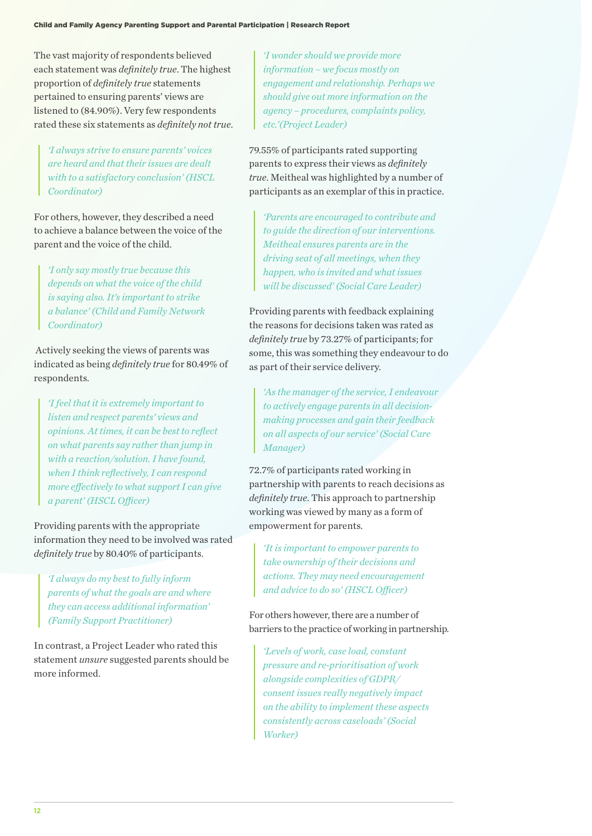The vast majority of respondents believed each statement was *definitely true*. The highest proportion of *definitely true* statements pertained to ensuring parents' views are listened to (84.90%). Very few respondents rated these six statements as *definitely not true*.

*'I always strive to ensure parents' voices are heard and that their issues are dealt with to a satisfactory conclusion' (HSCL Coordinator)*

For others, however, they described a need to achieve a balance between the voice of the parent and the voice of the child.

*'I only say mostly true because this depends on what the voice of the child is saying also. It's important to strike a balance' (Child and Family Network Coordinator)*

 Actively seeking the views of parents was indicated as being *definitely true* for 80.49% of respondents.

*'I feel that it is extremely important to listen and respect parents' views and opinions. At times, it can be best to reflect on what parents say rather than jump in with a reaction/solution. I have found, when I think reflectively, I can respond more effectively to what support I can give a parent' (HSCL Officer)*

Providing parents with the appropriate information they need to be involved was rated *definitely true* by 80.40% of participants.

*'I always do my best to fully inform parents of what the goals are and where they can access additional information' (Family Support Practitioner)*

In contrast, a Project Leader who rated this statement *unsure* suggested parents should be more informed.

*'I wonder should we provide more information – we focus mostly on engagement and relationship. Perhaps we should give out more information on the agency – procedures, complaints policy, etc.'(Project Leader)*

79.55% of participants rated supporting parents to express their views as *definitely true*. Meitheal was highlighted by a number of participants as an exemplar of this in practice.

*'Parents are encouraged to contribute and to guide the direction of our interventions. Meitheal ensures parents are in the driving seat of all meetings, when they happen, who is invited and what issues will be discussed' (Social Care Leader)*

Providing parents with feedback explaining the reasons for decisions taken was rated as *definitely true* by 73.27% of participants; for some, this was something they endeavour to do as part of their service delivery.

*'As the manager of the service, I endeavour to actively engage parents in all decisionmaking processes and gain their feedback on all aspects of our service' (Social Care Manager)*

72.7% of participants rated working in partnership with parents to reach decisions as *definitely true*. This approach to partnership working was viewed by many as a form of empowerment for parents.

*'It is important to empower parents to take ownership of their decisions and actions. They may need encouragement and advice to do so' (HSCL Officer)*

For others however, there are a number of barriers to the practice of working in partnership.

*'Levels of work, case load, constant pressure and re-prioritisation of work alongside complexities of GDPR/ consent issues really negatively impact on the ability to implement these aspects consistently across caseloads' (Social Worker)*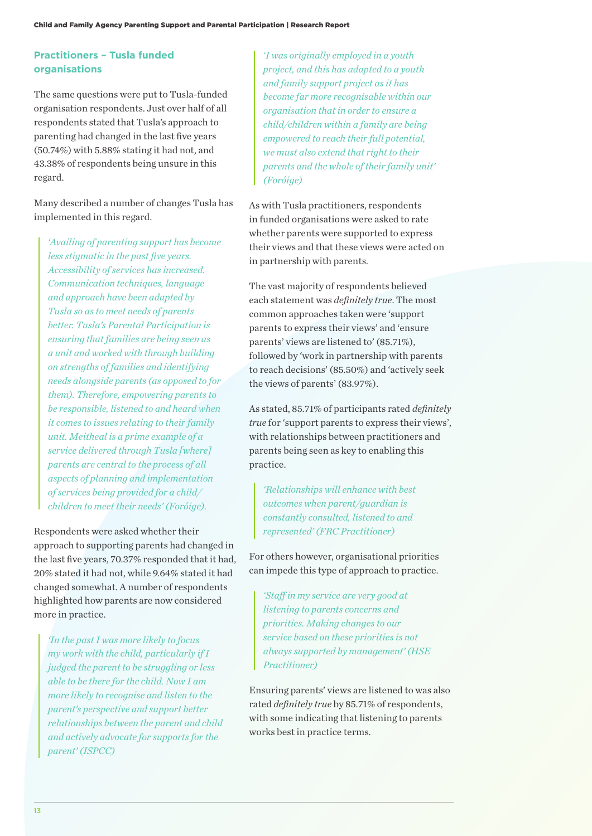## **Practitioners – Tusla funded organisations**

The same questions were put to Tusla-funded organisation respondents. Just over half of all respondents stated that Tusla's approach to parenting had changed in the last five years (50.74%) with 5.88% stating it had not, and 43.38% of respondents being unsure in this regard.

Many described a number of changes Tusla has implemented in this regard.

*'Availing of parenting support has become less stigmatic in the past five years. Accessibility of services has increased. Communication techniques, language and approach have been adapted by Tusla so as to meet needs of parents better. Tusla's Parental Participation is ensuring that families are being seen as a unit and worked with through building on strengths of families and identifying needs alongside parents (as opposed to for them). Therefore, empowering parents to be responsible, listened to and heard when it comes to issues relating to their family unit. Meitheal is a prime example of a service delivered through Tusla [where] parents are central to the process of all aspects of planning and implementation of services being provided for a child/ children to meet their needs' (Foróige).*

Respondents were asked whether their approach to supporting parents had changed in the last five years, 70.37% responded that it had, 20% stated it had not, while 9.64% stated it had changed somewhat. A number of respondents highlighted how parents are now considered more in practice.

*'In the past I was more likely to focus my work with the child, particularly if I judged the parent to be struggling or less able to be there for the child. Now I am more likely to recognise and listen to the parent's perspective and support better relationships between the parent and child and actively advocate for supports for the parent' (ISPCC)*

*'I was originally employed in a youth project, and this has adapted to a youth and family support project as it has become far more recognisable within our organisation that in order to ensure a child/children within a family are being empowered to reach their full potential, we must also extend that right to their parents and the whole of their family unit' (Foróige)*

As with Tusla practitioners, respondents in funded organisations were asked to rate whether parents were supported to express their views and that these views were acted on in partnership with parents.

The vast majority of respondents believed each statement was *definitely true*. The most common approaches taken were 'support parents to express their views' and 'ensure parents' views are listened to' (85.71%), followed by 'work in partnership with parents to reach decisions' (85.50%) and 'actively seek the views of parents' (83.97%).

As stated, 85.71% of participants rated *definitely true* for 'support parents to express their views', with relationships between practitioners and parents being seen as key to enabling this practice.

*'Relationships will enhance with best outcomes when parent/guardian is constantly consulted, listened to and represented' (FRC Practitioner)*

For others however, organisational priorities can impede this type of approach to practice.

*'Staff in my service are very good at listening to parents concerns and priorities. Making changes to our service based on these priorities is not always supported by management' (HSE Practitioner)*

Ensuring parents' views are listened to was also rated *definitely true* by 85.71% of respondents, with some indicating that listening to parents works best in practice terms.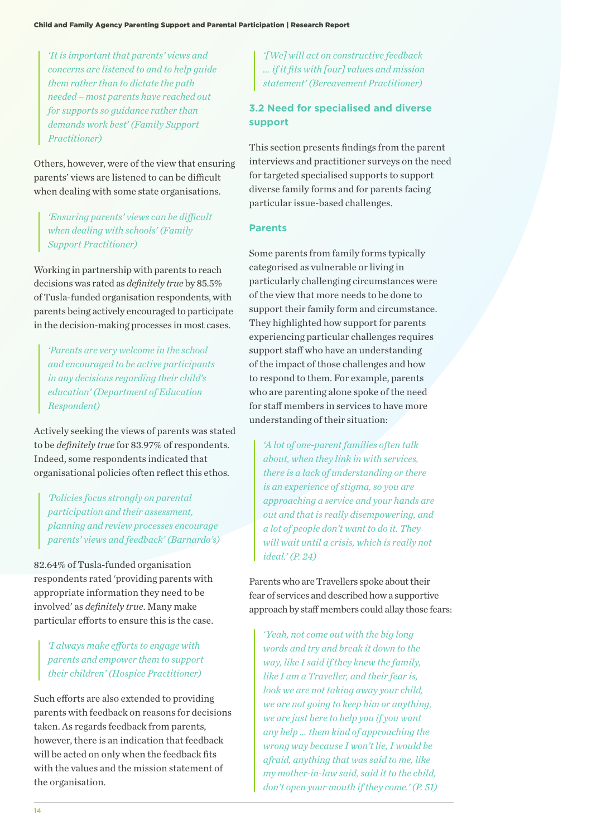*'It is important that parents' views and concerns are listened to and to help guide them rather than to dictate the path needed – most parents have reached out for supports so guidance rather than demands work best' (Family Support Practitioner)*

Others, however, were of the view that ensuring parents' views are listened to can be difficult when dealing with some state organisations.

*'Ensuring parents' views can be difficult when dealing with schools' (Family Support Practitioner)*

Working in partnership with parents to reach decisions was rated as *definitely true* by 85.5% of Tusla-funded organisation respondents, with parents being actively encouraged to participate in the decision-making processes in most cases.

*'Parents are very welcome in the school and encouraged to be active participants in any decisions regarding their child's education' (Department of Education Respondent)*

Actively seeking the views of parents was stated to be *definitely true* for 83.97% of respondents. Indeed, some respondents indicated that organisational policies often reflect this ethos.

*'Policies focus strongly on parental participation and their assessment, planning and review processes encourage parents' views and feedback' (Barnardo's)*

82.64% of Tusla-funded organisation respondents rated 'providing parents with appropriate information they need to be involved' as *definitely true*. Many make particular efforts to ensure this is the case.

*'I always make efforts to engage with parents and empower them to support their children' (Hospice Practitioner)*

Such efforts are also extended to providing parents with feedback on reasons for decisions taken. As regards feedback from parents, however, there is an indication that feedback will be acted on only when the feedback fits with the values and the mission statement of the organisation.

*'[We] will act on constructive feedback … if it fits with [our] values and mission statement' (Bereavement Practitioner)*

## **3.2 Need for specialised and diverse support**

This section presents findings from the parent interviews and practitioner surveys on the need for targeted specialised supports to support diverse family forms and for parents facing particular issue-based challenges.

#### **Parents**

Some parents from family forms typically categorised as vulnerable or living in particularly challenging circumstances were of the view that more needs to be done to support their family form and circumstance. They highlighted how support for parents experiencing particular challenges requires support staff who have an understanding of the impact of those challenges and how to respond to them. For example, parents who are parenting alone spoke of the need for staff members in services to have more understanding of their situation:

*'A lot of one-parent families often talk about, when they link in with services, there is a lack of understanding or there is an experience of stigma, so you are approaching a service and your hands are out and that is really disempowering, and a lot of people don't want to do it. They will wait until a crisis, which is really not ideal.' (P. 24)*

Parents who are Travellers spoke about their fear of services and described how a supportive approach by staff members could allay those fears:

*'Yeah, not come out with the big long words and try and break it down to the way, like I said if they knew the family, like I am a Traveller, and their fear is, look we are not taking away your child, we are not going to keep him or anything, we are just here to help you if you want any help … them kind of approaching the wrong way because I won't lie, I would be afraid, anything that was said to me, like my mother-in-law said, said it to the child, don't open your mouth if they come.' (P. 51)*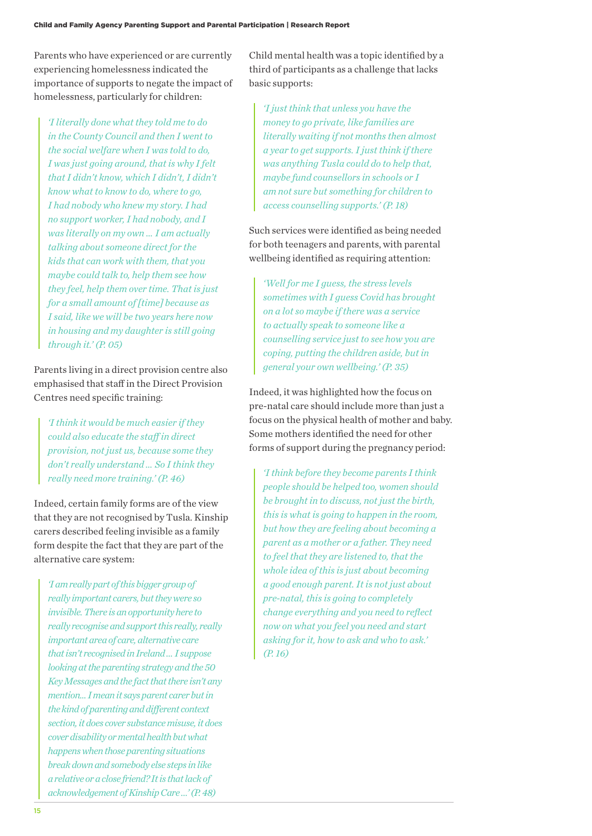Parents who have experienced or are currently experiencing homelessness indicated the importance of supports to negate the impact of homelessness, particularly for children:

*'I literally done what they told me to do in the County Council and then I went to the social welfare when I was told to do, I was just going around, that is why I felt that I didn't know, which I didn't, I didn't know what to know to do, where to go, I had nobody who knew my story. I had no support worker, I had nobody, and I was literally on my own … I am actually talking about someone direct for the kids that can work with them, that you maybe could talk to, help them see how they feel, help them over time. That is just for a small amount of [time] because as I said, like we will be two years here now in housing and my daughter is still going through it.' (P. 05)*

Parents living in a direct provision centre also emphasised that staff in the Direct Provision Centres need specific training:

*'I think it would be much easier if they could also educate the staff in direct provision, not just us, because some they don't really understand … So I think they really need more training.' (P. 46)*

Indeed, certain family forms are of the view that they are not recognised by Tusla. Kinship carers described feeling invisible as a family form despite the fact that they are part of the alternative care system:

*'I am really part of this bigger group of really important carers, but they were so invisible. There is an opportunity here to really recognise and support this really, really important area of care, alternative care that isn't recognised in Ireland … I suppose looking at the parenting strategy and the 50 Key Messages and the fact that there isn't any mention... I mean it says parent carer but in the kind of parenting and different context section, it does cover substance misuse, it does cover disability or mental health but what happens when those parenting situations break down and somebody else steps in like a relative or a close friend? It is that lack of acknowledgement of Kinship Care …' (P. 48)*

Child mental health was a topic identified by a third of participants as a challenge that lacks basic supports:

*'I just think that unless you have the money to go private, like families are literally waiting if not months then almost a year to get supports. I just think if there was anything Tusla could do to help that, maybe fund counsellors in schools or I am not sure but something for children to access counselling supports.' (P. 18)*

Such services were identified as being needed for both teenagers and parents, with parental wellbeing identified as requiring attention:

*'Well for me I guess, the stress levels sometimes with I guess Covid has brought on a lot so maybe if there was a service to actually speak to someone like a counselling service just to see how you are coping, putting the children aside, but in general your own wellbeing.' (P. 35)*

Indeed, it was highlighted how the focus on pre-natal care should include more than just a focus on the physical health of mother and baby. Some mothers identified the need for other forms of support during the pregnancy period:

*'I think before they become parents I think people should be helped too, women should be brought in to discuss, not just the birth, this is what is going to happen in the room, but how they are feeling about becoming a parent as a mother or a father. They need to feel that they are listened to, that the whole idea of this is just about becoming a good enough parent. It is not just about pre-natal, this is going to completely change everything and you need to reflect now on what you feel you need and start asking for it, how to ask and who to ask.' (P. 16)*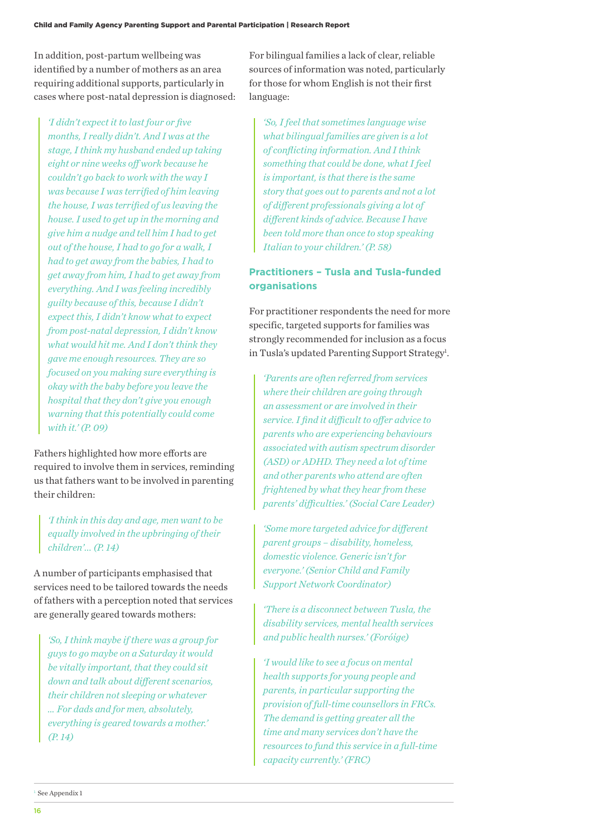In addition, post-partum wellbeing was identified by a number of mothers as an area requiring additional supports, particularly in cases where post-natal depression is diagnosed:

*'I didn't expect it to last four or five months, I really didn't. And I was at the stage, I think my husband ended up taking eight or nine weeks off work because he couldn't go back to work with the way I was because I was terrified of him leaving the house, I was terrified of us leaving the house. I used to get up in the morning and give him a nudge and tell him I had to get out of the house, I had to go for a walk, I had to get away from the babies, I had to get away from him, I had to get away from everything. And I was feeling incredibly guilty because of this, because I didn't expect this, I didn't know what to expect from post-natal depression, I didn't know what would hit me. And I don't think they gave me enough resources. They are so focused on you making sure everything is okay with the baby before you leave the hospital that they don't give you enough warning that this potentially could come with it.' (P. 09)*

Fathers highlighted how more efforts are required to involve them in services, reminding us that fathers want to be involved in parenting their children:

*'I think in this day and age, men want to be equally involved in the upbringing of their children'... (P. 14)*

A number of participants emphasised that services need to be tailored towards the needs of fathers with a perception noted that services are generally geared towards mothers:

*'So, I think maybe if there was a group for guys to go maybe on a Saturday it would be vitally important, that they could sit down and talk about different scenarios, their children not sleeping or whatever … For dads and for men, absolutely, everything is geared towards a mother.' (P. 14)*

For bilingual families a lack of clear, reliable sources of information was noted, particularly for those for whom English is not their first language:

*'So, I feel that sometimes language wise what bilingual families are given is a lot of conflicting information. And I think something that could be done, what I feel is important, is that there is the same story that goes out to parents and not a lot of different professionals giving a lot of different kinds of advice. Because I have been told more than once to stop speaking Italian to your children.' (P. 58)*

## **Practitioners – Tusla and Tusla-funded organisations**

For practitioner respondents the need for more specific, targeted supports for families was strongly recommended for inclusion as a focus in Tusla's updated Parenting Support Strategy<sup>1</sup>.

*'Parents are often referred from services where their children are going through an assessment or are involved in their service. I find it difficult to offer advice to parents who are experiencing behaviours associated with autism spectrum disorder (ASD) or ADHD. They need a lot of time and other parents who attend are often frightened by what they hear from these parents' difficulties.' (Social Care Leader)*

*'Some more targeted advice for different parent groups – disability, homeless, domestic violence. Generic isn't for everyone.' (Senior Child and Family Support Network Coordinator)*

*'There is a disconnect between Tusla, the disability services, mental health services and public health nurses.' (Foróige)*

*'I would like to see a focus on mental health supports for young people and parents, in particular supporting the provision of full-time counsellors in FRCs. The demand is getting greater all the time and many services don't have the resources to fund this service in a full-time capacity currently.' (FRC)*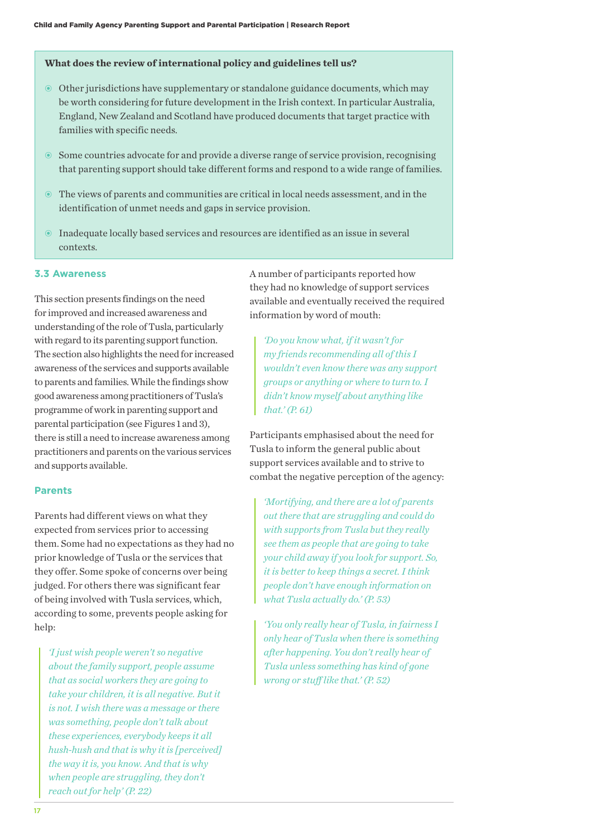#### **What does the review of international policy and guidelines tell us?**

- Other jurisdictions have supplementary or standalone guidance documents, which may be worth considering for future development in the Irish context. In particular Australia, England, New Zealand and Scotland have produced documents that target practice with families with specific needs.
- Some countries advocate for and provide a diverse range of service provision, recognising that parenting support should take different forms and respond to a wide range of families.
- The views of parents and communities are critical in local needs assessment, and in the identification of unmet needs and gaps in service provision.
- Inadequate locally based services and resources are identified as an issue in several contexts.

#### **3.3 Awareness**

This section presents findings on the need for improved and increased awareness and understanding of the role of Tusla, particularly with regard to its parenting support function. The section also highlights the need for increased awareness of the services and supports available to parents and families. While the findings show good awareness among practitioners of Tusla's programme of work in parenting support and parental participation (see Figures 1 and 3), there is still a need to increase awareness among practitioners and parents on the various services and supports available.

#### **Parents**

Parents had different views on what they expected from services prior to accessing them. Some had no expectations as they had no prior knowledge of Tusla or the services that they offer. Some spoke of concerns over being judged. For others there was significant fear of being involved with Tusla services, which, according to some, prevents people asking for help:

*'I just wish people weren't so negative about the family support, people assume that as social workers they are going to take your children, it is all negative. But it is not. I wish there was a message or there was something, people don't talk about these experiences, everybody keeps it all hush-hush and that is why it is [perceived] the way it is, you know. And that is why when people are struggling, they don't reach out for help' (P. 22)*

A number of participants reported how they had no knowledge of support services available and eventually received the required information by word of mouth:

*'Do you know what, if it wasn't for my friends recommending all of this I wouldn't even know there was any support groups or anything or where to turn to. I didn't know myself about anything like that.' (P. 61)*

Participants emphasised about the need for Tusla to inform the general public about support services available and to strive to combat the negative perception of the agency:

*'Mortifying, and there are a lot of parents out there that are struggling and could do with supports from Tusla but they really see them as people that are going to take your child away if you look for support. So, it is better to keep things a secret. I think people don't have enough information on what Tusla actually do.' (P. 53)*

*'You only really hear of Tusla, in fairness I only hear of Tusla when there is something after happening. You don't really hear of Tusla unless something has kind of gone wrong or stuff like that.' (P. 52)*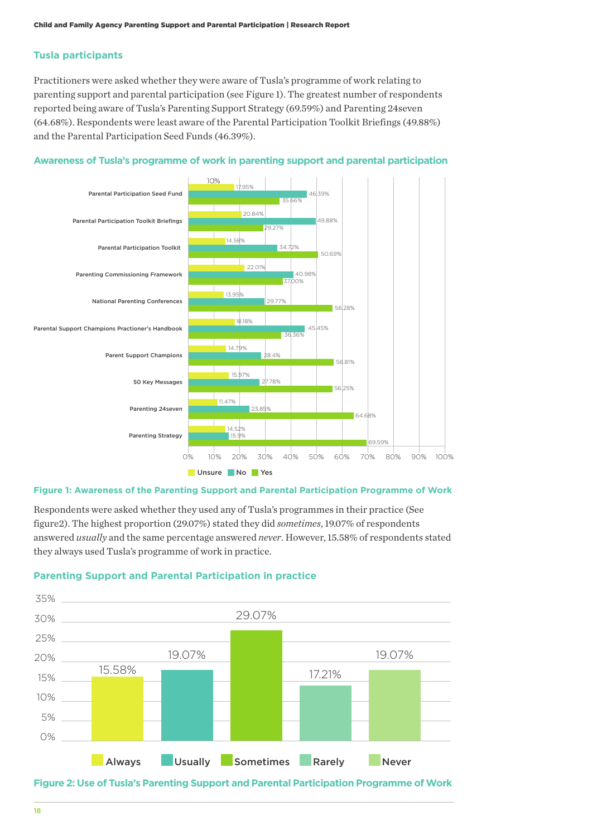#### **Tusla participants**

Practitioners were asked whether they were aware of Tusla's programme of work relating to parenting support and parental participation (see Figure 1). The greatest number of respondents reported being aware of Tusla's Parenting Support Strategy (69.59%) and Parenting 24seven (64.68%). Respondents were least aware of the Parental Participation Toolkit Briefings (49.88%) and the Parental Participation Seed Funds (46.39%).



#### **Awareness of Tusla's programme of work in parenting support and parental participation**

#### **Figure 1: Awareness of the Parenting Support and Parental Participation Programme of Work**

Respondents were asked whether they used any of Tusla's programmes in their practice (See figure2). The highest proportion (29.07%) stated they did *sometimes*, 19.07% of respondents answered *usually* and the same percentage answered *never*. However, 15.58% of respondents stated they always used Tusla's programme of work in practice.

#### **Parenting Support and Parental Participation in practice**



**Figure 2: Use of Tusla's Parenting Support and Parental Participation Programme of Work**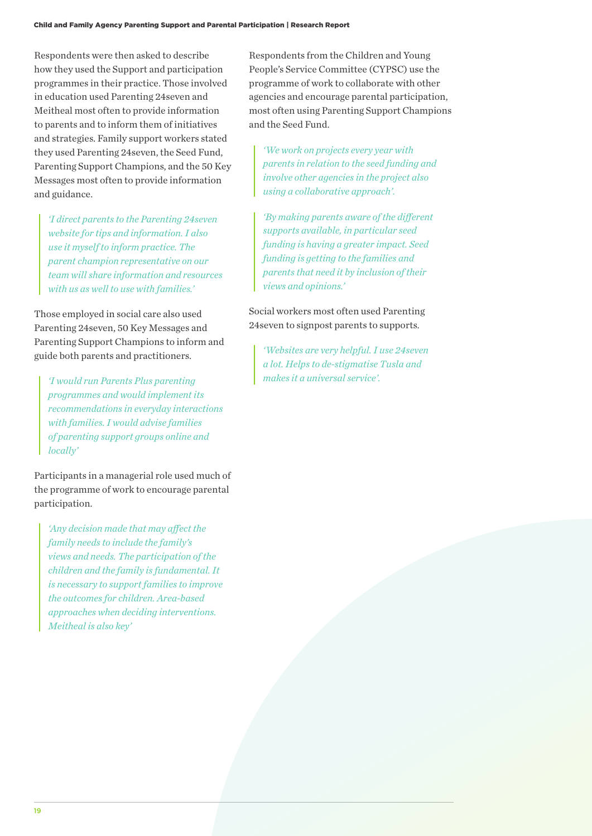Respondents were then asked to describe how they used the Support and participation programmes in their practice. Those involved in education used Parenting 24seven and Meitheal most often to provide information to parents and to inform them of initiatives and strategies. Family support workers stated they used Parenting 24seven, the Seed Fund, Parenting Support Champions, and the 50 Key Messages most often to provide information and guidance.

*'I direct parents to the Parenting 24seven website for tips and information. I also use it myself to inform practice. The parent champion representative on our team will share information and resources with us as well to use with families.'*

Those employed in social care also used Parenting 24seven, 50 Key Messages and Parenting Support Champions to inform and guide both parents and practitioners.

*'I would run Parents Plus parenting programmes and would implement its recommendations in everyday interactions with families. I would advise families of parenting support groups online and locally'*

Participants in a managerial role used much of the programme of work to encourage parental participation.

*'Any decision made that may affect the family needs to include the family's views and needs. The participation of the children and the family is fundamental. It is necessary to support families to improve the outcomes for children. Area-based approaches when deciding interventions. Meitheal is also key'*

Respondents from the Children and Young People's Service Committee (CYPSC) use the programme of work to collaborate with other agencies and encourage parental participation, most often using Parenting Support Champions and the Seed Fund.

*'We work on projects every year with parents in relation to the seed funding and involve other agencies in the project also using a collaborative approach'.* 

*'By making parents aware of the different supports available, in particular seed funding is having a greater impact. Seed funding is getting to the families and parents that need it by inclusion of their views and opinions.'*

Social workers most often used Parenting 24seven to signpost parents to supports.

*'Websites are very helpful. I use 24seven a lot. Helps to de-stigmatise Tusla and makes it a universal service'.*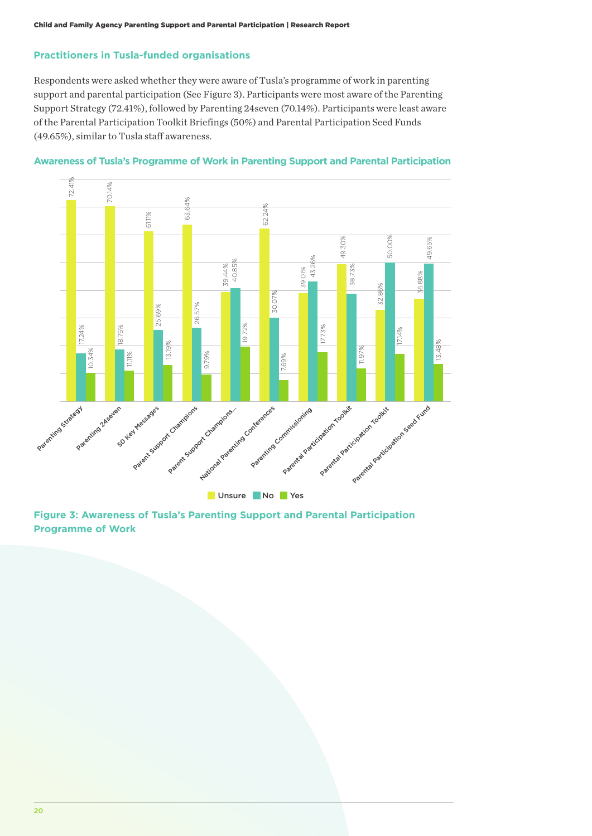#### **Practitioners in Tusla-funded organisations**

Respondents were asked whether they were aware of Tusla's programme of work in parenting support and parental participation (See Figure 3). Participants were most aware of the Parenting Support Strategy (72.41%), followed by Parenting 24seven (70.14%). Participants were least aware of the Parental Participation Toolkit Briefings (50%) and Parental Participation Seed Funds (49.65%), similar to Tusla staff awareness.





**Figure 3: Awareness of Tusla's Parenting Support and Parental Participation Programme of Work**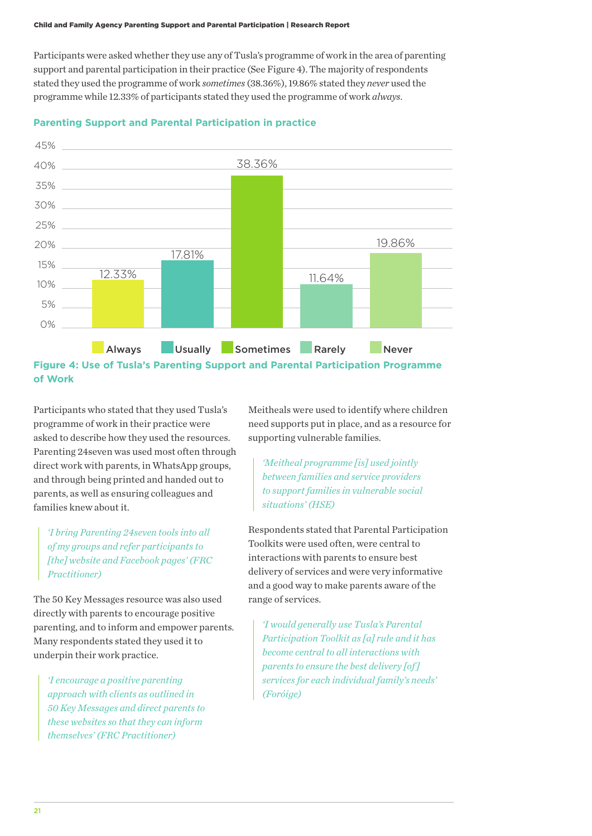Participants were asked whether they use any of Tusla's programme of work in the area of parenting support and parental participation in their practice (See Figure 4). The majority of respondents stated they used the programme of work *sometimes* (38.36%), 19.86% stated they *never* used the programme while 12.33% of participants stated they used the programme of work *always*.



#### **Parenting Support and Parental Participation in practice**

Participants who stated that they used Tusla's programme of work in their practice were asked to describe how they used the resources. Parenting 24seven was used most often through direct work with parents, in WhatsApp groups, and through being printed and handed out to parents, as well as ensuring colleagues and families knew about it.

*'I bring Parenting 24seven tools into all of my groups and refer participants to [the] website and Facebook pages' (FRC Practitioner)*

The 50 Key Messages resource was also used directly with parents to encourage positive parenting, and to inform and empower parents. Many respondents stated they used it to underpin their work practice.

*'I encourage a positive parenting approach with clients as outlined in 50 Key Messages and direct parents to these websites so that they can inform themselves' (FRC Practitioner)*

Meitheals were used to identify where children need supports put in place, and as a resource for supporting vulnerable families.

*'Meitheal programme [is] used jointly between families and service providers to support families in vulnerable social situations' (HSE)*

Respondents stated that Parental Participation Toolkits were used often, were central to interactions with parents to ensure best delivery of services and were very informative and a good way to make parents aware of the range of services.

*'I would generally use Tusla's Parental Participation Toolkit as [a] rule and it has become central to all interactions with parents to ensure the best delivery [of ] services for each individual family's needs' (Foróige)*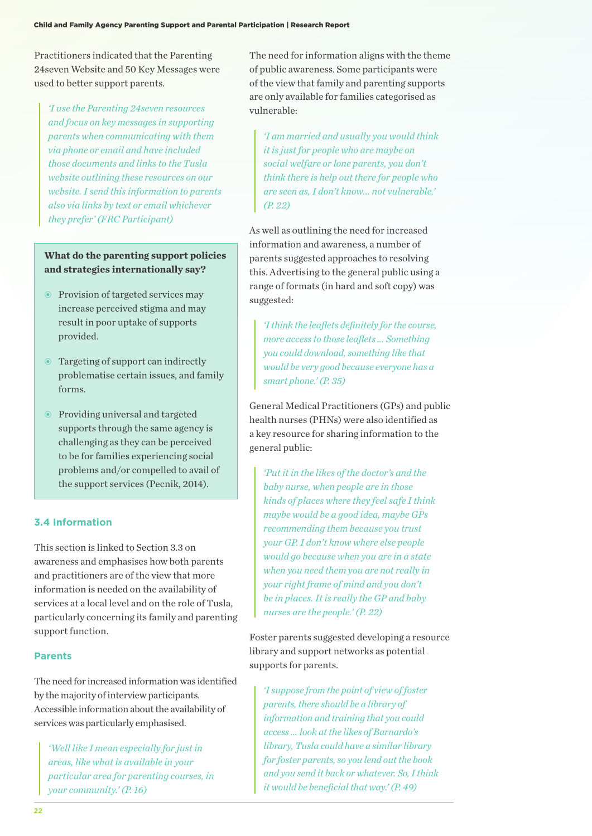Practitioners indicated that the Parenting 24seven Website and 50 Key Messages were used to better support parents.

*'I use the Parenting 24seven resources and focus on key messages in supporting parents when communicating with them via phone or email and have included those documents and links to the Tusla website outlining these resources on our website. I send this information to parents also via links by text or email whichever they prefer' (FRC Participant)*

## **What do the parenting support policies and strategies internationally say?**

- Provision of targeted services may increase perceived stigma and may result in poor uptake of supports provided.
- Targeting of support can indirectly problematise certain issues, and family forms.
- Providing universal and targeted supports through the same agency is challenging as they can be perceived to be for families experiencing social problems and/or compelled to avail of the support services (Pecnik, 2014).

## **3.4 Information**

This section is linked to Section 3.3 on awareness and emphasises how both parents and practitioners are of the view that more information is needed on the availability of services at a local level and on the role of Tusla, particularly concerning its family and parenting support function.

#### **Parents**

The need for increased information was identified by the majority of interview participants. Accessible information about the availability of services was particularly emphasised.

*'Well like I mean especially for just in areas, like what is available in your particular area for parenting courses, in your community.' (P. 16)*

The need for information aligns with the theme of public awareness. Some participants were of the view that family and parenting supports are only available for families categorised as vulnerable:

*'I am married and usually you would think it is just for people who are maybe on social welfare or lone parents, you don't think there is help out there for people who are seen as, I don't know... not vulnerable.' (P. 22)*

As well as outlining the need for increased information and awareness, a number of parents suggested approaches to resolving this. Advertising to the general public using a range of formats (in hard and soft copy) was suggested:

*'I think the leaflets definitely for the course, more access to those leaflets … Something you could download, something like that would be very good because everyone has a smart phone.' (P. 35)*

General Medical Practitioners (GPs) and public health nurses (PHNs) were also identified as a key resource for sharing information to the general public:

*'Put it in the likes of the doctor's and the baby nurse, when people are in those kinds of places where they feel safe I think maybe would be a good idea, maybe GPs recommending them because you trust your GP. I don't know where else people would go because when you are in a state when you need them you are not really in your right frame of mind and you don't be in places. It is really the GP and baby nurses are the people.' (P. 22)*

Foster parents suggested developing a resource library and support networks as potential supports for parents.

*'I suppose from the point of view of foster parents, there should be a library of information and training that you could access … look at the likes of Barnardo's library, Tusla could have a similar library for foster parents, so you lend out the book and you send it back or whatever. So, I think it would be beneficial that way.' (P. 49)*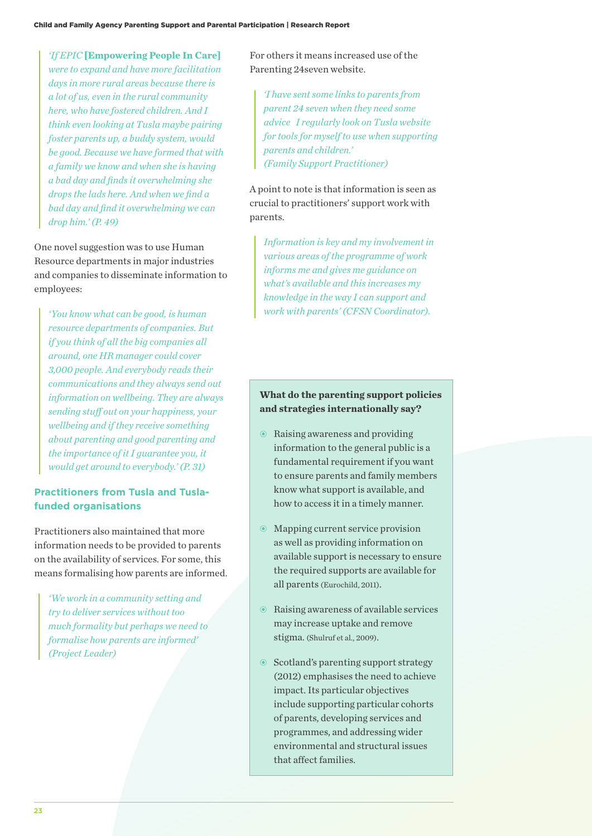*'If EPIC* **[Empowering People In Care]**  *were to expand and have more facilitation days in more rural areas because there is a lot of us, even in the rural community here, who have fostered children. And I think even looking at Tusla maybe pairing foster parents up, a buddy system, would be good. Because we have formed that with a family we know and when she is having a bad day and finds it overwhelming she drops the lads here. And when we find a bad day and find it overwhelming we can drop him.' (P. 49)*

One novel suggestion was to use Human Resource departments in major industries and companies to disseminate information to employees:

*'You know what can be good, is human resource departments of companies. But if you think of all the big companies all around, one HR manager could cover 3,000 people. And everybody reads their communications and they always send out information on wellbeing. They are always sending stuff out on your happiness, your wellbeing and if they receive something about parenting and good parenting and the importance of it I guarantee you, it would get around to everybody.' (P. 31)*

### **Practitioners from Tusla and Tuslafunded organisations**

Practitioners also maintained that more information needs to be provided to parents on the availability of services. For some, this means formalising how parents are informed.

*'We work in a community setting and try to deliver services without too much formality but perhaps we need to formalise how parents are informed' (Project Leader)*

For others it means increased use of the Parenting 24seven website.

*'I have sent some links to parents from parent 24 seven when they need some advice I regularly look on Tusla website for tools for myself to use when supporting parents and children.' (Family Support Practitioner)*

A point to note is that information is seen as crucial to practitioners' support work with parents.

*Information is key and my involvement in various areas of the programme of work informs me and gives me guidance on what's available and this increases my knowledge in the way I can support and work with parents' (CFSN Coordinator).*

### **What do the parenting support policies and strategies internationally say?**

- Raising awareness and providing information to the general public is a fundamental requirement if you want to ensure parents and family members know what support is available, and how to access it in a timely manner.
- Mapping current service provision as well as providing information on available support is necessary to ensure the required supports are available for all parents (Eurochild, 2011).
- Raising awareness of available services may increase uptake and remove stigma. (Shulruf et al., 2009).
- Scotland's parenting support strategy (2012) emphasises the need to achieve impact. Its particular objectives include supporting particular cohorts of parents, developing services and programmes, and addressing wider environmental and structural issues that affect families.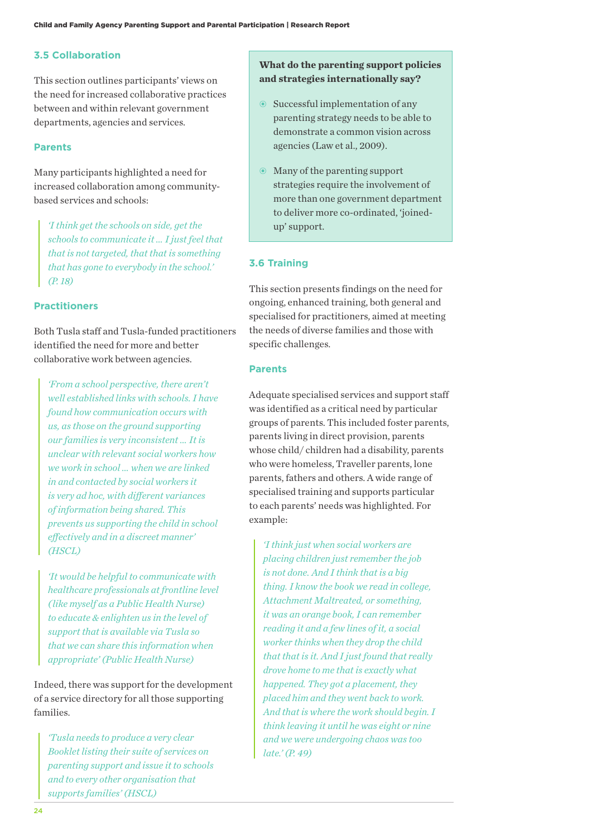#### **3.5 Collaboration**

This section outlines participants' views on the need for increased collaborative practices between and within relevant government departments, agencies and services.

#### **Parents**

Many participants highlighted a need for increased collaboration among communitybased services and schools:

*'I think get the schools on side, get the schools to communicate it … I just feel that that is not targeted, that that is something that has gone to everybody in the school.' (P. 18)*

#### **Practitioners**

Both Tusla staff and Tusla-funded practitioners identified the need for more and better collaborative work between agencies.

*'From a school perspective, there aren't well established links with schools. I have found how communication occurs with us, as those on the ground supporting our families is very inconsistent … It is unclear with relevant social workers how we work in school … when we are linked in and contacted by social workers it is very ad hoc, with different variances of information being shared. This prevents us supporting the child in school effectively and in a discreet manner' (HSCL)*

*'It would be helpful to communicate with healthcare professionals at frontline level ( like myself as a Public Health Nurse) to educate & enlighten us in the level of support that is available via Tusla so that we can share this information when appropriate' (Public Health Nurse)*

Indeed, there was support for the development of a service directory for all those supporting families.

*'Tusla needs to produce a very clear Booklet listing their suite of services on parenting support and issue it to schools and to every other organisation that supports families' (HSCL)*

### **What do the parenting support policies and strategies internationally say?**

- Successful implementation of any parenting strategy needs to be able to demonstrate a common vision across agencies (Law et al., 2009).
- Many of the parenting support strategies require the involvement of more than one government department to deliver more co-ordinated, 'joinedup' support.

#### **3.6 Training**

This section presents findings on the need for ongoing, enhanced training, both general and specialised for practitioners, aimed at meeting the needs of diverse families and those with specific challenges.

#### **Parents**

Adequate specialised services and support staff was identified as a critical need by particular groups of parents. This included foster parents, parents living in direct provision, parents whose child/ children had a disability, parents who were homeless, Traveller parents, lone parents, fathers and others. A wide range of specialised training and supports particular to each parents' needs was highlighted. For example:

*'I think just when social workers are placing children just remember the job is not done. And I think that is a big thing. I know the book we read in college, Attachment Maltreated, or something, it was an orange book, I can remember reading it and a few lines of it, a social worker thinks when they drop the child that that is it. And I just found that really drove home to me that is exactly what happened. They got a placement, they placed him and they went back to work. And that is where the work should begin. I think leaving it until he was eight or nine and we were undergoing chaos was too late.' (P. 49)*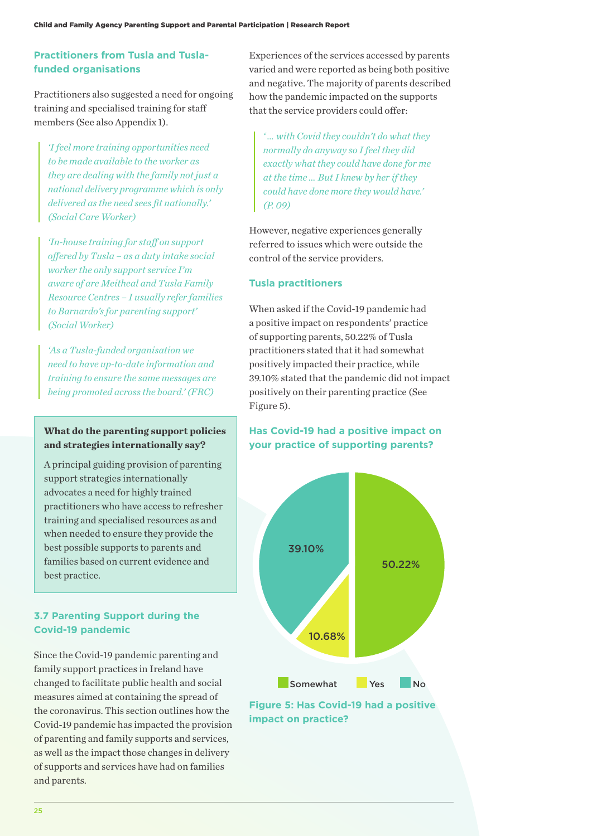## **Practitioners from Tusla and Tuslafunded organisations**

Practitioners also suggested a need for ongoing training and specialised training for staff members (See also Appendix 1).

*'I feel more training opportunities need to be made available to the worker as they are dealing with the family not just a national delivery programme which is only delivered as the need sees fit nationally.' (Social Care Worker)*

*'In-house training for staff on support offered by Tusla – as a duty intake social worker the only support service I'm aware of are Meitheal and Tusla Family Resource Centres – I usually refer families to Barnardo's for parenting support' (Social Worker)*

*'As a Tusla-funded organisation we need to have up-to-date information and training to ensure the same messages are being promoted across the board.' (FRC)*

## **What do the parenting support policies and strategies internationally say?**

A principal guiding provision of parenting support strategies internationally advocates a need for highly trained practitioners who have access to refresher training and specialised resources as and when needed to ensure they provide the best possible supports to parents and families based on current evidence and best practice.

## **3.7 Parenting Support during the Covid-19 pandemic**

Since the Covid-19 pandemic parenting and family support practices in Ireland have changed to facilitate public health and social measures aimed at containing the spread of the coronavirus. This section outlines how the Covid-19 pandemic has impacted the provision of parenting and family supports and services, as well as the impact those changes in delivery of supports and services have had on families and parents.

Experiences of the services accessed by parents varied and were reported as being both positive and negative. The majority of parents described how the pandemic impacted on the supports that the service providers could offer:

*' … with Covid they couldn't do what they normally do anyway so I feel they did exactly what they could have done for me at the time … But I knew by her if they could have done more they would have.' (P. 09)*

However, negative experiences generally referred to issues which were outside the control of the service providers.

### **Tusla practitioners**

When asked if the Covid-19 pandemic had a positive impact on respondents' practice of supporting parents, 50.22% of Tusla practitioners stated that it had somewhat positively impacted their practice, while 39.10% stated that the pandemic did not impact positively on their parenting practice (See Figure 5).

## **Has Covid-19 had a positive impact on your practice of supporting parents?**



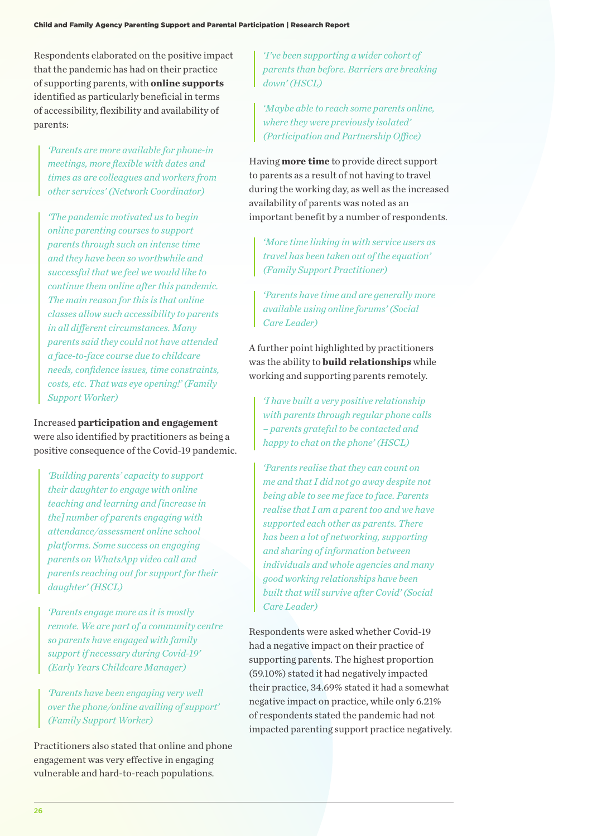Respondents elaborated on the positive impact that the pandemic has had on their practice of supporting parents, with **online supports** identified as particularly beneficial in terms of accessibility, flexibility and availability of parents:

*'Parents are more available for phone-in meetings, more flexible with dates and times as are colleagues and workers from other services' (Network Coordinator)*

*'The pandemic motivated us to begin online parenting courses to support parents through such an intense time and they have been so worthwhile and successful that we feel we would like to continue them online after this pandemic. The main reason for this is that online classes allow such accessibility to parents in all different circumstances. Many parents said they could not have attended a face-to-face course due to childcare needs, confidence issues, time constraints, costs, etc. That was eye opening!' (Family Support Worker)*

Increased **participation and engagement** were also identified by practitioners as being a positive consequence of the Covid-19 pandemic.

*'Building parents' capacity to support their daughter to engage with online teaching and learning and [increase in the] number of parents engaging with attendance/assessment online school platforms. Some success on engaging parents on WhatsApp video call and parents reaching out for support for their daughter' (HSCL)*

*'Parents engage more as it is mostly remote. We are part of a community centre so parents have engaged with family support if necessary during Covid-19' (Early Years Childcare Manager)*

*'Parents have been engaging very well over the phone/online availing of support' (Family Support Worker)*

Practitioners also stated that online and phone engagement was very effective in engaging vulnerable and hard-to-reach populations.

*'I've been supporting a wider cohort of parents than before. Barriers are breaking down' (HSCL)*

*'Maybe able to reach some parents online, where they were previously isolated' (Participation and Partnership Office)*

Having **more time** to provide direct support to parents as a result of not having to travel during the working day, as well as the increased availability of parents was noted as an important benefit by a number of respondents.

*'More time linking in with service users as travel has been taken out of the equation' (Family Support Practitioner)*

*'Parents have time and are generally more available using online forums' (Social Care Leader)*

A further point highlighted by practitioners was the ability to **build relationships** while working and supporting parents remotely.

*'I have built a very positive relationship with parents through regular phone calls – parents grateful to be contacted and happy to chat on the phone' (HSCL)*

*'Parents realise that they can count on me and that I did not go away despite not being able to see me face to face. Parents realise that I am a parent too and we have supported each other as parents. There has been a lot of networking, supporting and sharing of information between individuals and whole agencies and many good working relationships have been built that will survive after Covid' (Social Care Leader)*

Respondents were asked whether Covid-19 had a negative impact on their practice of supporting parents. The highest proportion (59.10%) stated it had negatively impacted their practice, 34.69% stated it had a somewhat negative impact on practice, while only 6.21% of respondents stated the pandemic had not impacted parenting support practice negatively.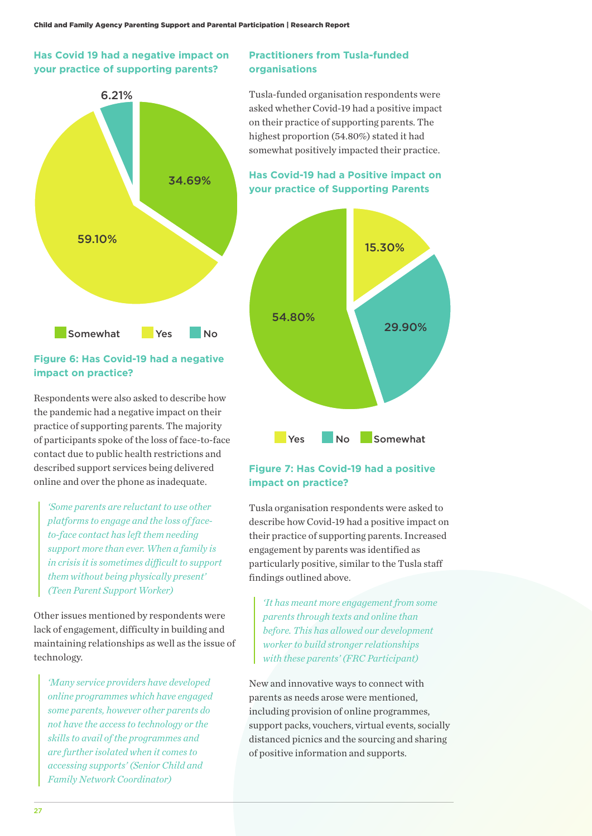## **Has Covid 19 had a negative impact on your practice of supporting parents?**



## **Figure 6: Has Covid-19 had a negative impact on practice?**

Respondents were also asked to describe how the pandemic had a negative impact on their practice of supporting parents. The majority of participants spoke of the loss of face-to-face contact due to public health restrictions and described support services being delivered online and over the phone as inadequate.

*'Some parents are reluctant to use other platforms to engage and the loss of faceto-face contact has left them needing support more than ever. When a family is in crisis it is sometimes difficult to support them without being physically present' (Teen Parent Support Worker)*

Other issues mentioned by respondents were lack of engagement, difficulty in building and maintaining relationships as well as the issue of technology.

*'Many service providers have developed online programmes which have engaged some parents, however other parents do not have the access to technology or the skills to avail of the programmes and are further isolated when it comes to accessing supports' (Senior Child and Family Network Coordinator)*

#### **Practitioners from Tusla-funded organisations**

Tusla-funded organisation respondents were asked whether Covid-19 had a positive impact on their practice of supporting parents. The highest proportion (54.80%) stated it had somewhat positively impacted their practice.

**Has Covid-19 had a Positive impact on your practice of Supporting Parents**



## **Figure 7: Has Covid-19 had a positive impact on practice?**

Tusla organisation respondents were asked to describe how Covid-19 had a positive impact on their practice of supporting parents. Increased engagement by parents was identified as particularly positive, similar to the Tusla staff findings outlined above.

*'It has meant more engagement from some parents through texts and online than before. This has allowed our development worker to build stronger relationships with these parents' (FRC Participant)*

New and innovative ways to connect with parents as needs arose were mentioned, including provision of online programmes, support packs, vouchers, virtual events, socially distanced picnics and the sourcing and sharing of positive information and supports.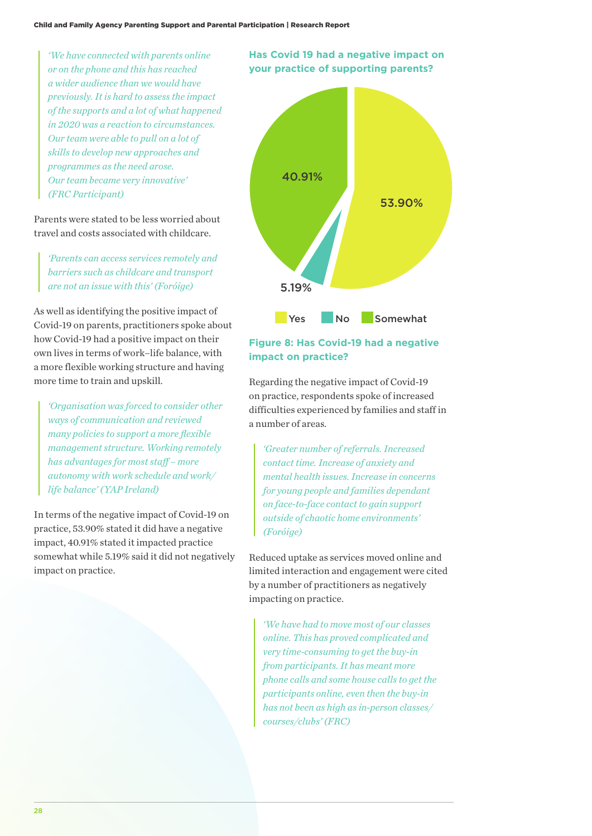*'We have connected with parents online or on the phone and this has reached a wider audience than we would have previously. It is hard to assess the impact of the supports and a lot of what happened in 2020 was a reaction to circumstances. Our team were able to pull on a lot of skills to develop new approaches and programmes as the need arose. Our team became very innovative' (FRC Participant)*

Parents were stated to be less worried about travel and costs associated with childcare.

*'Parents can access services remotely and barriers such as childcare and transport are not an issue with this' (Foróige)*

As well as identifying the positive impact of Covid-19 on parents, practitioners spoke about how Covid-19 had a positive impact on their own lives in terms of work–life balance, with a more flexible working structure and having more time to train and upskill.

*'Organisation was forced to consider other ways of communication and reviewed many policies to support a more flexible management structure. Working remotely has advantages for most staff – more autonomy with work schedule and work/ life balance' (YAP Ireland)*

In terms of the negative impact of Covid-19 on practice, 53.90% stated it did have a negative impact, 40.91% stated it impacted practice somewhat while 5.19% said it did not negatively impact on practice.

## **Has Covid 19 had a negative impact on your practice of supporting parents?**



## **Figure 8: Has Covid-19 had a negative impact on practice?**

Regarding the negative impact of Covid-19 on practice, respondents spoke of increased difficulties experienced by families and staff in a number of areas.

*'Greater number of referrals. Increased contact time. Increase of anxiety and mental health issues. Increase in concerns for young people and families dependant on face-to-face contact to gain support outside of chaotic home environments' (Foróige)*

Reduced uptake as services moved online and limited interaction and engagement were cited by a number of practitioners as negatively impacting on practice.

*'We have had to move most of our classes online. This has proved complicated and very time-consuming to get the buy-in from participants. It has meant more phone calls and some house calls to get the participants online, even then the buy-in has not been as high as in-person classes/ courses/clubs' (FRC)*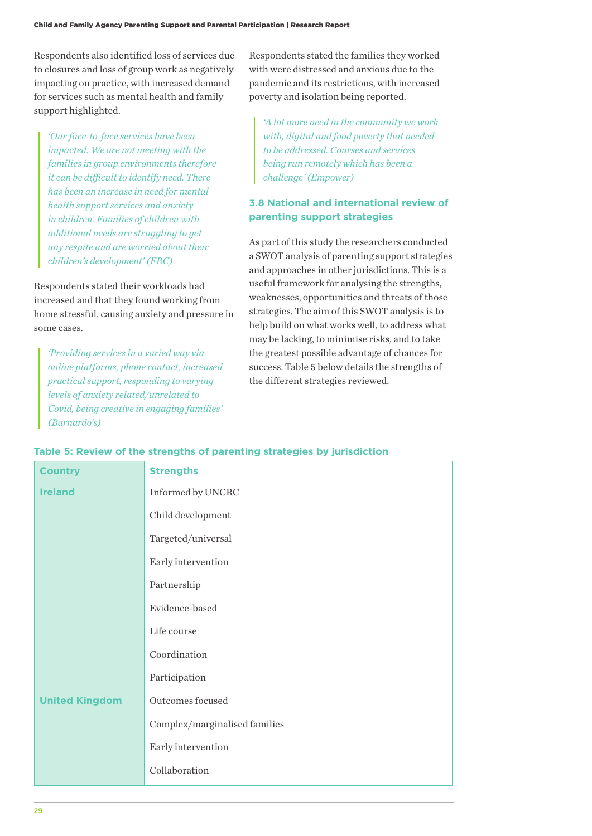Respondents also identified loss of services due to closures and loss of group work as negatively impacting on practice, with increased demand for services such as mental health and family support highlighted.

*'Our face-to-face services have been impacted. We are not meeting with the families in group environments therefore it can be difficult to identify need. There has been an increase in need for mental health support services and anxiety in children. Families of children with additional needs are struggling to get any respite and are worried about their children's development' (FRC)*

Respondents stated their workloads had increased and that they found working from home stressful, causing anxiety and pressure in some cases.

*'Providing services in a varied way via online platforms, phone contact, increased practical support, responding to varying levels of anxiety related/unrelated to Covid, being creative in engaging families' (Barnardo's)*

Respondents stated the families they worked with were distressed and anxious due to the pandemic and its restrictions, with increased poverty and isolation being reported.

*'A lot more need in the community we work with, digital and food poverty that needed to be addressed. Courses and services being run remotely which has been a challenge' (Empower)*

## **3.8 National and international review of parenting support strategies**

As part of this study the researchers conducted a SWOT analysis of parenting support strategies and approaches in other jurisdictions. This is a useful framework for analysing the strengths, weaknesses, opportunities and threats of those strategies. The aim of this SWOT analysis is to help build on what works well, to address what may be lacking, to minimise risks, and to take the greatest possible advantage of chances for success. Table 5 below details the strengths of the different strategies reviewed.

| <b>Country</b>        | <b>Strengths</b>              |
|-----------------------|-------------------------------|
| <b>Ireland</b>        | Informed by UNCRC             |
|                       | Child development             |
|                       | Targeted/universal            |
|                       | Early intervention            |
|                       | Partnership                   |
|                       | Evidence-based                |
|                       | Life course                   |
|                       | Coordination                  |
|                       | Participation                 |
| <b>United Kingdom</b> | Outcomes focused              |
|                       | Complex/marginalised families |
|                       | Early intervention            |
|                       | Collaboration                 |

#### **Table 5: Review of the strengths of parenting strategies by jurisdiction**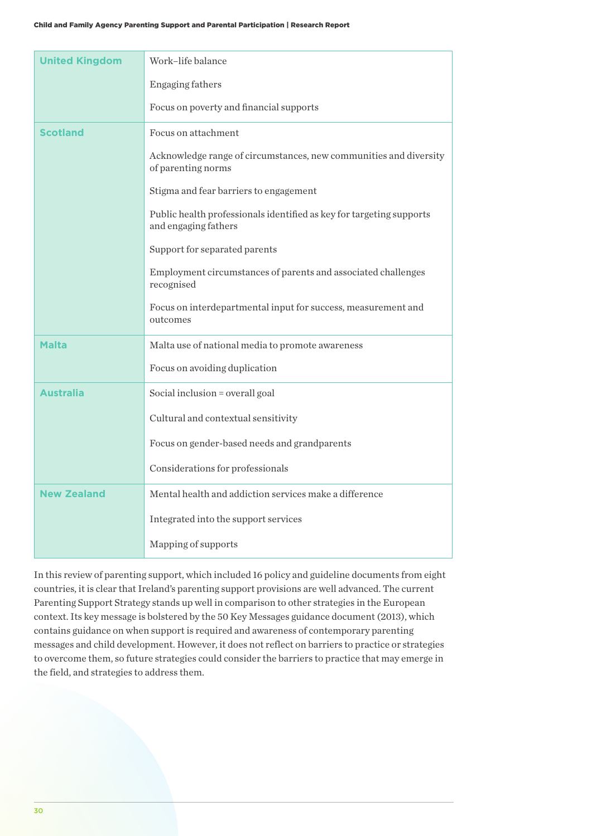| <b>United Kingdom</b> | Work-life balance                                                                            |
|-----------------------|----------------------------------------------------------------------------------------------|
|                       | Engaging fathers                                                                             |
|                       | Focus on poverty and financial supports                                                      |
| <b>Scotland</b>       | Focus on attachment                                                                          |
|                       | Acknowledge range of circumstances, new communities and diversity<br>of parenting norms      |
|                       | Stigma and fear barriers to engagement                                                       |
|                       | Public health professionals identified as key for targeting supports<br>and engaging fathers |
|                       | Support for separated parents                                                                |
|                       | Employment circumstances of parents and associated challenges<br>recognised                  |
|                       | Focus on interdepartmental input for success, measurement and<br>outcomes                    |
| <b>Malta</b>          | Malta use of national media to promote awareness                                             |
|                       | Focus on avoiding duplication                                                                |
| <b>Australia</b>      | Social inclusion = overall goal                                                              |
|                       | Cultural and contextual sensitivity                                                          |
|                       | Focus on gender-based needs and grandparents                                                 |
|                       | Considerations for professionals                                                             |
| <b>New Zealand</b>    | Mental health and addiction services make a difference                                       |
|                       | Integrated into the support services                                                         |
|                       | Mapping of supports                                                                          |

In this review of parenting support, which included 16 policy and guideline documents from eight countries, it is clear that Ireland's parenting support provisions are well advanced. The current Parenting Support Strategy stands up well in comparison to other strategies in the European context. Its key message is bolstered by the 50 Key Messages guidance document (2013), which contains guidance on when support is required and awareness of contemporary parenting messages and child development. However, it does not reflect on barriers to practice or strategies to overcome them, so future strategies could consider the barriers to practice that may emerge in the field, and strategies to address them.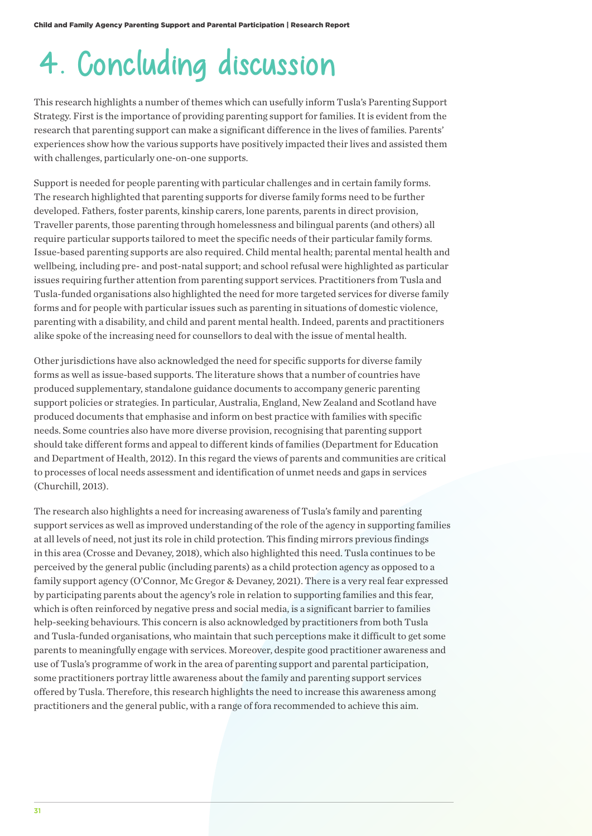## 4. Concluding discussion

This research highlights a number of themes which can usefully inform Tusla's Parenting Support Strategy. First is the importance of providing parenting support for families. It is evident from the research that parenting support can make a significant difference in the lives of families. Parents' experiences show how the various supports have positively impacted their lives and assisted them with challenges, particularly one-on-one supports.

Support is needed for people parenting with particular challenges and in certain family forms. The research highlighted that parenting supports for diverse family forms need to be further developed. Fathers, foster parents, kinship carers, lone parents, parents in direct provision, Traveller parents, those parenting through homelessness and bilingual parents (and others) all require particular supports tailored to meet the specific needs of their particular family forms. Issue-based parenting supports are also required. Child mental health; parental mental health and wellbeing, including pre- and post-natal support; and school refusal were highlighted as particular issues requiring further attention from parenting support services. Practitioners from Tusla and Tusla-funded organisations also highlighted the need for more targeted services for diverse family forms and for people with particular issues such as parenting in situations of domestic violence, parenting with a disability, and child and parent mental health. Indeed, parents and practitioners alike spoke of the increasing need for counsellors to deal with the issue of mental health.

Other jurisdictions have also acknowledged the need for specific supports for diverse family forms as well as issue-based supports. The literature shows that a number of countries have produced supplementary, standalone guidance documents to accompany generic parenting support policies or strategies. In particular, Australia, England, New Zealand and Scotland have produced documents that emphasise and inform on best practice with families with specific needs. Some countries also have more diverse provision, recognising that parenting support should take different forms and appeal to different kinds of families (Department for Education and Department of Health, 2012). In this regard the views of parents and communities are critical to processes of local needs assessment and identification of unmet needs and gaps in services (Churchill, 2013).

The research also highlights a need for increasing awareness of Tusla's family and parenting support services as well as improved understanding of the role of the agency in supporting families at all levels of need, not just its role in child protection. This finding mirrors previous findings in this area (Crosse and Devaney, 2018), which also highlighted this need. Tusla continues to be perceived by the general public (including parents) as a child protection agency as opposed to a family support agency (O'Connor, Mc Gregor & Devaney, 2021). There is a very real fear expressed by participating parents about the agency's role in relation to supporting families and this fear, which is often reinforced by negative press and social media, is a significant barrier to families help-seeking behaviours. This concern is also acknowledged by practitioners from both Tusla and Tusla-funded organisations, who maintain that such perceptions make it difficult to get some parents to meaningfully engage with services. Moreover, despite good practitioner awareness and use of Tusla's programme of work in the area of parenting support and parental participation, some practitioners portray little awareness about the family and parenting support services offered by Tusla. Therefore, this research highlights the need to increase this awareness among practitioners and the general public, with a range of fora recommended to achieve this aim.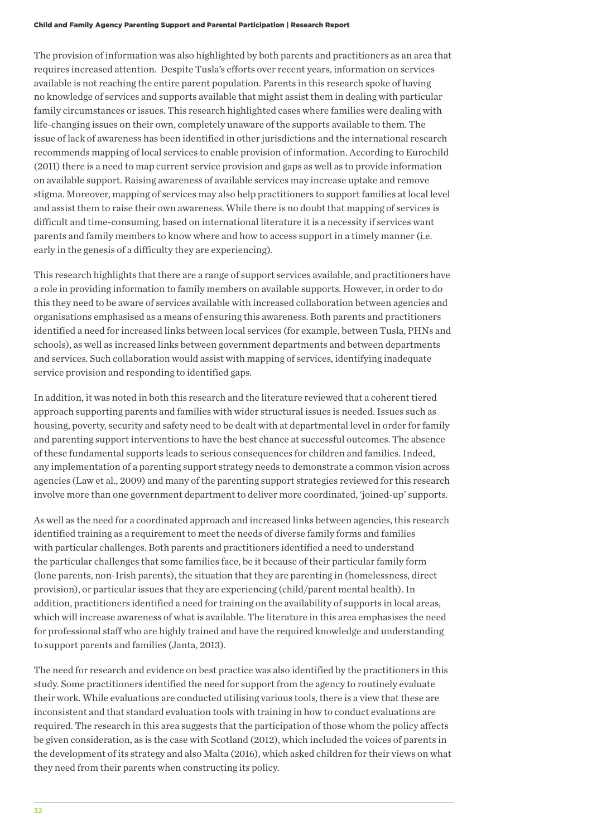The provision of information was also highlighted by both parents and practitioners as an area that requires increased attention. Despite Tusla's efforts over recent years, information on services available is not reaching the entire parent population. Parents in this research spoke of having no knowledge of services and supports available that might assist them in dealing with particular family circumstances or issues. This research highlighted cases where families were dealing with life-changing issues on their own, completely unaware of the supports available to them. The issue of lack of awareness has been identified in other jurisdictions and the international research recommends mapping of local services to enable provision of information. According to Eurochild (2011) there is a need to map current service provision and gaps as well as to provide information on available support. Raising awareness of available services may increase uptake and remove stigma. Moreover, mapping of services may also help practitioners to support families at local level and assist them to raise their own awareness. While there is no doubt that mapping of services is difficult and time-consuming, based on international literature it is a necessity if services want parents and family members to know where and how to access support in a timely manner (i.e. early in the genesis of a difficulty they are experiencing).

This research highlights that there are a range of support services available, and practitioners have a role in providing information to family members on available supports. However, in order to do this they need to be aware of services available with increased collaboration between agencies and organisations emphasised as a means of ensuring this awareness. Both parents and practitioners identified a need for increased links between local services (for example, between Tusla, PHNs and schools), as well as increased links between government departments and between departments and services. Such collaboration would assist with mapping of services, identifying inadequate service provision and responding to identified gaps.

In addition, it was noted in both this research and the literature reviewed that a coherent tiered approach supporting parents and families with wider structural issues is needed. Issues such as housing, poverty, security and safety need to be dealt with at departmental level in order for family and parenting support interventions to have the best chance at successful outcomes. The absence of these fundamental supports leads to serious consequences for children and families. Indeed, any implementation of a parenting support strategy needs to demonstrate a common vision across agencies (Law et al., 2009) and many of the parenting support strategies reviewed for this research involve more than one government department to deliver more coordinated, 'joined-up' supports.

As well as the need for a coordinated approach and increased links between agencies, this research identified training as a requirement to meet the needs of diverse family forms and families with particular challenges. Both parents and practitioners identified a need to understand the particular challenges that some families face, be it because of their particular family form (lone parents, non-Irish parents), the situation that they are parenting in (homelessness, direct provision), or particular issues that they are experiencing (child/parent mental health). In addition, practitioners identified a need for training on the availability of supports in local areas, which will increase awareness of what is available. The literature in this area emphasises the need for professional staff who are highly trained and have the required knowledge and understanding to support parents and families (Janta, 2013).

The need for research and evidence on best practice was also identified by the practitioners in this study. Some practitioners identified the need for support from the agency to routinely evaluate their work. While evaluations are conducted utilising various tools, there is a view that these are inconsistent and that standard evaluation tools with training in how to conduct evaluations are required. The research in this area suggests that the participation of those whom the policy affects be given consideration, as is the case with Scotland (2012), which included the voices of parents in the development of its strategy and also Malta (2016), which asked children for their views on what they need from their parents when constructing its policy.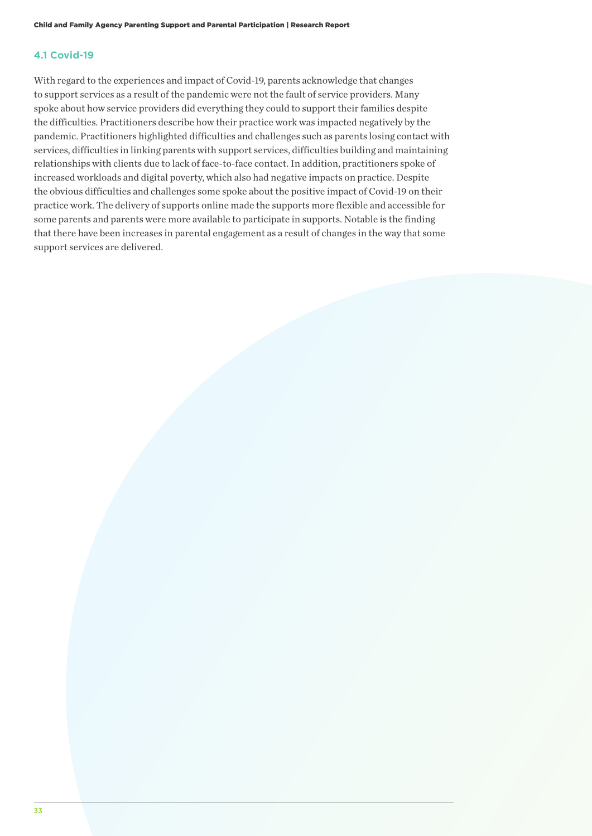#### **4.1 Covid-19**

With regard to the experiences and impact of Covid-19, parents acknowledge that changes to support services as a result of the pandemic were not the fault of service providers. Many spoke about how service providers did everything they could to support their families despite the difficulties. Practitioners describe how their practice work was impacted negatively by the pandemic. Practitioners highlighted difficulties and challenges such as parents losing contact with services, difficulties in linking parents with support services, difficulties building and maintaining relationships with clients due to lack of face-to-face contact. In addition, practitioners spoke of increased workloads and digital poverty, which also had negative impacts on practice. Despite the obvious difficulties and challenges some spoke about the positive impact of Covid-19 on their practice work. The delivery of supports online made the supports more flexible and accessible for some parents and parents were more available to participate in supports. Notable is the finding that there have been increases in parental engagement as a result of changes in the way that some support services are delivered.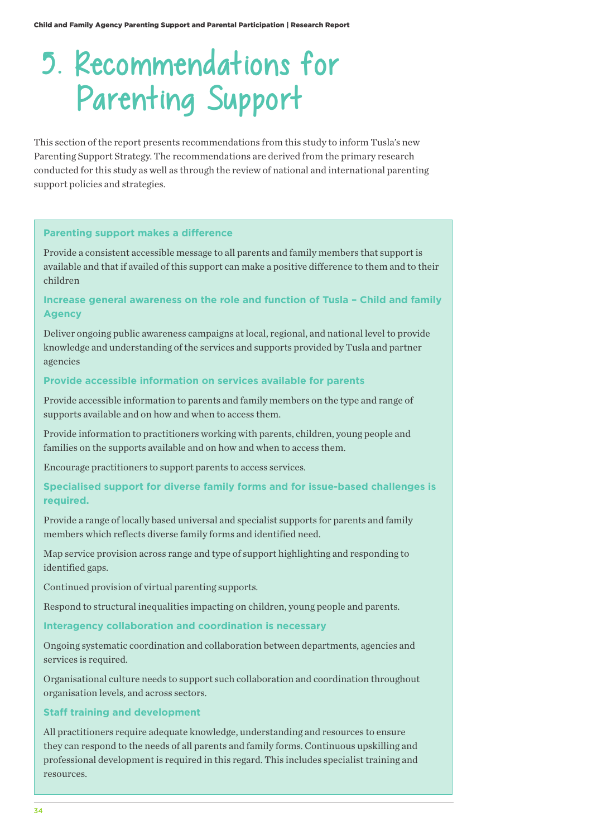## 5. Recommendations for Parenting Support

This section of the report presents recommendations from this study to inform Tusla's new Parenting Support Strategy. The recommendations are derived from the primary research conducted for this study as well as through the review of national and international parenting support policies and strategies.

#### **Parenting support makes a difference**

Provide a consistent accessible message to all parents and family members that support is available and that if availed of this support can make a positive difference to them and to their children

#### **Increase general awareness on the role and function of Tusla – Child and family Agency**

Deliver ongoing public awareness campaigns at local, regional, and national level to provide knowledge and understanding of the services and supports provided by Tusla and partner agencies

#### **Provide accessible information on services available for parents**

Provide accessible information to parents and family members on the type and range of supports available and on how and when to access them.

Provide information to practitioners working with parents, children, young people and families on the supports available and on how and when to access them.

Encourage practitioners to support parents to access services.

### **Specialised support for diverse family forms and for issue-based challenges is required.**

Provide a range of locally based universal and specialist supports for parents and family members which reflects diverse family forms and identified need.

Map service provision across range and type of support highlighting and responding to identified gaps.

Continued provision of virtual parenting supports.

Respond to structural inequalities impacting on children, young people and parents.

#### **Interagency collaboration and coordination is necessary**

Ongoing systematic coordination and collaboration between departments, agencies and services is required.

Organisational culture needs to support such collaboration and coordination throughout organisation levels, and across sectors.

#### **Staff training and development**

All practitioners require adequate knowledge, understanding and resources to ensure they can respond to the needs of all parents and family forms. Continuous upskilling and professional development is required in this regard. This includes specialist training and resources.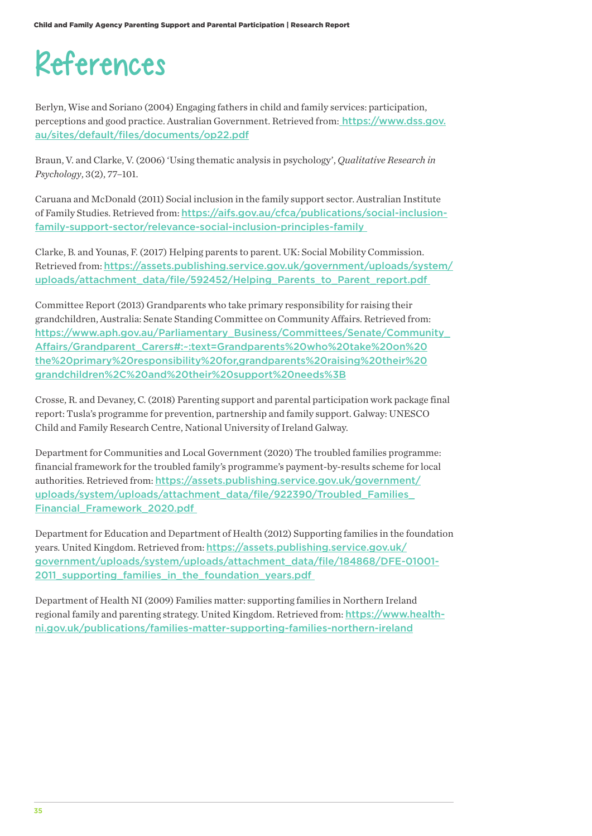## References

Berlyn, Wise and Soriano (2004) Engaging fathers in child and family services: participation, perceptions and good practice. Australian Government. Retrieved from: https://www.dss.gov. au/sites/default/files/documents/op22.pdf

Braun, V. and Clarke, V. (2006) 'Using thematic analysis in psychology', *Qualitative Research in Psychology*, 3(2), 77–101.

Caruana and McDonald (2011) Social inclusion in the family support sector. Australian Institute of Family Studies. Retrieved from: https://aifs.gov.au/cfca/publications/social-inclusionfamily-support-sector/relevance-social-inclusion-principles-family

Clarke, B. and Younas, F. (2017) Helping parents to parent. UK: Social Mobility Commission. Retrieved from: https://assets.publishing.service.gov.uk/government/uploads/system/ uploads/attachment\_data/file/592452/Helping\_Parents\_to\_Parent\_report.pdf

Committee Report (2013) Grandparents who take primary responsibility for raising their grandchildren, Australia: Senate Standing Committee on Community Affairs. Retrieved from: https://www.aph.gov.au/Parliamentary\_Business/Committees/Senate/Community\_ Affairs/Grandparent\_Carers#:~:text=Grandparents%20who%20take%20on%20 the%20primary%20responsibility%20for,grandparents%20raising%20their%20 grandchildren%2C%20and%20their%20support%20needs%3B

Crosse, R. and Devaney, C. (2018) Parenting support and parental participation work package final report: Tusla's programme for prevention, partnership and family support. Galway: UNESCO Child and Family Research Centre, National University of Ireland Galway.

Department for Communities and Local Government (2020) The troubled families programme: financial framework for the troubled family's programme's payment-by-results scheme for local authorities. Retrieved from: https://assets.publishing.service.gov.uk/government/ uploads/system/uploads/attachment\_data/file/922390/Troubled\_Families Financial\_Framework\_2020.pdf

Department for Education and Department of Health (2012) Supporting families in the foundation years. United Kingdom. Retrieved from: https://assets.publishing.service.gov.uk/ government/uploads/system/uploads/attachment\_data/file/184868/DFE-01001- 2011 supporting families in the foundation years.pdf

Department of Health NI (2009) Families matter: supporting families in Northern Ireland regional family and parenting strategy. United Kingdom. Retrieved from: https://www.healthni.gov.uk/publications/families-matter-supporting-families-northern-ireland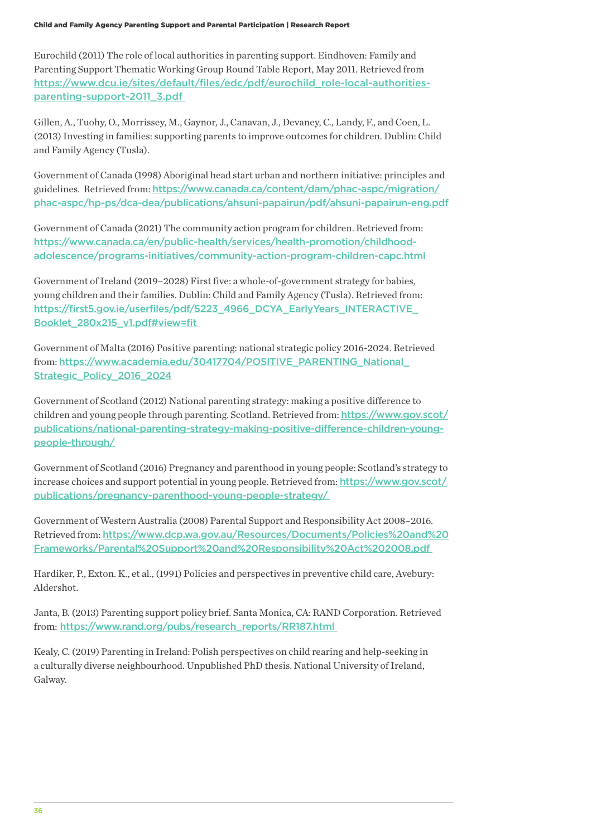Child and Family Agency Parenting Support and Parental Participation | Research Report

Eurochild (2011) The role of local authorities in parenting support. Eindhoven: Family and Parenting Support Thematic Working Group Round Table Report, May 2011. Retrieved from https://www.dcu.ie/sites/default/files/edc/pdf/eurochild\_role-local-authoritiesparenting-support-2011\_3.pdf

Gillen, A., Tuohy, O., Morrissey, M., Gaynor, J., Canavan, J., Devaney, C., Landy, F., and Coen, L. (2013) Investing in families: supporting parents to improve outcomes for children. Dublin: Child and Family Agency (Tusla).

Government of Canada (1998) Aboriginal head start urban and northern initiative: principles and guidelines. Retrieved from: https://www.canada.ca/content/dam/phac-aspc/migration/ phac-aspc/hp-ps/dca-dea/publications/ahsuni-papairun/pdf/ahsuni-papairun-eng.pdf

Government of Canada (2021) The community action program for children. Retrieved from: https://www.canada.ca/en/public-health/services/health-promotion/childhoodadolescence/programs-initiatives/community-action-program-children-capc.html

Government of Ireland (2019–2028) First five: a whole-of-government strategy for babies, young children and their families. Dublin: Child and Family Agency (Tusla). Retrieved from: https://first5.gov.ie/userfiles/pdf/5223\_4966\_DCYA\_EarlyYears\_INTERACTIVE\_ Booklet\_280x215\_v1.pdf#view=fit

Government of Malta (2016) Positive parenting: national strategic policy 2016-2024. Retrieved from: https://www.academia.edu/30417704/POSITIVE\_PARENTING\_National\_ Strategic\_Policy\_2016\_2024

Government of Scotland (2012) National parenting strategy: making a positive difference to children and young people through parenting. Scotland. Retrieved from: https://www.gov.scot/ publications/national-parenting-strategy-making-positive-difference-children-youngpeople-through/

Government of Scotland (2016) Pregnancy and parenthood in young people: Scotland's strategy to increase choices and support potential in young people. Retrieved from: https://www.gov.scot/ publications/pregnancy-parenthood-young-people-strategy/

Government of Western Australia (2008) Parental Support and Responsibility Act 2008–2016. Retrieved from: https://www.dcp.wa.gov.au/Resources/Documents/Policies%20and%20 Frameworks/Parental%20Support%20and%20Responsibility%20Act%202008.pdf

Hardiker, P., Exton. K., et al., (1991) Policies and perspectives in preventive child care, Avebury: Aldershot.

Janta, B. (2013) Parenting support policy brief. Santa Monica, CA: RAND Corporation. Retrieved from: https://www.rand.org/pubs/research\_reports/RR187.html

Kealy, C. (2019) Parenting in Ireland: Polish perspectives on child rearing and help-seeking in a culturally diverse neighbourhood. Unpublished PhD thesis. National University of Ireland, Galway.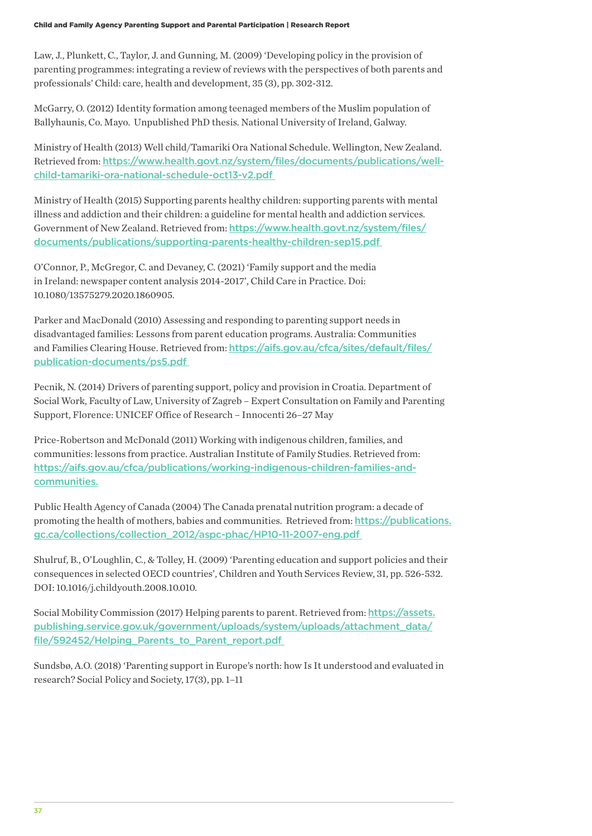Law, J., Plunkett, C., Taylor, J. and Gunning, M. (2009) 'Developing policy in the provision of parenting programmes: integrating a review of reviews with the perspectives of both parents and professionals' Child: care, health and development, 35 (3), pp. 302-312.

McGarry, O. (2012) Identity formation among teenaged members of the Muslim population of Ballyhaunis, Co. Mayo. Unpublished PhD thesis. National University of Ireland, Galway.

Ministry of Health (2013) Well child/Tamariki Ora National Schedule. Wellington, New Zealand. Retrieved from: https://www.health.govt.nz/system/files/documents/publications/wellchild-tamariki-ora-national-schedule-oct13-v2.pdf

Ministry of Health (2015) Supporting parents healthy children: supporting parents with mental illness and addiction and their children: a guideline for mental health and addiction services. Government of New Zealand. Retrieved from: https://www.health.govt.nz/system/files/ documents/publications/supporting-parents-healthy-children-sep15.pdf

O'Connor, P., McGregor, C. and Devaney, C. (2021) 'Family support and the media in Ireland: newspaper content analysis 2014-2017', Child Care in Practice. Doi: 10.1080/13575279.2020.1860905.

Parker and MacDonald (2010) Assessing and responding to parenting support needs in disadvantaged families: Lessons from parent education programs. Australia: Communities and Families Clearing House. Retrieved from: https://aifs.gov.au/cfca/sites/default/files/ publication-documents/ps5.pdf

Pecnik, N. (2014) Drivers of parenting support, policy and provision in Croatia. Department of Social Work, Faculty of Law, University of Zagreb – Expert Consultation on Family and Parenting Support, Florence: UNICEF Office of Research – Innocenti 26–27 May

Price-Robertson and McDonald (2011) Working with indigenous children, families, and communities: lessons from practice. Australian Institute of Family Studies. Retrieved from: https://aifs.gov.au/cfca/publications/working-indigenous-children-families-andcommunities.

Public Health Agency of Canada (2004) The Canada prenatal nutrition program: a decade of promoting the health of mothers, babies and communities. Retrieved from: https://publications. gc.ca/collections/collection\_2012/aspc-phac/HP10-11-2007-eng.pdf

Shulruf, B., O'Loughlin, C., & Tolley, H. (2009) 'Parenting education and support policies and their consequences in selected OECD countries', Children and Youth Services Review, 31, pp. 526-532. DOI: 10.1016/j.childyouth.2008.10.010.

Social Mobility Commission (2017) Helping parents to parent. Retrieved from: https://assets. publishing.service.gov.uk/government/uploads/system/uploads/attachment\_data/ file/592452/Helping Parents to Parent report.pdf

Sundsbø, A.O. (2018) 'Parenting support in Europe's north: how Is It understood and evaluated in research? Social Policy and Society, 17(3), pp. 1–11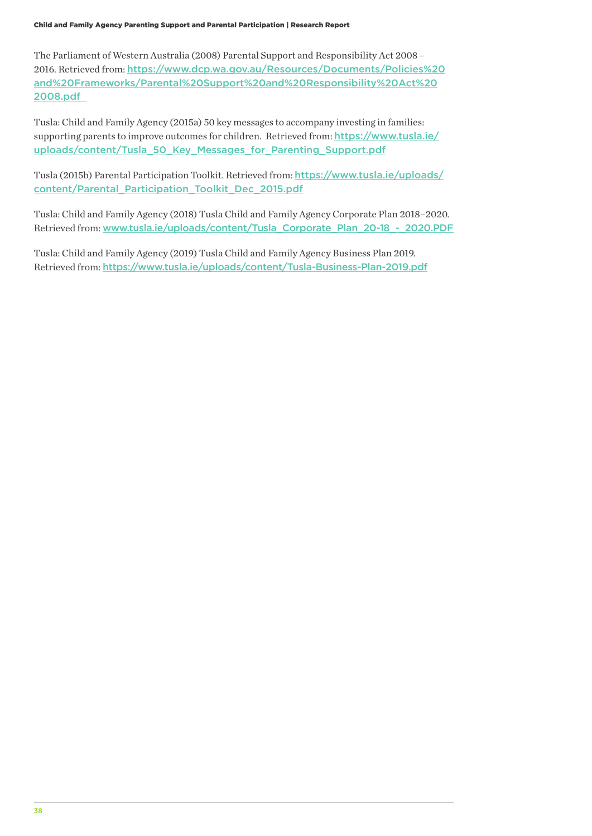The Parliament of Western Australia (2008) Parental Support and Responsibility Act 2008 – 2016. Retrieved from: https://www.dcp.wa.gov.au/Resources/Documents/Policies%20 and%20Frameworks/Parental%20Support%20and%20Responsibility%20Act%20 2008.pdf

Tusla: Child and Family Agency (2015a) 50 key messages to accompany investing in families: supporting parents to improve outcomes for children. Retrieved from: https://www.tusla.ie/ uploads/content/Tusla\_50\_Key\_Messages\_for\_Parenting\_Support.pdf

Tusla (2015b) Parental Participation Toolkit. Retrieved from: https://www.tusla.ie/uploads/ content/Parental\_Participation\_Toolkit\_Dec\_2015.pdf

Tusla: Child and Family Agency (2018) Tusla Child and Family Agency Corporate Plan 2018–2020. Retrieved from: www.tusla.ie/uploads/content/Tusla\_Corporate\_Plan\_20-18\_-\_2020.PDF

Tusla: Child and Family Agency (2019) Tusla Child and Family Agency Business Plan 2019. Retrieved from: https://www.tusla.ie/uploads/content/Tusla-Business-Plan-2019.pdf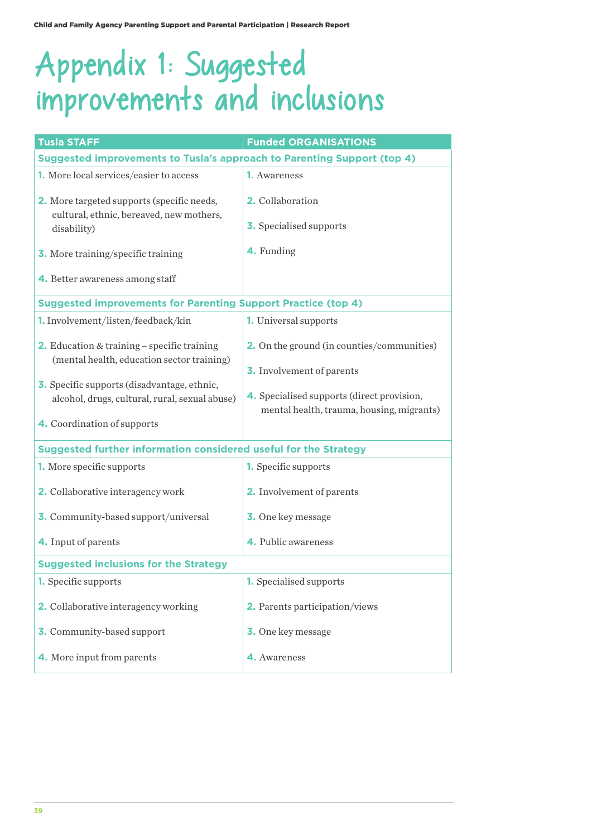# Appendix 1: Suggested improvements and inclusions

| <b>Tusla STAFF</b>                                                                                   | <b>Funded ORGANISATIONS</b>                                                             |  |  |  |
|------------------------------------------------------------------------------------------------------|-----------------------------------------------------------------------------------------|--|--|--|
| Suggested improvements to Tusla's approach to Parenting Support (top 4)                              |                                                                                         |  |  |  |
| <b>1.</b> More local services/easier to access                                                       | <b>1.</b> Awareness                                                                     |  |  |  |
| 2. More targeted supports (specific needs,<br>cultural, ethnic, bereaved, new mothers,               | 2. Collaboration                                                                        |  |  |  |
| disability)                                                                                          | <b>3.</b> Specialised supports                                                          |  |  |  |
| <b>3.</b> More training/specific training                                                            | 4. Funding                                                                              |  |  |  |
| 4. Better awareness among staff                                                                      |                                                                                         |  |  |  |
| <b>Suggested improvements for Parenting Support Practice (top 4)</b>                                 |                                                                                         |  |  |  |
| 1. Involvement/listen/feedback/kin                                                                   | <b>1.</b> Universal supports                                                            |  |  |  |
| <b>2.</b> Education & training – specific training<br>(mental health, education sector training)     | <b>2.</b> On the ground (in counties/communities)<br><b>3.</b> Involvement of parents   |  |  |  |
| <b>3.</b> Specific supports (disadvantage, ethnic,<br>alcohol, drugs, cultural, rural, sexual abuse) | 4. Specialised supports (direct provision,<br>mental health, trauma, housing, migrants) |  |  |  |
| 4. Coordination of supports                                                                          |                                                                                         |  |  |  |
| Suggested further information considered useful for the Strategy                                     |                                                                                         |  |  |  |
| <b>1.</b> More specific supports                                                                     | <b>1.</b> Specific supports                                                             |  |  |  |
| 2. Collaborative interagency work                                                                    | 2. Involvement of parents                                                               |  |  |  |
| 3. Community-based support/universal                                                                 | <b>3.</b> One key message                                                               |  |  |  |
| 4. Input of parents                                                                                  | 4. Public awareness                                                                     |  |  |  |
| <b>Suggested inclusions for the Strategy</b>                                                         |                                                                                         |  |  |  |
| 1. Specific supports                                                                                 | <b>1.</b> Specialised supports                                                          |  |  |  |
| 2. Collaborative interagency working                                                                 | 2. Parents participation/views                                                          |  |  |  |
| 3. Community-based support                                                                           | <b>3.</b> One key message                                                               |  |  |  |
| 4. More input from parents                                                                           | 4. Awareness                                                                            |  |  |  |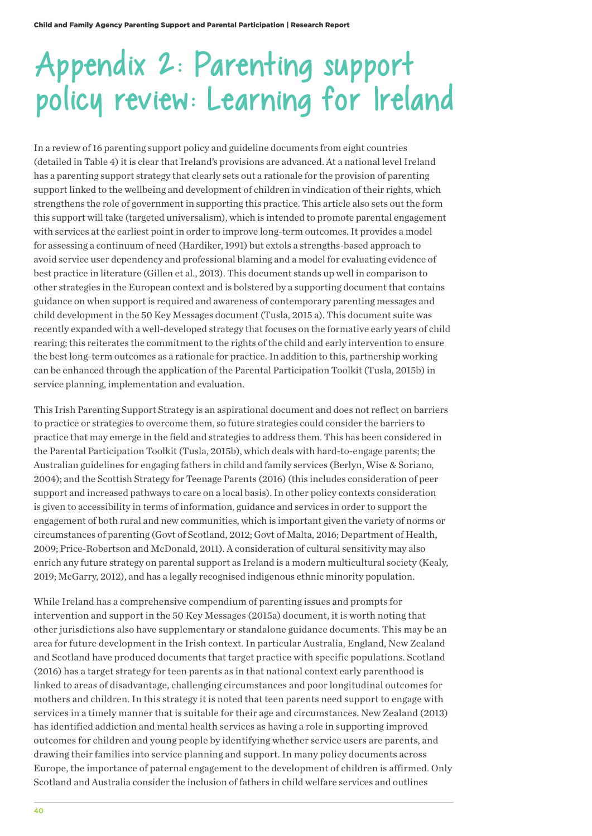# Appendix 2: Parenting support policy review: Learning for Ireland

In a review of 16 parenting support policy and guideline documents from eight countries (detailed in Table 4) it is clear that Ireland's provisions are advanced. At a national level Ireland has a parenting support strategy that clearly sets out a rationale for the provision of parenting support linked to the wellbeing and development of children in vindication of their rights, which strengthens the role of government in supporting this practice. This article also sets out the form this support will take (targeted universalism), which is intended to promote parental engagement with services at the earliest point in order to improve long-term outcomes. It provides a model for assessing a continuum of need (Hardiker, 1991) but extols a strengths-based approach to avoid service user dependency and professional blaming and a model for evaluating evidence of best practice in literature (Gillen et al., 2013). This document stands up well in comparison to other strategies in the European context and is bolstered by a supporting document that contains guidance on when support is required and awareness of contemporary parenting messages and child development in the 50 Key Messages document (Tusla, 2015 a). This document suite was recently expanded with a well-developed strategy that focuses on the formative early years of child rearing; this reiterates the commitment to the rights of the child and early intervention to ensure the best long-term outcomes as a rationale for practice. In addition to this, partnership working can be enhanced through the application of the Parental Participation Toolkit (Tusla, 2015b) in service planning, implementation and evaluation.

This Irish Parenting Support Strategy is an aspirational document and does not reflect on barriers to practice or strategies to overcome them, so future strategies could consider the barriers to practice that may emerge in the field and strategies to address them. This has been considered in the Parental Participation Toolkit (Tusla, 2015b), which deals with hard-to-engage parents; the Australian guidelines for engaging fathers in child and family services (Berlyn, Wise & Soriano, 2004); and the Scottish Strategy for Teenage Parents (2016) (this includes consideration of peer support and increased pathways to care on a local basis). In other policy contexts consideration is given to accessibility in terms of information, guidance and services in order to support the engagement of both rural and new communities, which is important given the variety of norms or circumstances of parenting (Govt of Scotland, 2012; Govt of Malta, 2016; Department of Health, 2009; Price-Robertson and McDonald, 2011). A consideration of cultural sensitivity may also enrich any future strategy on parental support as Ireland is a modern multicultural society (Kealy, 2019; McGarry, 2012), and has a legally recognised indigenous ethnic minority population.

While Ireland has a comprehensive compendium of parenting issues and prompts for intervention and support in the 50 Key Messages (2015a) document, it is worth noting that other jurisdictions also have supplementary or standalone guidance documents. This may be an area for future development in the Irish context. In particular Australia, England, New Zealand and Scotland have produced documents that target practice with specific populations. Scotland (2016) has a target strategy for teen parents as in that national context early parenthood is linked to areas of disadvantage, challenging circumstances and poor longitudinal outcomes for mothers and children. In this strategy it is noted that teen parents need support to engage with services in a timely manner that is suitable for their age and circumstances. New Zealand (2013) has identified addiction and mental health services as having a role in supporting improved outcomes for children and young people by identifying whether service users are parents, and drawing their families into service planning and support. In many policy documents across Europe, the importance of paternal engagement to the development of children is affirmed. Only Scotland and Australia consider the inclusion of fathers in child welfare services and outlines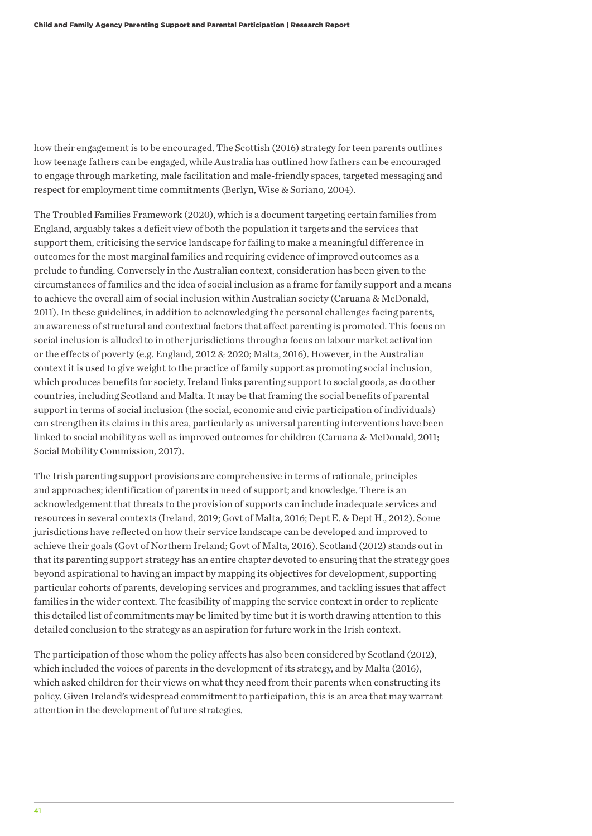how their engagement is to be encouraged. The Scottish (2016) strategy for teen parents outlines how teenage fathers can be engaged, while Australia has outlined how fathers can be encouraged to engage through marketing, male facilitation and male-friendly spaces, targeted messaging and respect for employment time commitments (Berlyn, Wise & Soriano, 2004).

The Troubled Families Framework (2020), which is a document targeting certain families from England, arguably takes a deficit view of both the population it targets and the services that support them, criticising the service landscape for failing to make a meaningful difference in outcomes for the most marginal families and requiring evidence of improved outcomes as a prelude to funding. Conversely in the Australian context, consideration has been given to the circumstances of families and the idea of social inclusion as a frame for family support and a means to achieve the overall aim of social inclusion within Australian society (Caruana & McDonald, 2011). In these guidelines, in addition to acknowledging the personal challenges facing parents, an awareness of structural and contextual factors that affect parenting is promoted. This focus on social inclusion is alluded to in other jurisdictions through a focus on labour market activation or the effects of poverty (e.g. England, 2012 & 2020; Malta, 2016). However, in the Australian context it is used to give weight to the practice of family support as promoting social inclusion, which produces benefits for society. Ireland links parenting support to social goods, as do other countries, including Scotland and Malta. It may be that framing the social benefits of parental support in terms of social inclusion (the social, economic and civic participation of individuals) can strengthen its claims in this area, particularly as universal parenting interventions have been linked to social mobility as well as improved outcomes for children (Caruana & McDonald, 2011; Social Mobility Commission, 2017).

The Irish parenting support provisions are comprehensive in terms of rationale, principles and approaches; identification of parents in need of support; and knowledge. There is an acknowledgement that threats to the provision of supports can include inadequate services and resources in several contexts (Ireland, 2019; Govt of Malta, 2016; Dept E. & Dept H., 2012). Some jurisdictions have reflected on how their service landscape can be developed and improved to achieve their goals (Govt of Northern Ireland; Govt of Malta, 2016). Scotland (2012) stands out in that its parenting support strategy has an entire chapter devoted to ensuring that the strategy goes beyond aspirational to having an impact by mapping its objectives for development, supporting particular cohorts of parents, developing services and programmes, and tackling issues that affect families in the wider context. The feasibility of mapping the service context in order to replicate this detailed list of commitments may be limited by time but it is worth drawing attention to this detailed conclusion to the strategy as an aspiration for future work in the Irish context.

The participation of those whom the policy affects has also been considered by Scotland (2012), which included the voices of parents in the development of its strategy, and by Malta (2016), which asked children for their views on what they need from their parents when constructing its policy. Given Ireland's widespread commitment to participation, this is an area that may warrant attention in the development of future strategies.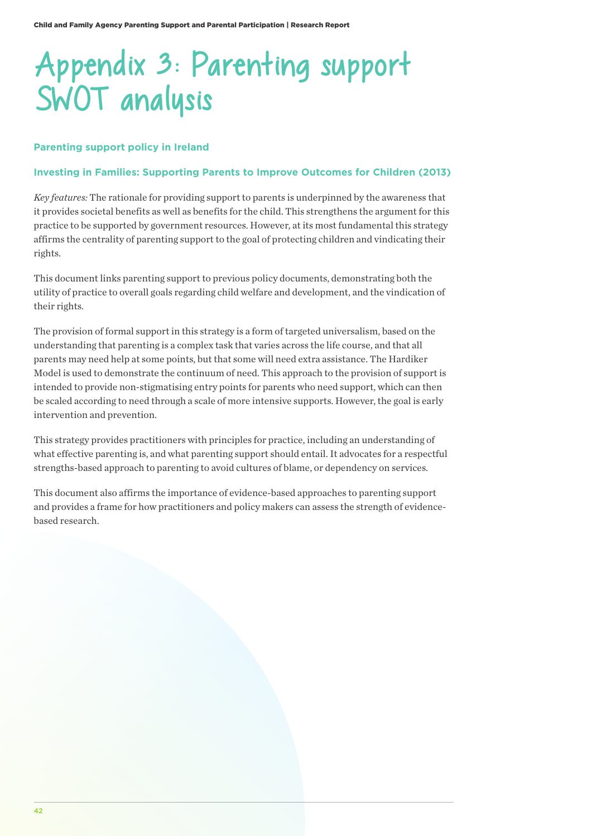# Appendix 3: Parenting support SWOT analysis

## **Parenting support policy in Ireland**

### **Investing in Families: Supporting Parents to Improve Outcomes for Children (2013)**

*Key features:* The rationale for providing support to parents is underpinned by the awareness that it provides societal benefits as well as benefits for the child. This strengthens the argument for this practice to be supported by government resources. However, at its most fundamental this strategy affirms the centrality of parenting support to the goal of protecting children and vindicating their rights.

This document links parenting support to previous policy documents, demonstrating both the utility of practice to overall goals regarding child welfare and development, and the vindication of their rights.

The provision of formal support in this strategy is a form of targeted universalism, based on the understanding that parenting is a complex task that varies across the life course, and that all parents may need help at some points, but that some will need extra assistance. The Hardiker Model is used to demonstrate the continuum of need. This approach to the provision of support is intended to provide non-stigmatising entry points for parents who need support, which can then be scaled according to need through a scale of more intensive supports. However, the goal is early intervention and prevention.

This strategy provides practitioners with principles for practice, including an understanding of what effective parenting is, and what parenting support should entail. It advocates for a respectful strengths-based approach to parenting to avoid cultures of blame, or dependency on services.

This document also affirms the importance of evidence-based approaches to parenting support and provides a frame for how practitioners and policy makers can assess the strength of evidencebased research.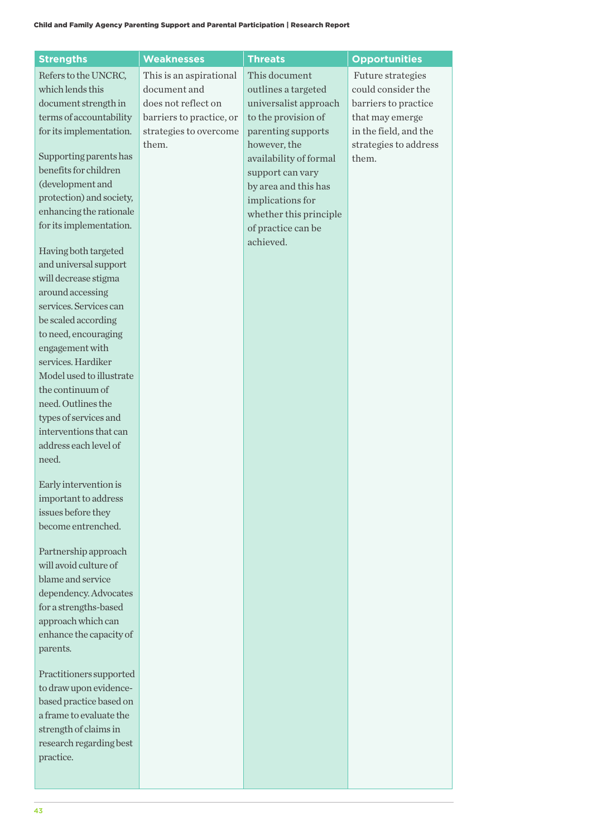| <b>Strengths</b>                                  | <b>Weaknesses</b>        | <b>Threats</b>         | <b>Opportunities</b>  |
|---------------------------------------------------|--------------------------|------------------------|-----------------------|
| Refers to the UNCRC,                              | This is an aspirational  | This document          | Future strategies     |
| which lends this                                  | document and             | outlines a targeted    | could consider the    |
| document strength in                              | does not reflect on      | universalist approach  | barriers to practice  |
| terms of accountability                           | barriers to practice, or | to the provision of    | that may emerge       |
| for its implementation.                           | strategies to overcome   | parenting supports     | in the field, and the |
|                                                   | them.                    | however, the           | strategies to address |
| Supporting parents has                            |                          | availability of formal | them.                 |
| benefits for children                             |                          | support can vary       |                       |
| (development and                                  |                          | by area and this has   |                       |
| protection) and society,                          |                          | implications for       |                       |
| enhancing the rationale                           |                          | whether this principle |                       |
| for its implementation.                           |                          | of practice can be     |                       |
|                                                   |                          | achieved.              |                       |
| Having both targeted                              |                          |                        |                       |
| and universal support                             |                          |                        |                       |
| will decrease stigma                              |                          |                        |                       |
| around accessing                                  |                          |                        |                       |
| services. Services can                            |                          |                        |                       |
| be scaled according                               |                          |                        |                       |
| to need, encouraging                              |                          |                        |                       |
| engagement with                                   |                          |                        |                       |
| services. Hardiker                                |                          |                        |                       |
| Model used to illustrate                          |                          |                        |                       |
| the continuum of                                  |                          |                        |                       |
| need. Outlines the                                |                          |                        |                       |
| types of services and                             |                          |                        |                       |
| interventions that can                            |                          |                        |                       |
| address each level of                             |                          |                        |                       |
| need.                                             |                          |                        |                       |
| Early intervention is                             |                          |                        |                       |
| important to address                              |                          |                        |                       |
| issues before they                                |                          |                        |                       |
| become entrenched.                                |                          |                        |                       |
|                                                   |                          |                        |                       |
| Partnership approach                              |                          |                        |                       |
| will avoid culture of                             |                          |                        |                       |
| blame and service                                 |                          |                        |                       |
| dependency. Advocates                             |                          |                        |                       |
| for a strengths-based                             |                          |                        |                       |
| approach which can                                |                          |                        |                       |
| enhance the capacity of                           |                          |                        |                       |
| parents.                                          |                          |                        |                       |
|                                                   |                          |                        |                       |
| Practitioners supported<br>to draw upon evidence- |                          |                        |                       |
| based practice based on                           |                          |                        |                       |
| a frame to evaluate the                           |                          |                        |                       |
| strength of claims in                             |                          |                        |                       |
| research regarding best                           |                          |                        |                       |
| practice.                                         |                          |                        |                       |
|                                                   |                          |                        |                       |
|                                                   |                          |                        |                       |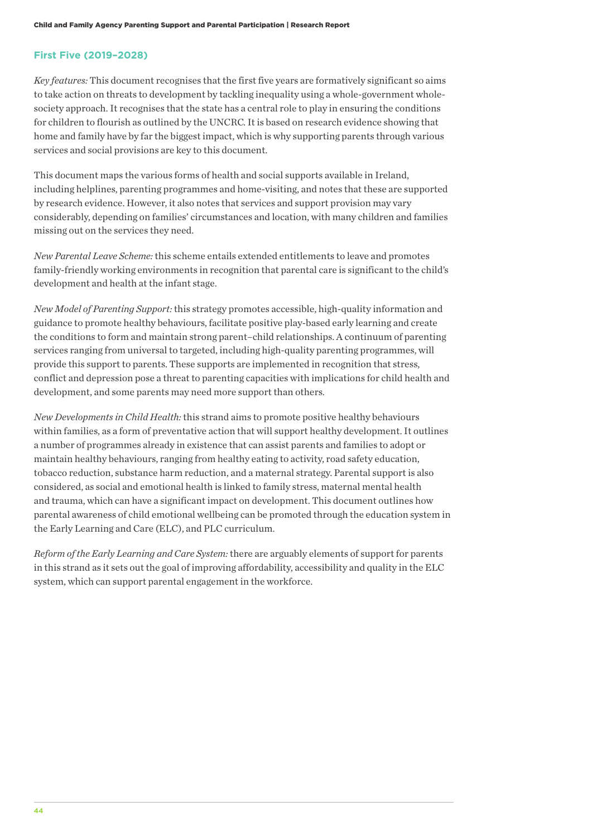## **First Five (2019–2028)**

*Key features:* This document recognises that the first five years are formatively significant so aims to take action on threats to development by tackling inequality using a whole-government wholesociety approach. It recognises that the state has a central role to play in ensuring the conditions for children to flourish as outlined by the UNCRC. It is based on research evidence showing that home and family have by far the biggest impact, which is why supporting parents through various services and social provisions are key to this document.

This document maps the various forms of health and social supports available in Ireland, including helplines, parenting programmes and home-visiting, and notes that these are supported by research evidence. However, it also notes that services and support provision may vary considerably, depending on families' circumstances and location, with many children and families missing out on the services they need.

*New Parental Leave Scheme:* this scheme entails extended entitlements to leave and promotes family-friendly working environments in recognition that parental care is significant to the child's development and health at the infant stage.

*New Model of Parenting Support:* this strategy promotes accessible, high-quality information and guidance to promote healthy behaviours, facilitate positive play-based early learning and create the conditions to form and maintain strong parent–child relationships. A continuum of parenting services ranging from universal to targeted, including high-quality parenting programmes, will provide this support to parents. These supports are implemented in recognition that stress, conflict and depression pose a threat to parenting capacities with implications for child health and development, and some parents may need more support than others.

*New Developments in Child Health:* this strand aims to promote positive healthy behaviours within families, as a form of preventative action that will support healthy development. It outlines a number of programmes already in existence that can assist parents and families to adopt or maintain healthy behaviours, ranging from healthy eating to activity, road safety education, tobacco reduction, substance harm reduction, and a maternal strategy. Parental support is also considered, as social and emotional health is linked to family stress, maternal mental health and trauma, which can have a significant impact on development. This document outlines how parental awareness of child emotional wellbeing can be promoted through the education system in the Early Learning and Care (ELC), and PLC curriculum.

*Reform of the Early Learning and Care System:* there are arguably elements of support for parents in this strand as it sets out the goal of improving affordability, accessibility and quality in the ELC system, which can support parental engagement in the workforce.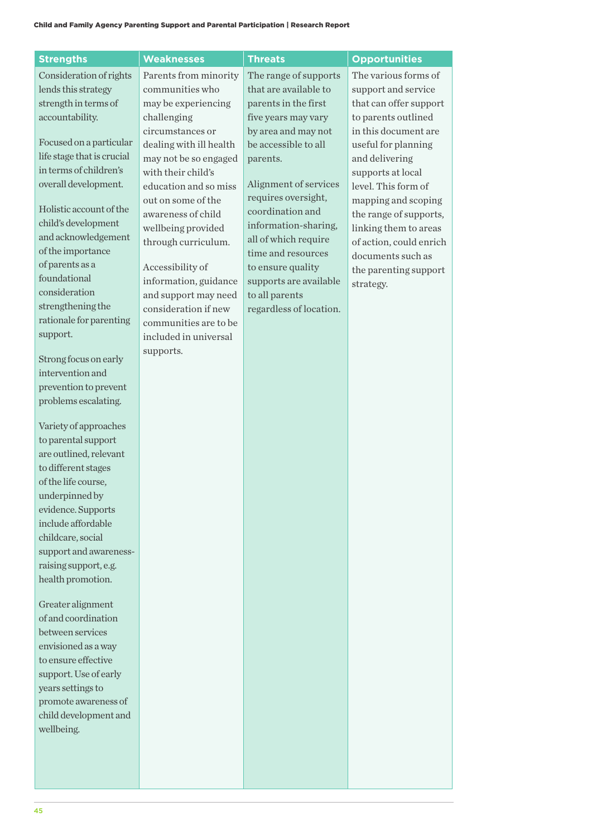| <b>Strengths</b>                           | <b>Weaknesses</b>                            | <b>Threats</b>          | <b>Opportunities</b>    |
|--------------------------------------------|----------------------------------------------|-------------------------|-------------------------|
| Consideration of rights                    | Parents from minority                        | The range of supports   | The various forms of    |
| lends this strategy                        | communities who                              | that are available to   | support and service     |
| strength in terms of                       | may be experiencing                          | parents in the first    | that can offer support  |
| accountability.                            | challenging                                  | five years may vary     | to parents outlined     |
|                                            | circumstances or                             | by area and may not     | in this document are    |
| Focused on a particular                    | dealing with ill health                      | be accessible to all    | useful for planning     |
| life stage that is crucial                 | may not be so engaged                        | parents.                | and delivering          |
| in terms of children's                     | with their child's                           |                         | supports at local       |
| overall development.                       | education and so miss                        | Alignment of services   | level. This form of     |
|                                            | out on some of the                           | requires oversight,     | mapping and scoping     |
| Holistic account of the                    | awareness of child                           | coordination and        | the range of supports,  |
| child's development<br>and acknowledgement | wellbeing provided                           | information-sharing,    | linking them to areas   |
| of the importance                          | through curriculum.                          | all of which require    | of action, could enrich |
| of parents as a                            |                                              | time and resources      | documents such as       |
| foundational                               | Accessibility of                             | to ensure quality       | the parenting support   |
| consideration                              | information, guidance                        | supports are available  | strategy.               |
| strengthening the                          | and support may need<br>consideration if new | to all parents          |                         |
| rationale for parenting                    | communities are to be                        | regardless of location. |                         |
| support.                                   | included in universal                        |                         |                         |
|                                            | supports.                                    |                         |                         |
| Strong focus on early                      |                                              |                         |                         |
| intervention and                           |                                              |                         |                         |
| prevention to prevent                      |                                              |                         |                         |
| problems escalating.                       |                                              |                         |                         |
|                                            |                                              |                         |                         |
| Variety of approaches                      |                                              |                         |                         |
| to parental support                        |                                              |                         |                         |
| are outlined, relevant                     |                                              |                         |                         |
| to different stages                        |                                              |                         |                         |
| of the life course,                        |                                              |                         |                         |
| underpinned by                             |                                              |                         |                         |
| evidence. Supports<br>include affordable   |                                              |                         |                         |
| childcare, social                          |                                              |                         |                         |
| support and awareness-                     |                                              |                         |                         |
| raising support, e.g.                      |                                              |                         |                         |
| health promotion.                          |                                              |                         |                         |
|                                            |                                              |                         |                         |
| Greater alignment                          |                                              |                         |                         |
| of and coordination                        |                                              |                         |                         |
| between services                           |                                              |                         |                         |
| envisioned as a way                        |                                              |                         |                         |
| to ensure effective                        |                                              |                         |                         |
| support. Use of early                      |                                              |                         |                         |
| years settings to                          |                                              |                         |                         |
| promote awareness of                       |                                              |                         |                         |
| child development and                      |                                              |                         |                         |
| wellbeing.                                 |                                              |                         |                         |
|                                            |                                              |                         |                         |
|                                            |                                              |                         |                         |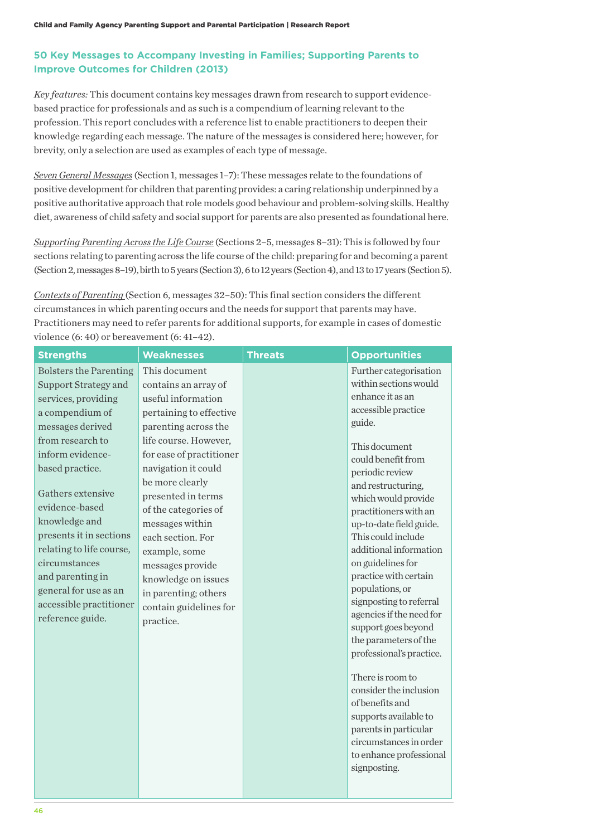# **50 Key Messages to Accompany Investing in Families; Supporting Parents to Improve Outcomes for Children (2013)**

*Key features:* This document contains key messages drawn from research to support evidencebased practice for professionals and as such is a compendium of learning relevant to the profession. This report concludes with a reference list to enable practitioners to deepen their knowledge regarding each message. The nature of the messages is considered here; however, for brevity, only a selection are used as examples of each type of message.

*Seven General Messages* (Section 1, messages 1–7): These messages relate to the foundations of positive development for children that parenting provides: a caring relationship underpinned by a positive authoritative approach that role models good behaviour and problem-solving skills. Healthy diet, awareness of child safety and social support for parents are also presented as foundational here.

*Supporting Parenting Across the Life Course* (Sections 2–5, messages 8–31): This is followed by four sections relating to parenting across the life course of the child: preparing for and becoming a parent (Section 2, messages 8–19), birth to 5 years (Section 3), 6 to 12 years (Section 4), and 13 to 17 years (Section 5).

*Contexts of Parenting* (Section 6, messages 32–50): This final section considers the different circumstances in which parenting occurs and the needs for support that parents may have. Practitioners may need to refer parents for additional supports, for example in cases of domestic violence (6: 40) or bereavement (6: 41–42).

| <b>Strengths</b>                                                                                                                                                                                                                                                                                                                                                                                           | <b>Weaknesses</b>                                                                                                                                                                                                                                                                                                                                                                                                              | <b>Threats</b> | <b>Opportunities</b>                                                                                                                                                                                                                                                                                                                                                                                                                                                                                                                                                                                                                                                                                        |
|------------------------------------------------------------------------------------------------------------------------------------------------------------------------------------------------------------------------------------------------------------------------------------------------------------------------------------------------------------------------------------------------------------|--------------------------------------------------------------------------------------------------------------------------------------------------------------------------------------------------------------------------------------------------------------------------------------------------------------------------------------------------------------------------------------------------------------------------------|----------------|-------------------------------------------------------------------------------------------------------------------------------------------------------------------------------------------------------------------------------------------------------------------------------------------------------------------------------------------------------------------------------------------------------------------------------------------------------------------------------------------------------------------------------------------------------------------------------------------------------------------------------------------------------------------------------------------------------------|
| <b>Bolsters the Parenting</b><br>Support Strategy and<br>services, providing<br>a compendium of<br>messages derived<br>from research to<br>inform evidence-<br>based practice.<br>Gathers extensive<br>evidence-based<br>knowledge and<br>presents it in sections<br>relating to life course,<br>circumstances<br>and parenting in<br>general for use as an<br>accessible practitioner<br>reference guide. | This document<br>contains an array of<br>useful information<br>pertaining to effective<br>parenting across the<br>life course. However,<br>for ease of practitioner<br>navigation it could<br>be more clearly<br>presented in terms<br>of the categories of<br>messages within<br>each section. For<br>example, some<br>messages provide<br>knowledge on issues<br>in parenting; others<br>contain guidelines for<br>practice. |                | Further categorisation<br>within sections would<br>enhance it as an<br>accessible practice<br>guide.<br>This document<br>could benefit from<br>periodic review<br>and restructuring,<br>which would provide<br>practitioners with an<br>up-to-date field guide.<br>This could include<br>additional information<br>on guidelines for<br>practice with certain<br>populations, or<br>signposting to referral<br>agencies if the need for<br>support goes beyond<br>the parameters of the<br>professional's practice.<br>There is room to<br>consider the inclusion<br>of benefits and<br>supports available to<br>parents in particular<br>circumstances in order<br>to enhance professional<br>signposting. |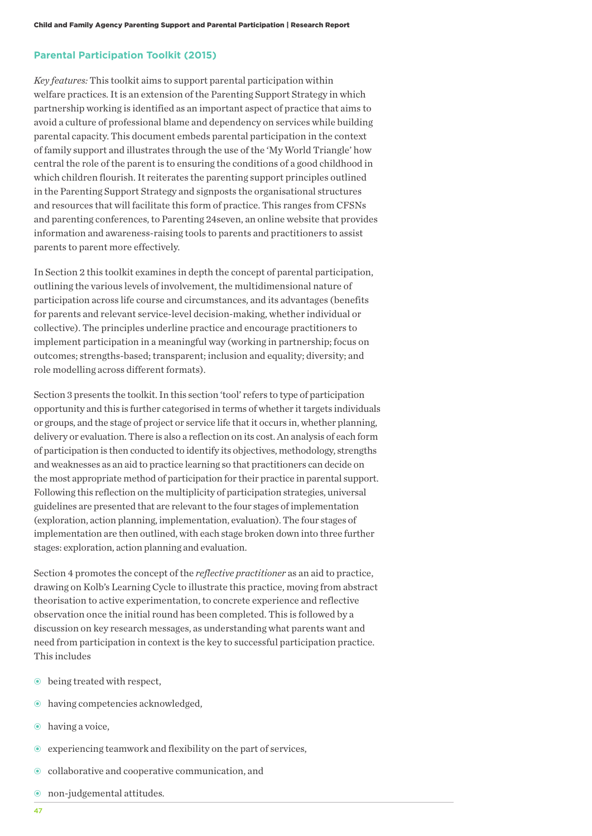#### **Parental Participation Toolkit (2015)**

*Key features:* This toolkit aims to support parental participation within welfare practices. It is an extension of the Parenting Support Strategy in which partnership working is identified as an important aspect of practice that aims to avoid a culture of professional blame and dependency on services while building parental capacity. This document embeds parental participation in the context of family support and illustrates through the use of the 'My World Triangle' how central the role of the parent is to ensuring the conditions of a good childhood in which children flourish. It reiterates the parenting support principles outlined in the Parenting Support Strategy and signposts the organisational structures and resources that will facilitate this form of practice. This ranges from CFSNs and parenting conferences, to Parenting 24seven, an online website that provides information and awareness-raising tools to parents and practitioners to assist parents to parent more effectively.

In Section 2 this toolkit examines in depth the concept of parental participation, outlining the various levels of involvement, the multidimensional nature of participation across life course and circumstances, and its advantages (benefits for parents and relevant service-level decision-making, whether individual or collective). The principles underline practice and encourage practitioners to implement participation in a meaningful way (working in partnership; focus on outcomes; strengths-based; transparent; inclusion and equality; diversity; and role modelling across different formats).

Section 3 presents the toolkit. In this section 'tool' refers to type of participation opportunity and this is further categorised in terms of whether it targets individuals or groups, and the stage of project or service life that it occurs in, whether planning, delivery or evaluation. There is also a reflection on its cost. An analysis of each form of participation is then conducted to identify its objectives, methodology, strengths and weaknesses as an aid to practice learning so that practitioners can decide on the most appropriate method of participation for their practice in parental support. Following this reflection on the multiplicity of participation strategies, universal guidelines are presented that are relevant to the four stages of implementation (exploration, action planning, implementation, evaluation). The four stages of implementation are then outlined, with each stage broken down into three further stages: exploration, action planning and evaluation.

Section 4 promotes the concept of the *reflective practitioner* as an aid to practice, drawing on Kolb's Learning Cycle to illustrate this practice, moving from abstract theorisation to active experimentation, to concrete experience and reflective observation once the initial round has been completed. This is followed by a discussion on key research messages, as understanding what parents want and need from participation in context is the key to successful participation practice. This includes

- $\bullet$  being treated with respect,
- $\odot$  having competencies acknowledged,
- $\odot$  having a voice,
- $\odot$  experiencing teamwork and flexibility on the part of services,
- collaborative and cooperative communication, and
- non-judgemental attitudes.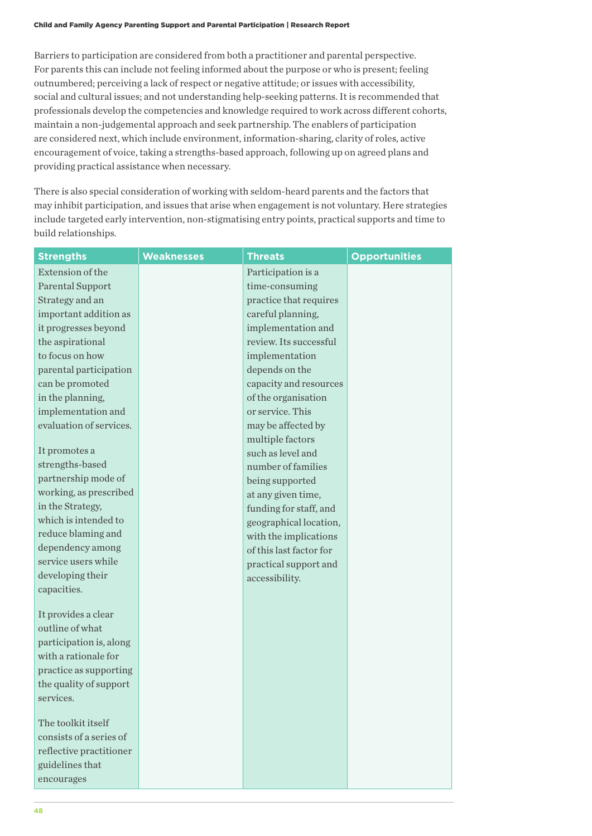Barriers to participation are considered from both a practitioner and parental perspective. For parents this can include not feeling informed about the purpose or who is present; feeling outnumbered; perceiving a lack of respect or negative attitude; or issues with accessibility, social and cultural issues; and not understanding help-seeking patterns. It is recommended that professionals develop the competencies and knowledge required to work across different cohorts, maintain a non-judgemental approach and seek partnership. The enablers of participation are considered next, which include environment, information-sharing, clarity of roles, active encouragement of voice, taking a strengths-based approach, following up on agreed plans and providing practical assistance when necessary.

There is also special consideration of working with seldom-heard parents and the factors that may inhibit participation, and issues that arise when engagement is not voluntary. Here strategies include targeted early intervention, non-stigmatising entry points, practical supports and time to build relationships.

| <b>Strengths</b>                                 | <b>Weaknesses</b> | <b>Threats</b>          | <b>Opportunities</b> |
|--------------------------------------------------|-------------------|-------------------------|----------------------|
| Extension of the                                 |                   | Participation is a      |                      |
| Parental Support                                 |                   | time-consuming          |                      |
| Strategy and an                                  |                   | practice that requires  |                      |
| important addition as                            |                   | careful planning,       |                      |
| it progresses beyond                             |                   | implementation and      |                      |
| the aspirational                                 |                   | review. Its successful  |                      |
| to focus on how                                  |                   | implementation          |                      |
| parental participation                           |                   | depends on the          |                      |
| can be promoted                                  |                   | capacity and resources  |                      |
| in the planning,                                 |                   | of the organisation     |                      |
| implementation and                               |                   | or service. This        |                      |
| evaluation of services.                          |                   | may be affected by      |                      |
|                                                  |                   | multiple factors        |                      |
| It promotes a                                    |                   | such as level and       |                      |
| strengths-based                                  |                   | number of families      |                      |
| partnership mode of                              |                   | being supported         |                      |
| working, as prescribed                           |                   | at any given time,      |                      |
| in the Strategy,                                 |                   | funding for staff, and  |                      |
| which is intended to                             |                   | geographical location,  |                      |
| reduce blaming and                               |                   | with the implications   |                      |
| dependency among                                 |                   | of this last factor for |                      |
| service users while                              |                   | practical support and   |                      |
| developing their                                 |                   | accessibility.          |                      |
| capacities.                                      |                   |                         |                      |
|                                                  |                   |                         |                      |
| It provides a clear<br>outline of what           |                   |                         |                      |
|                                                  |                   |                         |                      |
| participation is, along<br>with a rationale for  |                   |                         |                      |
|                                                  |                   |                         |                      |
| practice as supporting<br>the quality of support |                   |                         |                      |
| services.                                        |                   |                         |                      |
|                                                  |                   |                         |                      |
| The toolkit itself                               |                   |                         |                      |
| consists of a series of                          |                   |                         |                      |
| reflective practitioner                          |                   |                         |                      |
| guidelines that                                  |                   |                         |                      |
| encourages                                       |                   |                         |                      |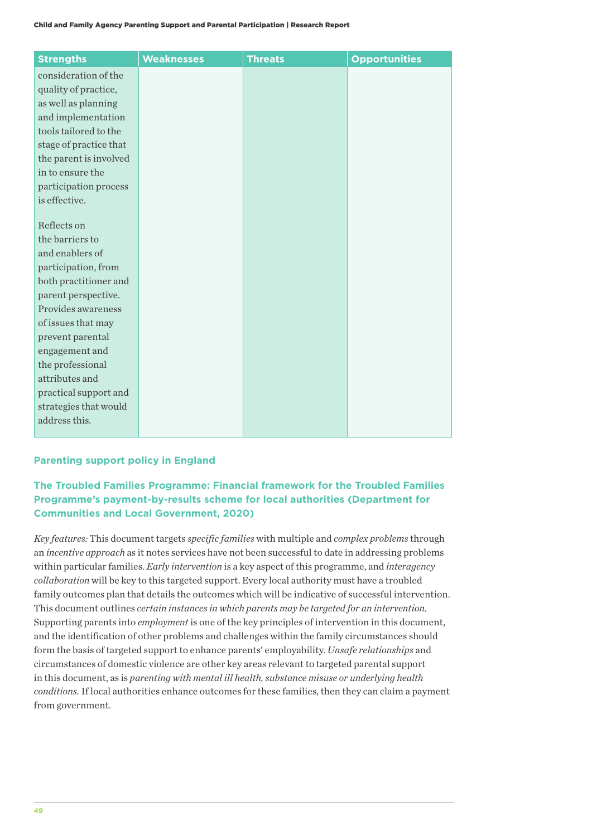| <b>Strengths</b>               | <b>Weaknesses</b> | <b>Threats</b> | <b>Opportunities</b> |
|--------------------------------|-------------------|----------------|----------------------|
| consideration of the           |                   |                |                      |
| quality of practice,           |                   |                |                      |
| as well as planning            |                   |                |                      |
| and implementation             |                   |                |                      |
| tools tailored to the          |                   |                |                      |
| stage of practice that         |                   |                |                      |
| the parent is involved         |                   |                |                      |
| in to ensure the               |                   |                |                      |
| participation process          |                   |                |                      |
| is effective.                  |                   |                |                      |
|                                |                   |                |                      |
| Reflects on<br>the barriers to |                   |                |                      |
| and enablers of                |                   |                |                      |
| participation, from            |                   |                |                      |
| both practitioner and          |                   |                |                      |
| parent perspective.            |                   |                |                      |
| Provides awareness             |                   |                |                      |
| of issues that may             |                   |                |                      |
| prevent parental               |                   |                |                      |
| engagement and                 |                   |                |                      |
| the professional               |                   |                |                      |
| attributes and                 |                   |                |                      |
| practical support and          |                   |                |                      |
| strategies that would          |                   |                |                      |
| address this.                  |                   |                |                      |
|                                |                   |                |                      |

## **Parenting support policy in England**

# **The Troubled Families Programme: Financial framework for the Troubled Families Programme's payment-by-results scheme for local authorities (Department for Communities and Local Government, 2020)**

*Key features:* This document targets *specific families* with multiple and *complex problems* through an *incentive approach* as it notes services have not been successful to date in addressing problems within particular families. *Early intervention* is a key aspect of this programme, and *interagency collaboration* will be key to this targeted support. Every local authority must have a troubled family outcomes plan that details the outcomes which will be indicative of successful intervention. This document outlines *certain instances in which parents may be targeted for an intervention.* Supporting parents into *employment* is one of the key principles of intervention in this document, and the identification of other problems and challenges within the family circumstances should form the basis of targeted support to enhance parents' employability. *Unsafe relationships* and circumstances of domestic violence are other key areas relevant to targeted parental support in this document, as is *parenting with mental ill health, substance misuse or underlying health conditions.* If local authorities enhance outcomes for these families, then they can claim a payment from government.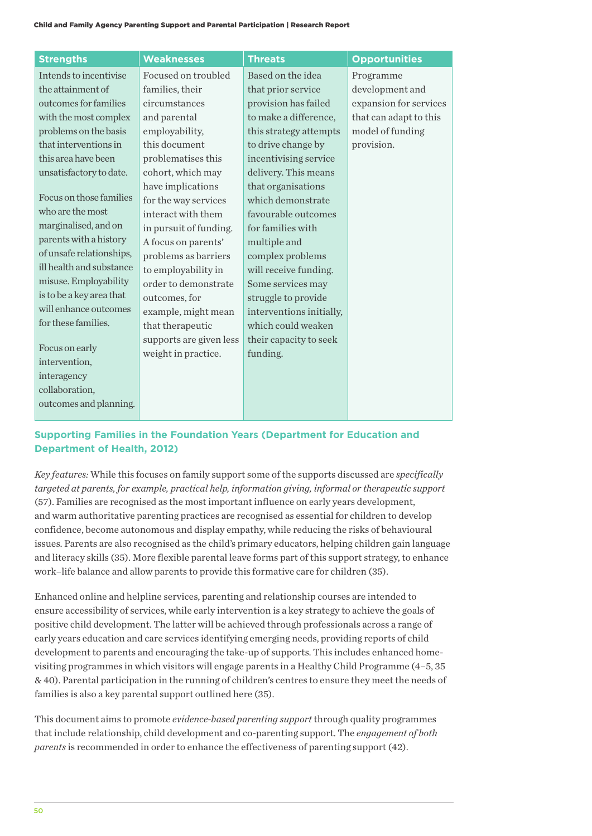| <b>Strengths</b>         | <b>Weaknesses</b>       | <b>Threats</b>           | <b>Opportunities</b>   |
|--------------------------|-------------------------|--------------------------|------------------------|
| Intends to incentivise   | Focused on troubled     | Based on the idea        | Programme              |
| the attainment of        | families, their         | that prior service       | development and        |
| outcomes for families    | circumstances           | provision has failed     | expansion for services |
| with the most complex    | and parental            | to make a difference,    | that can adapt to this |
| problems on the basis    | employability,          | this strategy attempts   | model of funding       |
| that interventions in    | this document           | to drive change by       | provision.             |
| this area have been      | problematises this      | incentivising service    |                        |
| unsatisfactory to date.  | cohort, which may       | delivery. This means     |                        |
|                          | have implications       | that organisations       |                        |
| Focus on those families  | for the way services    | which demonstrate        |                        |
| who are the most         | interact with them      | favourable outcomes      |                        |
| marginalised, and on     | in pursuit of funding.  | for families with        |                        |
| parents with a history   | A focus on parents'     | multiple and             |                        |
| of unsafe relationships, | problems as barriers    | complex problems         |                        |
| ill health and substance | to employability in     | will receive funding.    |                        |
| misuse. Employability    | order to demonstrate    | Some services may        |                        |
| is to be a key area that | outcomes, for           | struggle to provide      |                        |
| will enhance outcomes    | example, might mean     | interventions initially, |                        |
| for these families.      | that therapeutic        | which could weaken       |                        |
|                          | supports are given less | their capacity to seek   |                        |
| Focus on early           | weight in practice.     | funding.                 |                        |
| intervention,            |                         |                          |                        |
| interagency              |                         |                          |                        |
| collaboration,           |                         |                          |                        |
| outcomes and planning.   |                         |                          |                        |

# **Supporting Families in the Foundation Years (Department for Education and Department of Health, 2012)**

*Key features:* While this focuses on family support some of the supports discussed are *specifically targeted at parents, for example, practical help, information giving, informal or therapeutic support*  (57). Families are recognised as the most important influence on early years development, and warm authoritative parenting practices are recognised as essential for children to develop confidence, become autonomous and display empathy, while reducing the risks of behavioural issues. Parents are also recognised as the child's primary educators, helping children gain language and literacy skills (35). More flexible parental leave forms part of this support strategy, to enhance work–life balance and allow parents to provide this formative care for children (35).

Enhanced online and helpline services, parenting and relationship courses are intended to ensure accessibility of services, while early intervention is a key strategy to achieve the goals of positive child development. The latter will be achieved through professionals across a range of early years education and care services identifying emerging needs, providing reports of child development to parents and encouraging the take-up of supports. This includes enhanced homevisiting programmes in which visitors will engage parents in a Healthy Child Programme (4–5, 35 & 40). Parental participation in the running of children's centres to ensure they meet the needs of families is also a key parental support outlined here (35).

This document aims to promote *evidence-based parenting support* through quality programmes that include relationship, child development and co-parenting support. The *engagement of both parents* is recommended in order to enhance the effectiveness of parenting support (42).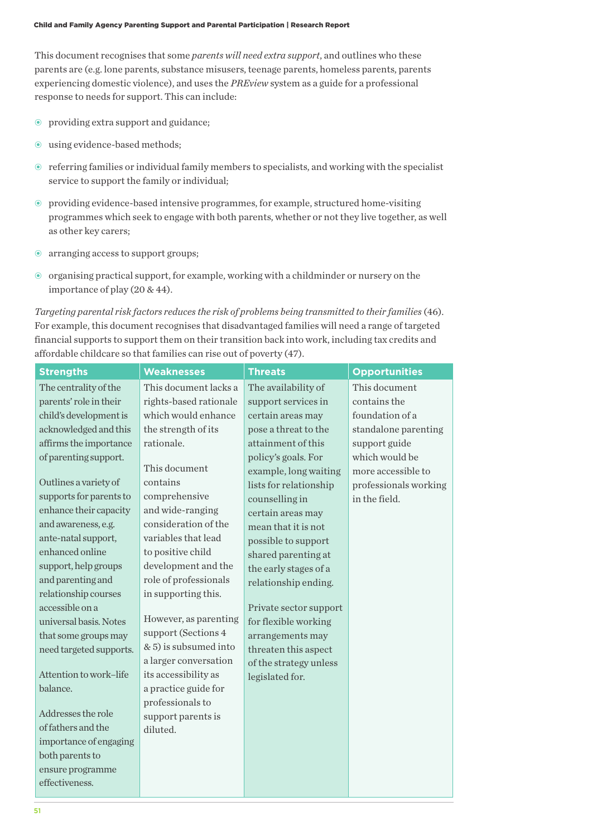This document recognises that some *parents will need extra support*, and outlines who these parents are (e.g. lone parents, substance misusers, teenage parents, homeless parents, parents experiencing domestic violence), and uses the *PREview* system as a guide for a professional response to needs for support. This can include:

- providing extra support and guidance;
- $\odot$  using evidence-based methods;
- $\odot$  referring families or individual family members to specialists, and working with the specialist service to support the family or individual;
- $\odot$  providing evidence-based intensive programmes, for example, structured home-visiting programmes which seek to engage with both parents, whether or not they live together, as well as other key carers;
- $\odot$  arranging access to support groups;
- organising practical support, for example, working with a childminder or nursery on the importance of play (20 & 44).

*Targeting parental risk factors reduces the risk of problems being transmitted to their families* (46). For example, this document recognises that disadvantaged families will need a range of targeted financial supports to support them on their transition back into work, including tax credits and affordable childcare so that families can rise out of poverty (47).

| <b>Strengths</b>                                                                                                                                                                                                                                                                                                                                                                                                                                                                                                                      | <b>Weaknesses</b>                                                                                                                                                                                                                                                                                                                                                                                                                                                                                                    | <b>Threats</b>                                                                                                                                                                                                                                                                                                                                                                                                                                                                                  | <b>Opportunities</b>                                                                                                                                                        |
|---------------------------------------------------------------------------------------------------------------------------------------------------------------------------------------------------------------------------------------------------------------------------------------------------------------------------------------------------------------------------------------------------------------------------------------------------------------------------------------------------------------------------------------|----------------------------------------------------------------------------------------------------------------------------------------------------------------------------------------------------------------------------------------------------------------------------------------------------------------------------------------------------------------------------------------------------------------------------------------------------------------------------------------------------------------------|-------------------------------------------------------------------------------------------------------------------------------------------------------------------------------------------------------------------------------------------------------------------------------------------------------------------------------------------------------------------------------------------------------------------------------------------------------------------------------------------------|-----------------------------------------------------------------------------------------------------------------------------------------------------------------------------|
| The centrality of the<br>parents' role in their<br>child's development is<br>acknowledged and this<br>affirms the importance<br>of parenting support.<br>Outlines a variety of<br>supports for parents to<br>enhance their capacity<br>and awareness, e.g.<br>ante-natal support,<br>enhanced online<br>support, help groups<br>and parenting and<br>relationship courses<br>accessible on a<br>universal basis. Notes<br>that some groups may<br>need targeted supports.<br>Attention to work-life<br>balance.<br>Addresses the role | This document lacks a<br>rights-based rationale<br>which would enhance<br>the strength of its<br>rationale.<br>This document<br>contains<br>comprehensive<br>and wide-ranging<br>consideration of the<br>variables that lead<br>to positive child<br>development and the<br>role of professionals<br>in supporting this.<br>However, as parenting<br>support (Sections 4<br>& 5) is subsumed into<br>a larger conversation<br>its accessibility as<br>a practice guide for<br>professionals to<br>support parents is | The availability of<br>support services in<br>certain areas may<br>pose a threat to the<br>attainment of this<br>policy's goals. For<br>example, long waiting<br>lists for relationship<br>counselling in<br>certain areas may<br>mean that it is not<br>possible to support<br>shared parenting at<br>the early stages of a<br>relationship ending.<br>Private sector support<br>for flexible working<br>arrangements may<br>threaten this aspect<br>of the strategy unless<br>legislated for. | This document<br>contains the<br>foundation of a<br>standalone parenting<br>support guide<br>which would be<br>more accessible to<br>professionals working<br>in the field. |
| of fathers and the<br>importance of engaging<br>both parents to<br>ensure programme<br>effectiveness.                                                                                                                                                                                                                                                                                                                                                                                                                                 | diluted.                                                                                                                                                                                                                                                                                                                                                                                                                                                                                                             |                                                                                                                                                                                                                                                                                                                                                                                                                                                                                                 |                                                                                                                                                                             |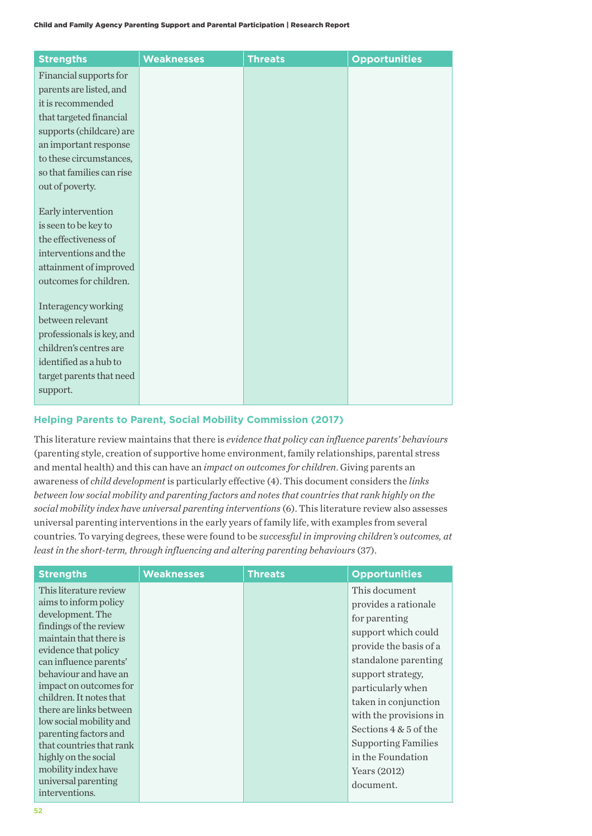| <b>Strengths</b>                             | <b>Weaknesses</b> | <b>Threats</b> | <b>Opportunities</b> |
|----------------------------------------------|-------------------|----------------|----------------------|
| Financial supports for                       |                   |                |                      |
| parents are listed, and                      |                   |                |                      |
| it is recommended                            |                   |                |                      |
| that targeted financial                      |                   |                |                      |
| supports (childcare) are                     |                   |                |                      |
| an important response                        |                   |                |                      |
| to these circumstances,                      |                   |                |                      |
| so that families can rise                    |                   |                |                      |
| out of poverty.                              |                   |                |                      |
|                                              |                   |                |                      |
| Early intervention                           |                   |                |                      |
| is seen to be key to<br>the effectiveness of |                   |                |                      |
| interventions and the                        |                   |                |                      |
| attainment of improved                       |                   |                |                      |
| outcomes for children.                       |                   |                |                      |
|                                              |                   |                |                      |
| Interagency working                          |                   |                |                      |
| between relevant                             |                   |                |                      |
| professionals is key, and                    |                   |                |                      |
| children's centres are                       |                   |                |                      |
| identified as a hub to                       |                   |                |                      |
| target parents that need                     |                   |                |                      |
| support.                                     |                   |                |                      |
|                                              |                   |                |                      |

## **Helping Parents to Parent, Social Mobility Commission (2017)**

This literature review maintains that there is *evidence that policy can influence parents' behaviours* (parenting style, creation of supportive home environment, family relationships, parental stress and mental health) and this can have an *impact on outcomes for children*. Giving parents an awareness of *child development* is particularly effective (4). This document considers the *links between low social mobility and parenting factors and notes that countries that rank highly on the social mobility index have universal parenting interventions* (6). This literature review also assesses universal parenting interventions in the early years of family life, with examples from several countries. To varying degrees, these were found to be *successful in improving children's outcomes, at least in the short-term, through influencing and altering parenting behaviours* (37).

| <b>Strengths</b>                                | <b>Weaknesses</b> | <b>Threats</b> | <b>Opportunities</b>       |
|-------------------------------------------------|-------------------|----------------|----------------------------|
| This literature review                          |                   |                | This document              |
| aims to inform policy                           |                   |                | provides a rationale       |
| development. The                                |                   |                | for parenting              |
| findings of the review                          |                   |                | support which could        |
| maintain that there is                          |                   |                | provide the basis of a     |
| evidence that policy                            |                   |                | standalone parenting       |
| can influence parents'<br>behaviour and have an |                   |                |                            |
| impact on outcomes for                          |                   |                | support strategy,          |
| children. It notes that                         |                   |                | particularly when          |
| there are links between                         |                   |                | taken in conjunction       |
| low social mobility and                         |                   |                | with the provisions in     |
| parenting factors and                           |                   |                | Sections $4 & 5$ of the    |
| that countries that rank                        |                   |                | <b>Supporting Families</b> |
| highly on the social                            |                   |                | in the Foundation          |
| mobility index have                             |                   |                | Years $(2012)$             |
| universal parenting                             |                   |                | document.                  |
| interventions.                                  |                   |                |                            |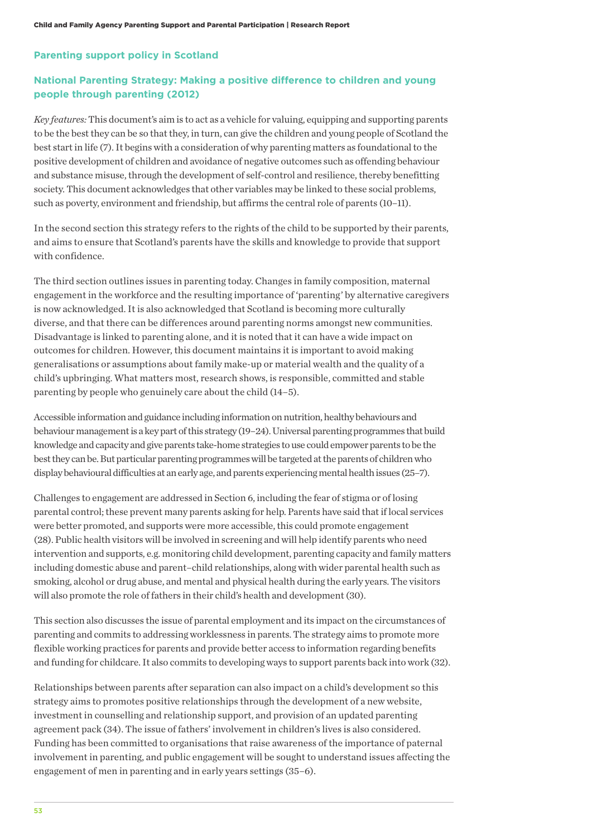## **Parenting support policy in Scotland**

# **National Parenting Strategy: Making a positive difference to children and young people through parenting (2012)**

*Key features:* This document's aim is to act as a vehicle for valuing, equipping and supporting parents to be the best they can be so that they, in turn, can give the children and young people of Scotland the best start in life (7). It begins with a consideration of why parenting matters as foundational to the positive development of children and avoidance of negative outcomes such as offending behaviour and substance misuse, through the development of self-control and resilience, thereby benefitting society. This document acknowledges that other variables may be linked to these social problems, such as poverty, environment and friendship, but affirms the central role of parents (10–11).

In the second section this strategy refers to the rights of the child to be supported by their parents, and aims to ensure that Scotland's parents have the skills and knowledge to provide that support with confidence.

The third section outlines issues in parenting today. Changes in family composition, maternal engagement in the workforce and the resulting importance of 'parenting' by alternative caregivers is now acknowledged. It is also acknowledged that Scotland is becoming more culturally diverse, and that there can be differences around parenting norms amongst new communities. Disadvantage is linked to parenting alone, and it is noted that it can have a wide impact on outcomes for children. However, this document maintains it is important to avoid making generalisations or assumptions about family make-up or material wealth and the quality of a child's upbringing. What matters most, research shows, is responsible, committed and stable parenting by people who genuinely care about the child (14–5).

Accessible information and guidance including information on nutrition, healthy behaviours and behaviour management is a key part of this strategy (19–24). Universal parenting programmes that build knowledge and capacity and give parents take-home strategies to use could empower parents to be the best they can be. But particular parenting programmes will be targeted at the parents of children who display behavioural difficulties at an early age, and parents experiencing mental health issues (25–7).

Challenges to engagement are addressed in Section 6, including the fear of stigma or of losing parental control; these prevent many parents asking for help. Parents have said that if local services were better promoted, and supports were more accessible, this could promote engagement (28). Public health visitors will be involved in screening and will help identify parents who need intervention and supports, e.g. monitoring child development, parenting capacity and family matters including domestic abuse and parent–child relationships, along with wider parental health such as smoking, alcohol or drug abuse, and mental and physical health during the early years. The visitors will also promote the role of fathers in their child's health and development (30).

This section also discusses the issue of parental employment and its impact on the circumstances of parenting and commits to addressing worklessness in parents. The strategy aims to promote more flexible working practices for parents and provide better access to information regarding benefits and funding for childcare. It also commits to developing ways to support parents back into work (32).

Relationships between parents after separation can also impact on a child's development so this strategy aims to promotes positive relationships through the development of a new website, investment in counselling and relationship support, and provision of an updated parenting agreement pack (34). The issue of fathers' involvement in children's lives is also considered. Funding has been committed to organisations that raise awareness of the importance of paternal involvement in parenting, and public engagement will be sought to understand issues affecting the engagement of men in parenting and in early years settings (35–6).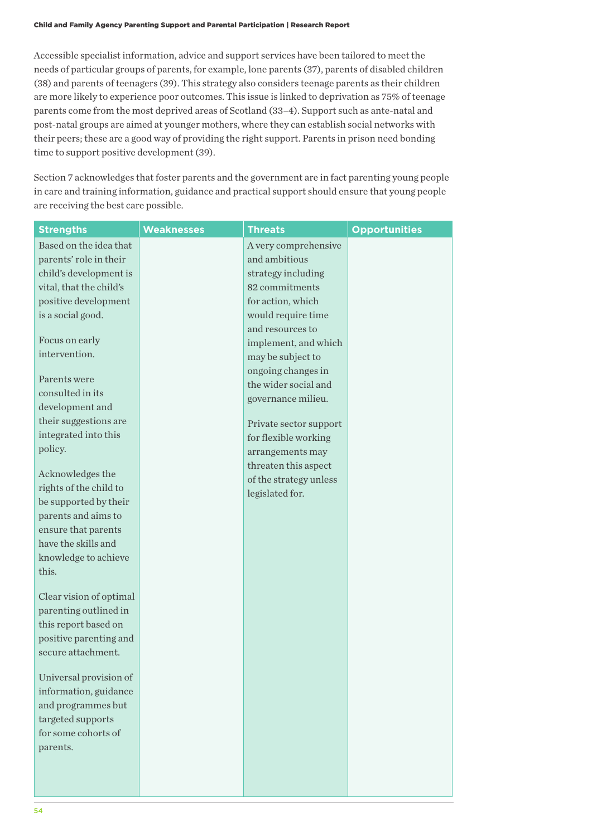Accessible specialist information, advice and support services have been tailored to meet the needs of particular groups of parents, for example, lone parents (37), parents of disabled children (38) and parents of teenagers (39). This strategy also considers teenage parents as their children are more likely to experience poor outcomes. This issue is linked to deprivation as 75% of teenage parents come from the most deprived areas of Scotland (33–4). Support such as ante-natal and post-natal groups are aimed at younger mothers, where they can establish social networks with their peers; these are a good way of providing the right support. Parents in prison need bonding time to support positive development (39).

Section 7 acknowledges that foster parents and the government are in fact parenting young people in care and training information, guidance and practical support should ensure that young people are receiving the best care possible.

| <b>Strengths</b>                             | <b>Weaknesses</b> | <b>Threats</b>         | <b>Opportunities</b> |
|----------------------------------------------|-------------------|------------------------|----------------------|
| Based on the idea that                       |                   | A very comprehensive   |                      |
| parents' role in their                       |                   | and ambitious          |                      |
| child's development is                       |                   | strategy including     |                      |
| vital, that the child's                      |                   | 82 commitments         |                      |
| positive development                         |                   | for action, which      |                      |
| is a social good.                            |                   | would require time     |                      |
|                                              |                   | and resources to       |                      |
| Focus on early                               |                   | implement, and which   |                      |
| intervention.                                |                   | may be subject to      |                      |
|                                              |                   | ongoing changes in     |                      |
| Parents were                                 |                   | the wider social and   |                      |
| consulted in its                             |                   | governance milieu.     |                      |
| development and                              |                   |                        |                      |
| their suggestions are                        |                   | Private sector support |                      |
| integrated into this                         |                   | for flexible working   |                      |
| policy.                                      |                   | arrangements may       |                      |
|                                              |                   | threaten this aspect   |                      |
| Acknowledges the                             |                   | of the strategy unless |                      |
| rights of the child to                       |                   | legislated for.        |                      |
| be supported by their                        |                   |                        |                      |
| parents and aims to                          |                   |                        |                      |
| ensure that parents                          |                   |                        |                      |
| have the skills and                          |                   |                        |                      |
| knowledge to achieve                         |                   |                        |                      |
| this.                                        |                   |                        |                      |
|                                              |                   |                        |                      |
| Clear vision of optimal                      |                   |                        |                      |
| parenting outlined in                        |                   |                        |                      |
| this report based on                         |                   |                        |                      |
| positive parenting and<br>secure attachment. |                   |                        |                      |
|                                              |                   |                        |                      |
| Universal provision of                       |                   |                        |                      |
| information, guidance                        |                   |                        |                      |
| and programmes but                           |                   |                        |                      |
| targeted supports                            |                   |                        |                      |
| for some cohorts of                          |                   |                        |                      |
| parents.                                     |                   |                        |                      |
|                                              |                   |                        |                      |
|                                              |                   |                        |                      |
|                                              |                   |                        |                      |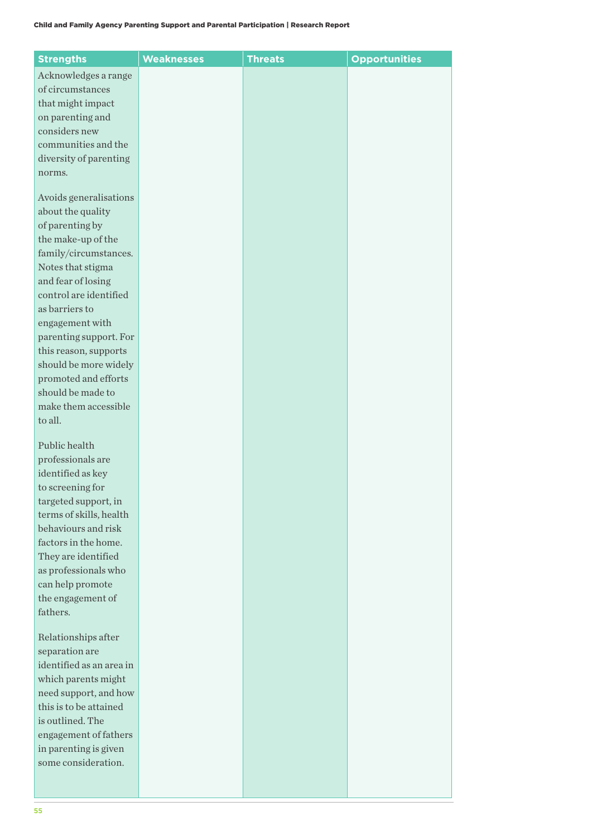| <b>Strengths</b>                                | <b>Weaknesses</b> | <b>Threats</b> | <b>Opportunities</b> |
|-------------------------------------------------|-------------------|----------------|----------------------|
| Acknowledges a range                            |                   |                |                      |
| of circumstances                                |                   |                |                      |
| that might impact                               |                   |                |                      |
| on parenting and                                |                   |                |                      |
| considers new                                   |                   |                |                      |
| communities and the                             |                   |                |                      |
| diversity of parenting                          |                   |                |                      |
| norms.                                          |                   |                |                      |
|                                                 |                   |                |                      |
| Avoids generalisations                          |                   |                |                      |
| about the quality                               |                   |                |                      |
| of parenting by                                 |                   |                |                      |
| the make-up of the                              |                   |                |                      |
| family/circumstances.                           |                   |                |                      |
| Notes that stigma                               |                   |                |                      |
| and fear of losing                              |                   |                |                      |
| control are identified                          |                   |                |                      |
| as barriers to                                  |                   |                |                      |
| engagement with                                 |                   |                |                      |
| parenting support. For<br>this reason, supports |                   |                |                      |
| should be more widely                           |                   |                |                      |
| promoted and efforts                            |                   |                |                      |
| should be made to                               |                   |                |                      |
| make them accessible                            |                   |                |                      |
| to all.                                         |                   |                |                      |
|                                                 |                   |                |                      |
| Public health                                   |                   |                |                      |
| professionals are                               |                   |                |                      |
| identified as key                               |                   |                |                      |
| to screening for                                |                   |                |                      |
| targeted support, in                            |                   |                |                      |
| terms of skills, health                         |                   |                |                      |
| behaviours and risk                             |                   |                |                      |
| factors in the home.                            |                   |                |                      |
| They are identified                             |                   |                |                      |
| as professionals who                            |                   |                |                      |
| can help promote<br>the engagement of           |                   |                |                      |
| fathers.                                        |                   |                |                      |
|                                                 |                   |                |                      |
| Relationships after                             |                   |                |                      |
| separation are                                  |                   |                |                      |
| identified as an area in                        |                   |                |                      |
| which parents might                             |                   |                |                      |
| need support, and how                           |                   |                |                      |
| this is to be attained                          |                   |                |                      |
| is outlined. The                                |                   |                |                      |
| engagement of fathers                           |                   |                |                      |
| in parenting is given                           |                   |                |                      |
| some consideration.                             |                   |                |                      |
|                                                 |                   |                |                      |
|                                                 |                   |                |                      |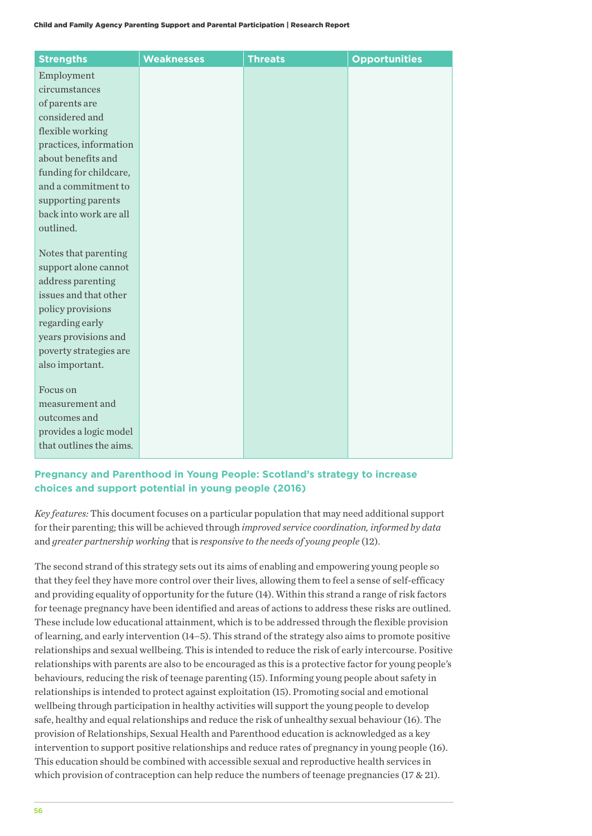| <b>Strengths</b>                               | <b>Weaknesses</b> | <b>Threats</b> | <b>Opportunities</b> |
|------------------------------------------------|-------------------|----------------|----------------------|
| Employment                                     |                   |                |                      |
| circumstances                                  |                   |                |                      |
| of parents are                                 |                   |                |                      |
| considered and                                 |                   |                |                      |
| flexible working                               |                   |                |                      |
| practices, information                         |                   |                |                      |
| about benefits and                             |                   |                |                      |
| funding for childcare,                         |                   |                |                      |
| and a commitment to                            |                   |                |                      |
| supporting parents                             |                   |                |                      |
| back into work are all                         |                   |                |                      |
| outlined.                                      |                   |                |                      |
|                                                |                   |                |                      |
| Notes that parenting                           |                   |                |                      |
| support alone cannot                           |                   |                |                      |
| address parenting                              |                   |                |                      |
| issues and that other                          |                   |                |                      |
| policy provisions                              |                   |                |                      |
| regarding early                                |                   |                |                      |
| years provisions and<br>poverty strategies are |                   |                |                      |
| also important.                                |                   |                |                      |
|                                                |                   |                |                      |
| Focus on                                       |                   |                |                      |
| measurement and                                |                   |                |                      |
| outcomes and                                   |                   |                |                      |
| provides a logic model                         |                   |                |                      |
| that outlines the aims.                        |                   |                |                      |
|                                                |                   |                |                      |

# **Pregnancy and Parenthood in Young People: Scotland's strategy to increase choices and support potential in young people (2016)**

*Key features:* This document focuses on a particular population that may need additional support for their parenting; this will be achieved through *improved service coordination, informed by data*  and *greater partnership working* that is *responsive to the needs of young people* (12).

The second strand of this strategy sets out its aims of enabling and empowering young people so that they feel they have more control over their lives, allowing them to feel a sense of self-efficacy and providing equality of opportunity for the future (14). Within this strand a range of risk factors for teenage pregnancy have been identified and areas of actions to address these risks are outlined. These include low educational attainment, which is to be addressed through the flexible provision of learning, and early intervention (14–5). This strand of the strategy also aims to promote positive relationships and sexual wellbeing. This is intended to reduce the risk of early intercourse. Positive relationships with parents are also to be encouraged as this is a protective factor for young people's behaviours, reducing the risk of teenage parenting (15). Informing young people about safety in relationships is intended to protect against exploitation (15). Promoting social and emotional wellbeing through participation in healthy activities will support the young people to develop safe, healthy and equal relationships and reduce the risk of unhealthy sexual behaviour (16). The provision of Relationships, Sexual Health and Parenthood education is acknowledged as a key intervention to support positive relationships and reduce rates of pregnancy in young people (16). This education should be combined with accessible sexual and reproductive health services in which provision of contraception can help reduce the numbers of teenage pregnancies (17 & 21).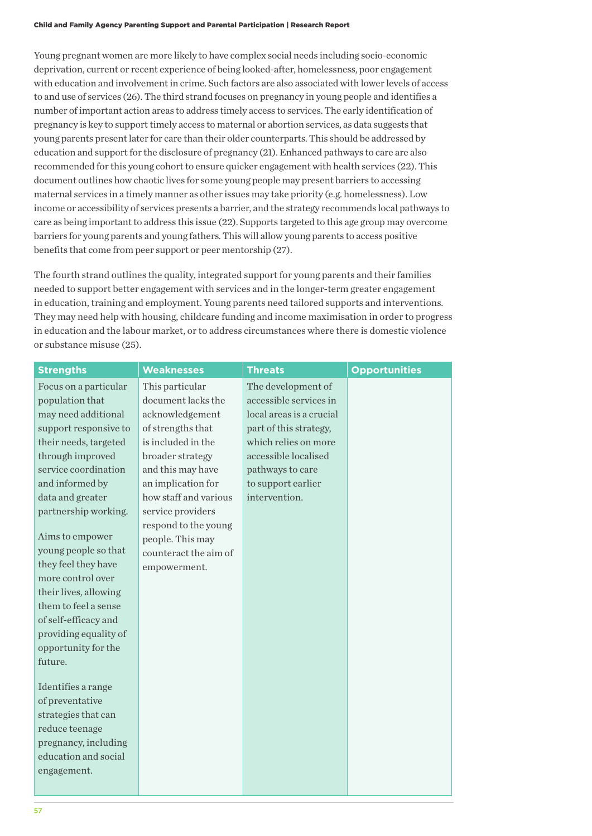Young pregnant women are more likely to have complex social needs including socio-economic deprivation, current or recent experience of being looked-after, homelessness, poor engagement with education and involvement in crime. Such factors are also associated with lower levels of access to and use of services (26). The third strand focuses on pregnancy in young people and identifies a number of important action areas to address timely access to services. The early identification of pregnancy is key to support timely access to maternal or abortion services, as data suggests that young parents present later for care than their older counterparts. This should be addressed by education and support for the disclosure of pregnancy (21). Enhanced pathways to care are also recommended for this young cohort to ensure quicker engagement with health services (22). This document outlines how chaotic lives for some young people may present barriers to accessing maternal services in a timely manner as other issues may take priority (e.g. homelessness). Low income or accessibility of services presents a barrier, and the strategy recommends local pathways to care as being important to address this issue (22). Supports targeted to this age group may overcome barriers for young parents and young fathers. This will allow young parents to access positive benefits that come from peer support or peer mentorship (27).

The fourth strand outlines the quality, integrated support for young parents and their families needed to support better engagement with services and in the longer-term greater engagement in education, training and employment. Young parents need tailored supports and interventions. They may need help with housing, childcare funding and income maximisation in order to progress in education and the labour market, or to address circumstances where there is domestic violence or substance misuse (25).

| <b>Strengths</b>               | <b>Weaknesses</b>     | <b>Threats</b>           | <b>Opportunities</b> |
|--------------------------------|-----------------------|--------------------------|----------------------|
| Focus on a particular          | This particular       | The development of       |                      |
| population that                | document lacks the    | accessible services in   |                      |
| may need additional            | acknowledgement       | local areas is a crucial |                      |
| support responsive to          | of strengths that     | part of this strategy,   |                      |
| their needs, targeted          | is included in the    | which relies on more     |                      |
| through improved               | broader strategy      | accessible localised     |                      |
| service coordination           | and this may have     | pathways to care         |                      |
| and informed by                | an implication for    | to support earlier       |                      |
| data and greater               | how staff and various | intervention.            |                      |
| partnership working.           | service providers     |                          |                      |
|                                | respond to the young  |                          |                      |
| Aims to empower                | people. This may      |                          |                      |
| young people so that           | counteract the aim of |                          |                      |
| they feel they have            | empowerment.          |                          |                      |
| more control over              |                       |                          |                      |
| their lives, allowing          |                       |                          |                      |
| them to feel a sense           |                       |                          |                      |
| of self-efficacy and           |                       |                          |                      |
| providing equality of          |                       |                          |                      |
| opportunity for the<br>future. |                       |                          |                      |
|                                |                       |                          |                      |
| Identifies a range             |                       |                          |                      |
| of preventative                |                       |                          |                      |
| strategies that can            |                       |                          |                      |
| reduce teenage                 |                       |                          |                      |
| pregnancy, including           |                       |                          |                      |
| education and social           |                       |                          |                      |
| engagement.                    |                       |                          |                      |
|                                |                       |                          |                      |
|                                |                       |                          |                      |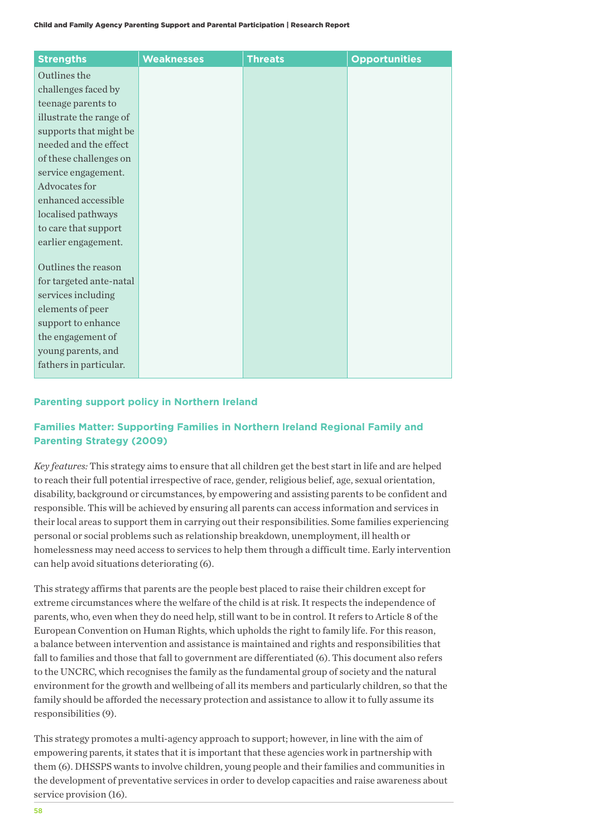| <b>Strengths</b>        | <b>Weaknesses</b> | <b>Threats</b> | <b>Opportunities</b> |
|-------------------------|-------------------|----------------|----------------------|
| Outlines the            |                   |                |                      |
| challenges faced by     |                   |                |                      |
| teenage parents to      |                   |                |                      |
| illustrate the range of |                   |                |                      |
| supports that might be  |                   |                |                      |
| needed and the effect   |                   |                |                      |
| of these challenges on  |                   |                |                      |
| service engagement.     |                   |                |                      |
| Advocates for           |                   |                |                      |
| enhanced accessible     |                   |                |                      |
| localised pathways      |                   |                |                      |
| to care that support    |                   |                |                      |
| earlier engagement.     |                   |                |                      |
| Outlines the reason     |                   |                |                      |
| for targeted ante-natal |                   |                |                      |
| services including      |                   |                |                      |
| elements of peer        |                   |                |                      |
| support to enhance      |                   |                |                      |
| the engagement of       |                   |                |                      |
| young parents, and      |                   |                |                      |
| fathers in particular.  |                   |                |                      |
|                         |                   |                |                      |

## **Parenting support policy in Northern Ireland**

# **Families Matter: Supporting Families in Northern Ireland Regional Family and Parenting Strategy (2009)**

*Key features:* This strategy aims to ensure that all children get the best start in life and are helped to reach their full potential irrespective of race, gender, religious belief, age, sexual orientation, disability, background or circumstances, by empowering and assisting parents to be confident and responsible. This will be achieved by ensuring all parents can access information and services in their local areas to support them in carrying out their responsibilities. Some families experiencing personal or social problems such as relationship breakdown, unemployment, ill health or homelessness may need access to services to help them through a difficult time. Early intervention can help avoid situations deteriorating (6).

This strategy affirms that parents are the people best placed to raise their children except for extreme circumstances where the welfare of the child is at risk. It respects the independence of parents, who, even when they do need help, still want to be in control. It refers to Article 8 of the European Convention on Human Rights, which upholds the right to family life. For this reason, a balance between intervention and assistance is maintained and rights and responsibilities that fall to families and those that fall to government are differentiated (6). This document also refers to the UNCRC, which recognises the family as the fundamental group of society and the natural environment for the growth and wellbeing of all its members and particularly children, so that the family should be afforded the necessary protection and assistance to allow it to fully assume its responsibilities (9).

This strategy promotes a multi-agency approach to support; however, in line with the aim of empowering parents, it states that it is important that these agencies work in partnership with them (6). DHSSPS wants to involve children, young people and their families and communities in the development of preventative services in order to develop capacities and raise awareness about service provision (16).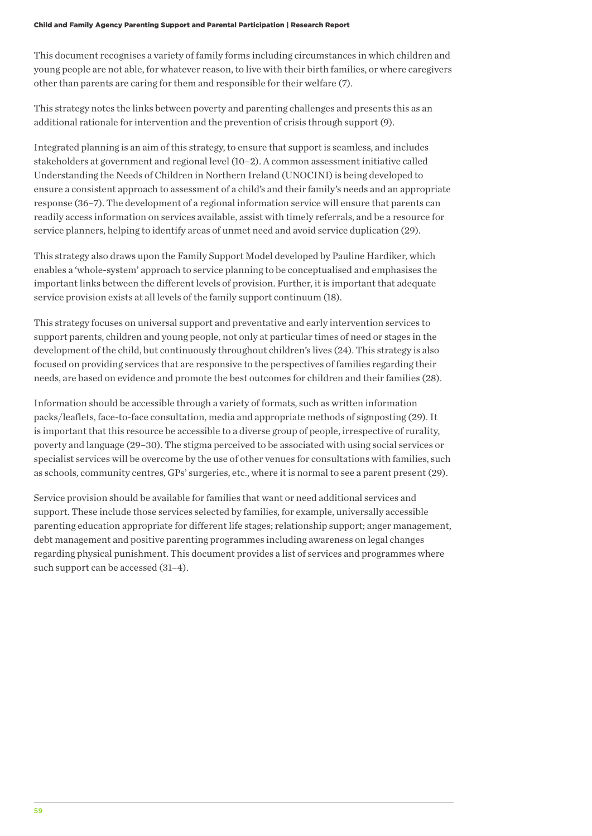This document recognises a variety of family forms including circumstances in which children and young people are not able, for whatever reason, to live with their birth families, or where caregivers other than parents are caring for them and responsible for their welfare (7).

This strategy notes the links between poverty and parenting challenges and presents this as an additional rationale for intervention and the prevention of crisis through support (9).

Integrated planning is an aim of this strategy, to ensure that support is seamless, and includes stakeholders at government and regional level (10–2). A common assessment initiative called Understanding the Needs of Children in Northern Ireland (UNOCINI) is being developed to ensure a consistent approach to assessment of a child's and their family's needs and an appropriate response (36–7). The development of a regional information service will ensure that parents can readily access information on services available, assist with timely referrals, and be a resource for service planners, helping to identify areas of unmet need and avoid service duplication (29).

This strategy also draws upon the Family Support Model developed by Pauline Hardiker, which enables a 'whole-system' approach to service planning to be conceptualised and emphasises the important links between the different levels of provision. Further, it is important that adequate service provision exists at all levels of the family support continuum (18).

This strategy focuses on universal support and preventative and early intervention services to support parents, children and young people, not only at particular times of need or stages in the development of the child, but continuously throughout children's lives (24). This strategy is also focused on providing services that are responsive to the perspectives of families regarding their needs, are based on evidence and promote the best outcomes for children and their families (28).

Information should be accessible through a variety of formats, such as written information packs/leaflets, face-to-face consultation, media and appropriate methods of signposting (29). It is important that this resource be accessible to a diverse group of people, irrespective of rurality, poverty and language (29–30). The stigma perceived to be associated with using social services or specialist services will be overcome by the use of other venues for consultations with families, such as schools, community centres, GPs' surgeries, etc., where it is normal to see a parent present (29).

Service provision should be available for families that want or need additional services and support. These include those services selected by families, for example, universally accessible parenting education appropriate for different life stages; relationship support; anger management, debt management and positive parenting programmes including awareness on legal changes regarding physical punishment. This document provides a list of services and programmes where such support can be accessed (31–4).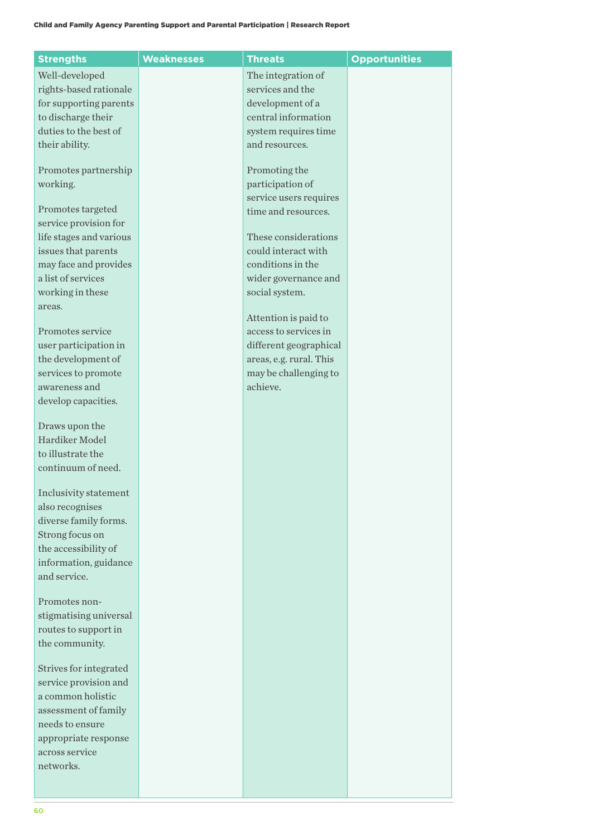| <b>Strengths</b>        | <b>Weaknesses</b> | <b>Threats</b>          | <b>Opportunities</b> |
|-------------------------|-------------------|-------------------------|----------------------|
| Well-developed          |                   | The integration of      |                      |
| rights-based rationale  |                   | services and the        |                      |
| for supporting parents  |                   | development of a        |                      |
| to discharge their      |                   | central information     |                      |
| duties to the best of   |                   | system requires time    |                      |
| their ability.          |                   | and resources.          |                      |
|                         |                   |                         |                      |
| Promotes partnership    |                   | Promoting the           |                      |
| working.                |                   | participation of        |                      |
|                         |                   | service users requires  |                      |
| Promotes targeted       |                   | time and resources.     |                      |
| service provision for   |                   |                         |                      |
| life stages and various |                   | These considerations    |                      |
| issues that parents     |                   | could interact with     |                      |
| may face and provides   |                   | conditions in the       |                      |
| a list of services      |                   | wider governance and    |                      |
| working in these        |                   | social system.          |                      |
| areas.                  |                   |                         |                      |
|                         |                   | Attention is paid to    |                      |
| Promotes service        |                   | access to services in   |                      |
| user participation in   |                   | different geographical  |                      |
| the development of      |                   | areas, e.g. rural. This |                      |
| services to promote     |                   | may be challenging to   |                      |
| awareness and           |                   | achieve.                |                      |
| develop capacities.     |                   |                         |                      |
| Draws upon the          |                   |                         |                      |
| Hardiker Model          |                   |                         |                      |
| to illustrate the       |                   |                         |                      |
| continuum of need.      |                   |                         |                      |
|                         |                   |                         |                      |
| Inclusivity statement   |                   |                         |                      |
| also recognises         |                   |                         |                      |
| diverse family forms.   |                   |                         |                      |
| Strong focus on         |                   |                         |                      |
| the accessibility of    |                   |                         |                      |
| information, guidance   |                   |                         |                      |
| and service.            |                   |                         |                      |
| Promotes non-           |                   |                         |                      |
| stigmatising universal  |                   |                         |                      |
| routes to support in    |                   |                         |                      |
| the community.          |                   |                         |                      |
|                         |                   |                         |                      |
| Strives for integrated  |                   |                         |                      |
| service provision and   |                   |                         |                      |
| a common holistic       |                   |                         |                      |
| assessment of family    |                   |                         |                      |
| needs to ensure         |                   |                         |                      |
| appropriate response    |                   |                         |                      |
| across service          |                   |                         |                      |
| networks.               |                   |                         |                      |
|                         |                   |                         |                      |
|                         |                   |                         |                      |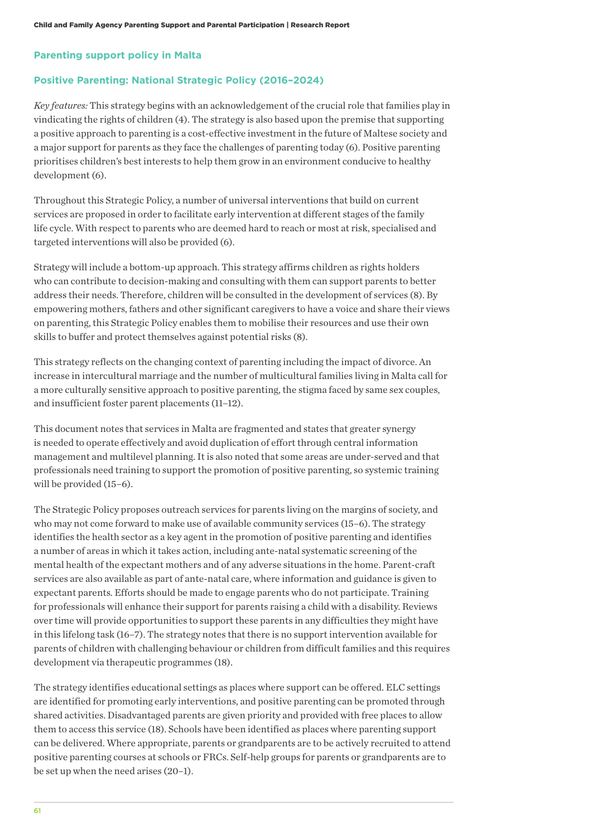### **Parenting support policy in Malta**

#### **Positive Parenting: National Strategic Policy (2016–2024)**

*Key features:* This strategy begins with an acknowledgement of the crucial role that families play in vindicating the rights of children (4). The strategy is also based upon the premise that supporting a positive approach to parenting is a cost-effective investment in the future of Maltese society and a major support for parents as they face the challenges of parenting today (6). Positive parenting prioritises children's best interests to help them grow in an environment conducive to healthy development (6).

Throughout this Strategic Policy, a number of universal interventions that build on current services are proposed in order to facilitate early intervention at different stages of the family life cycle. With respect to parents who are deemed hard to reach or most at risk, specialised and targeted interventions will also be provided (6).

Strategy will include a bottom-up approach. This strategy affirms children as rights holders who can contribute to decision-making and consulting with them can support parents to better address their needs. Therefore, children will be consulted in the development of services (8). By empowering mothers, fathers and other significant caregivers to have a voice and share their views on parenting, this Strategic Policy enables them to mobilise their resources and use their own skills to buffer and protect themselves against potential risks (8).

This strategy reflects on the changing context of parenting including the impact of divorce. An increase in intercultural marriage and the number of multicultural families living in Malta call for a more culturally sensitive approach to positive parenting, the stigma faced by same sex couples, and insufficient foster parent placements (11–12).

This document notes that services in Malta are fragmented and states that greater synergy is needed to operate effectively and avoid duplication of effort through central information management and multilevel planning. It is also noted that some areas are under-served and that professionals need training to support the promotion of positive parenting, so systemic training will be provided (15–6).

The Strategic Policy proposes outreach services for parents living on the margins of society, and who may not come forward to make use of available community services (15–6). The strategy identifies the health sector as a key agent in the promotion of positive parenting and identifies a number of areas in which it takes action, including ante-natal systematic screening of the mental health of the expectant mothers and of any adverse situations in the home. Parent-craft services are also available as part of ante-natal care, where information and guidance is given to expectant parents. Efforts should be made to engage parents who do not participate. Training for professionals will enhance their support for parents raising a child with a disability. Reviews over time will provide opportunities to support these parents in any difficulties they might have in this lifelong task (16–7). The strategy notes that there is no support intervention available for parents of children with challenging behaviour or children from difficult families and this requires development via therapeutic programmes (18).

The strategy identifies educational settings as places where support can be offered. ELC settings are identified for promoting early interventions, and positive parenting can be promoted through shared activities. Disadvantaged parents are given priority and provided with free places to allow them to access this service (18). Schools have been identified as places where parenting support can be delivered. Where appropriate, parents or grandparents are to be actively recruited to attend positive parenting courses at schools or FRCs. Self-help groups for parents or grandparents are to be set up when the need arises (20–1).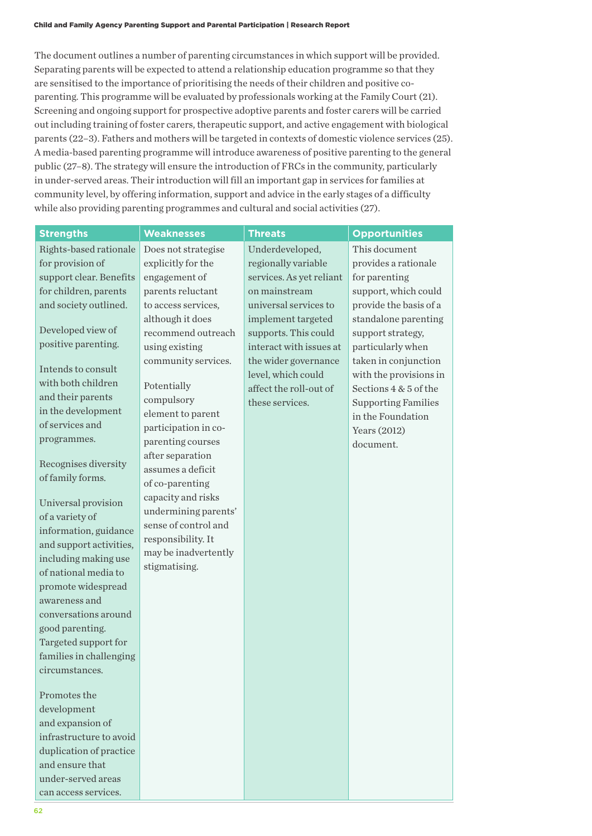The document outlines a number of parenting circumstances in which support will be provided. Separating parents will be expected to attend a relationship education programme so that they are sensitised to the importance of prioritising the needs of their children and positive coparenting. This programme will be evaluated by professionals working at the Family Court (21). Screening and ongoing support for prospective adoptive parents and foster carers will be carried out including training of foster carers, therapeutic support, and active engagement with biological parents (22–3). Fathers and mothers will be targeted in contexts of domestic violence services (25). A media-based parenting programme will introduce awareness of positive parenting to the general public (27–8). The strategy will ensure the introduction of FRCs in the community, particularly in under-served areas. Their introduction will fill an important gap in services for families at community level, by offering information, support and advice in the early stages of a difficulty while also providing parenting programmes and cultural and social activities (27).

| <b>Strengths</b>                                                                                                                                                                                                                                                                                                                                                                                                                                                                                                                                                                                                                              | <b>Weaknesses</b>                                                                                                                                                                                                                                                                                                                                                                                                                                                                         | <b>Threats</b>                                                                                                                                                                                                                                                                   | <b>Opportunities</b>                                                                                                                                                                                                                                                                                                                  |
|-----------------------------------------------------------------------------------------------------------------------------------------------------------------------------------------------------------------------------------------------------------------------------------------------------------------------------------------------------------------------------------------------------------------------------------------------------------------------------------------------------------------------------------------------------------------------------------------------------------------------------------------------|-------------------------------------------------------------------------------------------------------------------------------------------------------------------------------------------------------------------------------------------------------------------------------------------------------------------------------------------------------------------------------------------------------------------------------------------------------------------------------------------|----------------------------------------------------------------------------------------------------------------------------------------------------------------------------------------------------------------------------------------------------------------------------------|---------------------------------------------------------------------------------------------------------------------------------------------------------------------------------------------------------------------------------------------------------------------------------------------------------------------------------------|
| Rights-based rationale<br>for provision of<br>support clear. Benefits<br>for children, parents<br>and society outlined.<br>Developed view of<br>positive parenting.<br>Intends to consult<br>with both children<br>and their parents<br>in the development<br>of services and<br>programmes.<br>Recognises diversity<br>of family forms.<br>Universal provision<br>of a variety of<br>information, guidance<br>and support activities,<br>including making use<br>of national media to<br>promote widespread<br>awareness and<br>conversations around<br>good parenting.<br>Targeted support for<br>families in challenging<br>circumstances. | Does not strategise<br>explicitly for the<br>engagement of<br>parents reluctant<br>to access services,<br>although it does<br>recommend outreach<br>using existing<br>community services.<br>Potentially<br>compulsory<br>element to parent<br>participation in co-<br>parenting courses<br>after separation<br>assumes a deficit<br>of co-parenting<br>capacity and risks<br>undermining parents'<br>sense of control and<br>responsibility. It<br>may be inadvertently<br>stigmatising. | Underdeveloped,<br>regionally variable<br>services. As yet reliant<br>on mainstream<br>universal services to<br>implement targeted<br>supports. This could<br>interact with issues at<br>the wider governance<br>level, which could<br>affect the roll-out of<br>these services. | This document<br>provides a rationale<br>for parenting<br>support, which could<br>provide the basis of a<br>standalone parenting<br>support strategy,<br>particularly when<br>taken in conjunction<br>with the provisions in<br>Sections 4 & 5 of the<br><b>Supporting Families</b><br>in the Foundation<br>Years (2012)<br>document. |
|                                                                                                                                                                                                                                                                                                                                                                                                                                                                                                                                                                                                                                               |                                                                                                                                                                                                                                                                                                                                                                                                                                                                                           |                                                                                                                                                                                                                                                                                  |                                                                                                                                                                                                                                                                                                                                       |
| Promotes the<br>development<br>and expansion of<br>infrastructure to avoid<br>duplication of practice<br>and ensure that<br>under-served areas<br>can access services.                                                                                                                                                                                                                                                                                                                                                                                                                                                                        |                                                                                                                                                                                                                                                                                                                                                                                                                                                                                           |                                                                                                                                                                                                                                                                                  |                                                                                                                                                                                                                                                                                                                                       |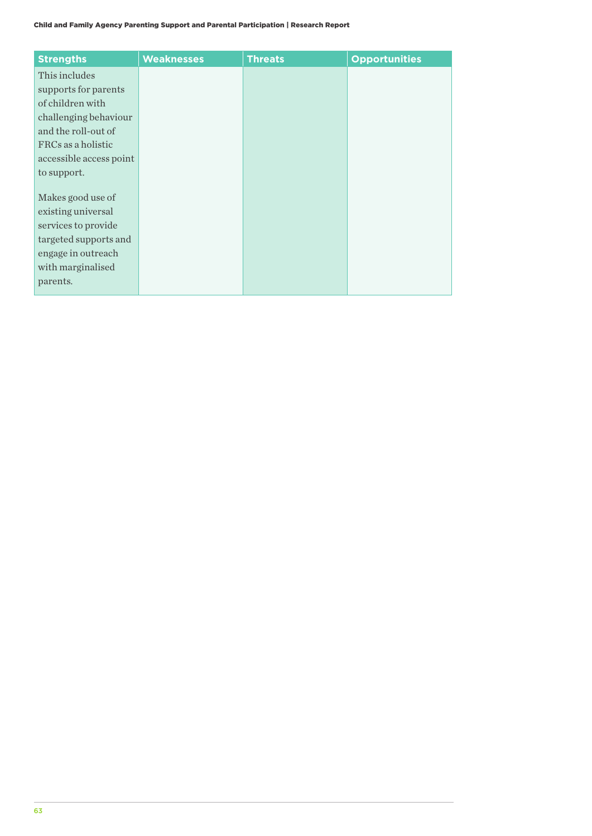| <b>Strengths</b>        | <b>Weaknesses</b> | <b>Threats</b> | <b>Opportunities</b> |
|-------------------------|-------------------|----------------|----------------------|
| This includes           |                   |                |                      |
| supports for parents    |                   |                |                      |
| of children with        |                   |                |                      |
| challenging behaviour   |                   |                |                      |
| and the roll-out of     |                   |                |                      |
| FRCs as a holistic      |                   |                |                      |
| accessible access point |                   |                |                      |
| to support.             |                   |                |                      |
|                         |                   |                |                      |
| Makes good use of       |                   |                |                      |
| existing universal      |                   |                |                      |
| services to provide     |                   |                |                      |
| targeted supports and   |                   |                |                      |
| engage in outreach      |                   |                |                      |
| with marginalised       |                   |                |                      |
| parents.                |                   |                |                      |
|                         |                   |                |                      |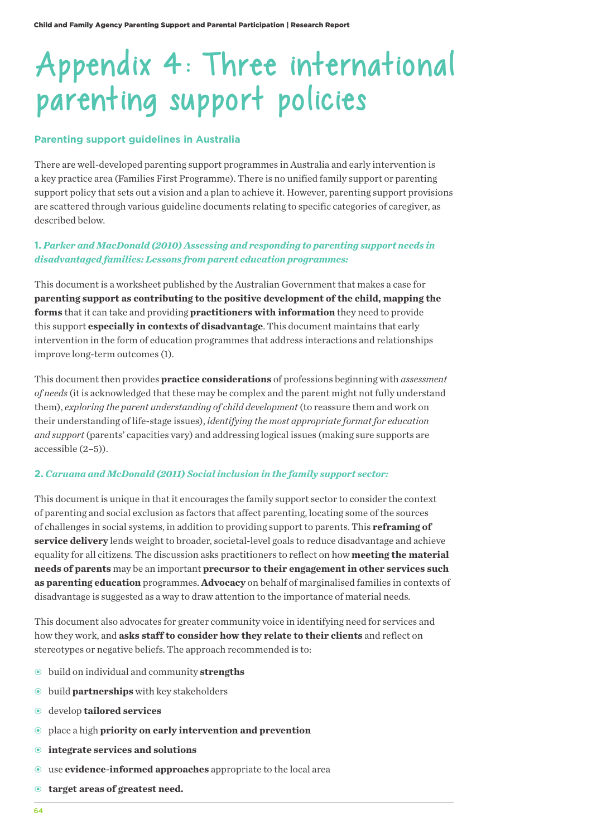# Appendix 4: Three international parenting support policies

#### **Parenting support guidelines in Australia**

There are well-developed parenting support programmes in Australia and early intervention is a key practice area (Families First Programme). There is no unified family support or parenting support policy that sets out a vision and a plan to achieve it. However, parenting support provisions are scattered through various guideline documents relating to specific categories of caregiver, as described below.

# **1.** *Parker and MacDonald (2010) Assessing and responding to parenting support needs in disadvantaged families: Lessons from parent education programmes:*

This document is a worksheet published by the Australian Government that makes a case for **parenting support as contributing to the positive development of the child, mapping the forms** that it can take and providing **practitioners with information** they need to provide this support **especially in contexts of disadvantage**. This document maintains that early intervention in the form of education programmes that address interactions and relationships improve long-term outcomes (1).

This document then provides **practice considerations** of professions beginning with *assessment of needs* (it is acknowledged that these may be complex and the parent might not fully understand them), *exploring the parent understanding of child development* (to reassure them and work on their understanding of life-stage issues), *identifying the most appropriate format for education and support* (parents' capacities vary) and addressing logical issues (making sure supports are accessible (2–5)).

### **2.** *Caruana and McDonald (2011) Social inclusion in the family support sector:*

This document is unique in that it encourages the family support sector to consider the context of parenting and social exclusion as factors that affect parenting, locating some of the sources of challenges in social systems, in addition to providing support to parents. This **reframing of service delivery** lends weight to broader, societal-level goals to reduce disadvantage and achieve equality for all citizens. The discussion asks practitioners to reflect on how **meeting the material needs of parents** may be an important **precursor to their engagement in other services such as parenting education** programmes. **Advocacy** on behalf of marginalised families in contexts of disadvantage is suggested as a way to draw attention to the importance of material needs.

This document also advocates for greater community voice in identifying need for services and how they work, and **asks staff to consider how they relate to their clients** and reflect on stereotypes or negative beliefs. The approach recommended is to:

- build on individual and community **strengths**
- build **partnerships** with key stakeholders
- develop **tailored services**
- place a high **priority on early intervention and prevention**
- **integrate services and solutions**
- use **evidence-informed approaches** appropriate to the local area
- **target areas of greatest need.**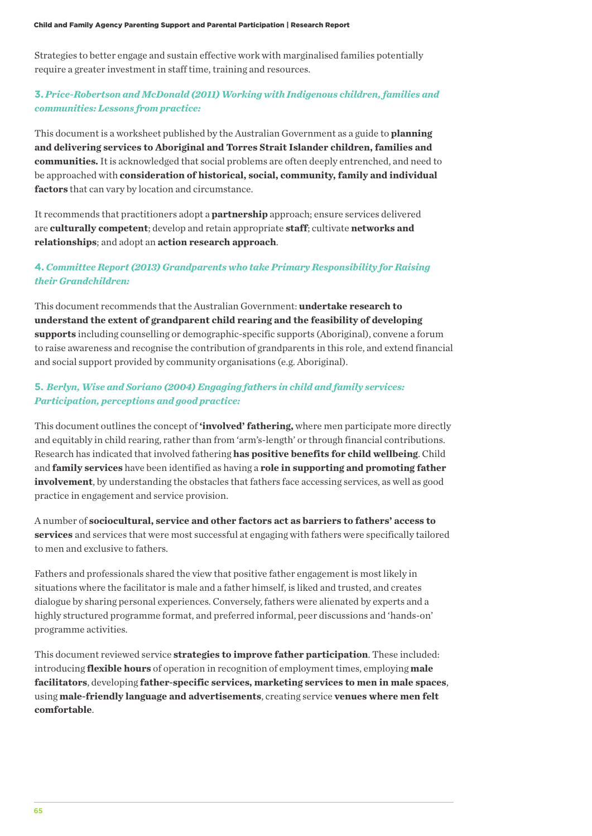Strategies to better engage and sustain effective work with marginalised families potentially require a greater investment in staff time, training and resources.

# **3.** *Price-Robertson and McDonald (2011) Working with Indigenous children, families and communities: Lessons from practice:*

This document is a worksheet published by the Australian Government as a guide to **planning and delivering services to Aboriginal and Torres Strait Islander children, families and communities.** It is acknowledged that social problems are often deeply entrenched, and need to be approached with **consideration of historical, social, community, family and individual factors** that can vary by location and circumstance.

It recommends that practitioners adopt a **partnership** approach; ensure services delivered are **culturally competent**; develop and retain appropriate **staff**; cultivate **networks and relationships**; and adopt an **action research approach**.

# **4.** *Committee Report (2013) Grandparents who take Primary Responsibility for Raising their Grandchildren:*

This document recommends that the Australian Government: **undertake research to understand the extent of grandparent child rearing and the feasibility of developing supports** including counselling or demographic-specific supports (Aboriginal), convene a forum to raise awareness and recognise the contribution of grandparents in this role, and extend financial and social support provided by community organisations (e.g. Aboriginal).

# **5.** *Berlyn, Wise and Soriano (2004) Engaging fathers in child and family services: Participation, perceptions and good practice:*

This document outlines the concept of **'involved' fathering,** where men participate more directly and equitably in child rearing, rather than from 'arm's-length' or through financial contributions. Research has indicated that involved fathering **has positive benefits for child wellbeing**. Child and **family services** have been identified as having a **role in supporting and promoting father involvement**, by understanding the obstacles that fathers face accessing services, as well as good practice in engagement and service provision.

A number of **sociocultural, service and other factors act as barriers to fathers' access to services** and services that were most successful at engaging with fathers were specifically tailored to men and exclusive to fathers.

Fathers and professionals shared the view that positive father engagement is most likely in situations where the facilitator is male and a father himself, is liked and trusted, and creates dialogue by sharing personal experiences. Conversely, fathers were alienated by experts and a highly structured programme format, and preferred informal, peer discussions and 'hands-on' programme activities.

This document reviewed service **strategies to improve father participation**. These included: introducing **flexible hours** of operation in recognition of employment times, employing **male facilitators**, developing **father-specific services, marketing services to men in male spaces**, using **male-friendly language and advertisements**, creating service **venues where men felt comfortable**.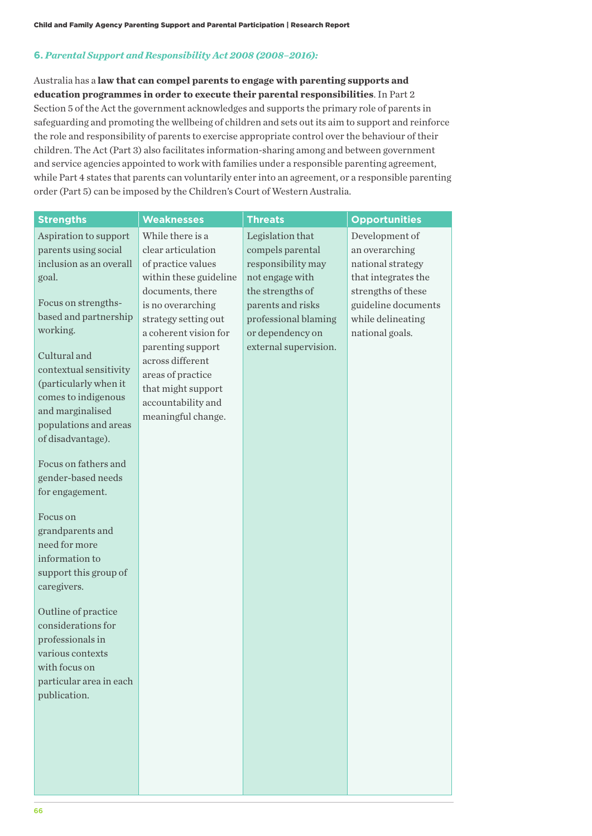## **6.** *Parental Support and Responsibility Act 2008 (2008–2016):*

Australia has a **law that can compel parents to engage with parenting supports and education programmes in order to execute their parental responsibilities**. In Part 2 Section 5 of the Act the government acknowledges and supports the primary role of parents in safeguarding and promoting the wellbeing of children and sets out its aim to support and reinforce the role and responsibility of parents to exercise appropriate control over the behaviour of their children. The Act (Part 3) also facilitates information-sharing among and between government and service agencies appointed to work with families under a responsible parenting agreement, while Part 4 states that parents can voluntarily enter into an agreement, or a responsible parenting order (Part 5) can be imposed by the Children's Court of Western Australia.

| <b>Strengths</b>                  | <b>Weaknesses</b>                        | <b>Threats</b>        | <b>Opportunities</b> |
|-----------------------------------|------------------------------------------|-----------------------|----------------------|
| Aspiration to support             | While there is a                         | Legislation that      | Development of       |
| parents using social              | clear articulation                       | compels parental      | an overarching       |
| inclusion as an overall           | of practice values                       | responsibility may    | national strategy    |
| goal.                             | within these guideline                   | not engage with       | that integrates the  |
|                                   | documents, there                         | the strengths of      | strengths of these   |
| Focus on strengths-               | is no overarching                        | parents and risks     | guideline documents  |
| based and partnership             | strategy setting out                     | professional blaming  | while delineating    |
| working.                          | a coherent vision for                    | or dependency on      | national goals.      |
| Cultural and                      | parenting support                        | external supervision. |                      |
| contextual sensitivity            | across different                         |                       |                      |
| (particularly when it             | areas of practice                        |                       |                      |
| comes to indigenous               | that might support                       |                       |                      |
| and marginalised                  | accountability and<br>meaningful change. |                       |                      |
| populations and areas             |                                          |                       |                      |
| of disadvantage).                 |                                          |                       |                      |
|                                   |                                          |                       |                      |
| Focus on fathers and              |                                          |                       |                      |
| gender-based needs                |                                          |                       |                      |
| for engagement.                   |                                          |                       |                      |
| Focus on                          |                                          |                       |                      |
| grandparents and                  |                                          |                       |                      |
| need for more                     |                                          |                       |                      |
| information to                    |                                          |                       |                      |
| support this group of             |                                          |                       |                      |
| caregivers.                       |                                          |                       |                      |
|                                   |                                          |                       |                      |
| Outline of practice               |                                          |                       |                      |
| considerations for                |                                          |                       |                      |
| professionals in                  |                                          |                       |                      |
| various contexts<br>with focus on |                                          |                       |                      |
| particular area in each           |                                          |                       |                      |
| publication.                      |                                          |                       |                      |
|                                   |                                          |                       |                      |
|                                   |                                          |                       |                      |
|                                   |                                          |                       |                      |
|                                   |                                          |                       |                      |
|                                   |                                          |                       |                      |
|                                   |                                          |                       |                      |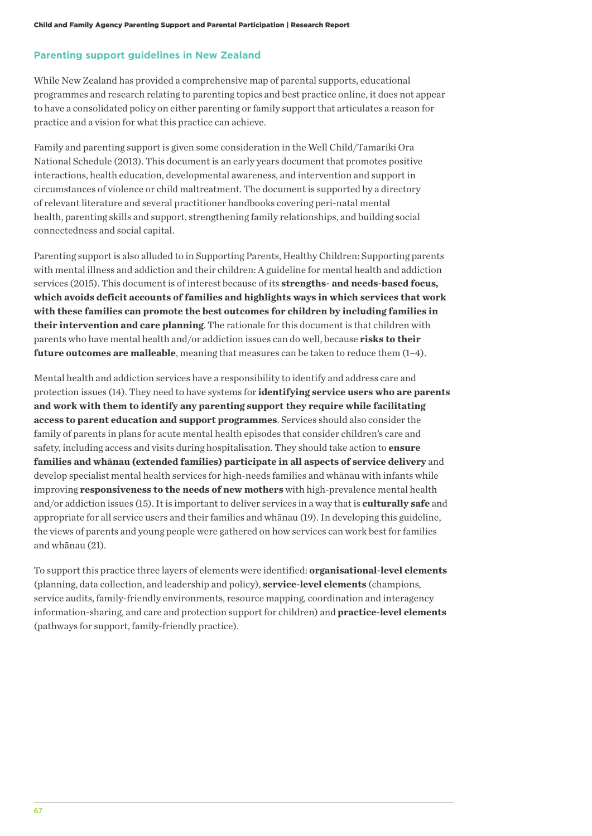## **Parenting support guidelines in New Zealand**

While New Zealand has provided a comprehensive map of parental supports, educational programmes and research relating to parenting topics and best practice online, it does not appear to have a consolidated policy on either parenting or family support that articulates a reason for practice and a vision for what this practice can achieve.

Family and parenting support is given some consideration in the Well Child/Tamariki Ora National Schedule (2013). This document is an early years document that promotes positive interactions, health education, developmental awareness, and intervention and support in circumstances of violence or child maltreatment. The document is supported by a directory of relevant literature and several practitioner handbooks covering peri-natal mental health, parenting skills and support, strengthening family relationships, and building social connectedness and social capital.

Parenting support is also alluded to in Supporting Parents, Healthy Children: Supporting parents with mental illness and addiction and their children: A guideline for mental health and addiction services (2015). This document is of interest because of its **strengths- and needs-based focus, which avoids deficit accounts of families and highlights ways in which services that work with these families can promote the best outcomes for children by including families in their intervention and care planning**. The rationale for this document is that children with parents who have mental health and/or addiction issues can do well, because **risks to their future outcomes are malleable**, meaning that measures can be taken to reduce them  $(1-4)$ .

Mental health and addiction services have a responsibility to identify and address care and protection issues (14). They need to have systems for **identifying service users who are parents and work with them to identify any parenting support they require while facilitating access to parent education and support programmes**. Services should also consider the family of parents in plans for acute mental health episodes that consider children's care and safety, including access and visits during hospitalisation. They should take action to **ensure families and whānau (extended families) participate in all aspects of service delivery** and develop specialist mental health services for high-needs families and whānau with infants while improving **responsiveness to the needs of new mothers** with high-prevalence mental health and/or addiction issues (15). It is important to deliver services in a way that is **culturally safe** and appropriate for all service users and their families and whānau (19). In developing this guideline, the views of parents and young people were gathered on how services can work best for families and whānau (21).

To support this practice three layers of elements were identified: **organisational-level elements** (planning, data collection, and leadership and policy), **service-level elements** (champions, service audits, family-friendly environments, resource mapping, coordination and interagency information-sharing, and care and protection support for children) and **practice-level elements** (pathways for support, family-friendly practice).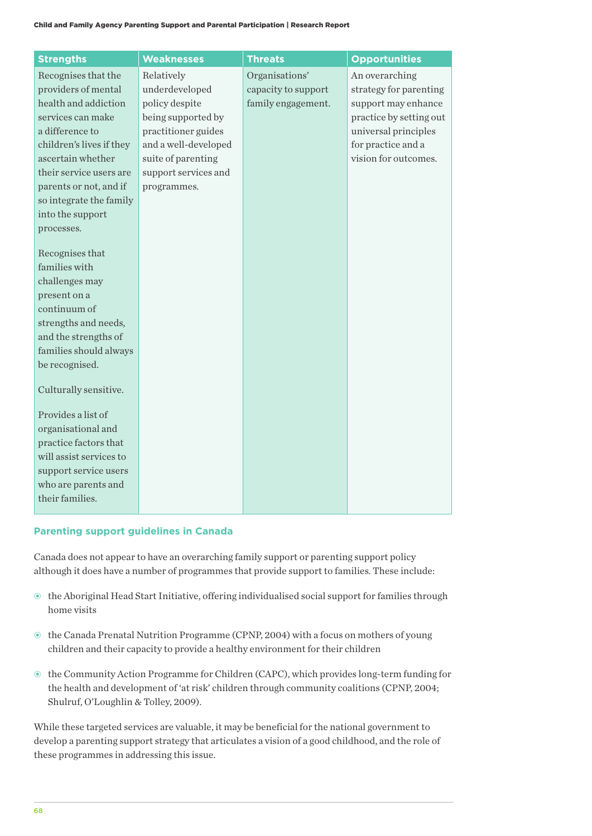| <b>Strengths</b>                            | <b>Weaknesses</b>    | <b>Threats</b>      | <b>Opportunities</b>    |
|---------------------------------------------|----------------------|---------------------|-------------------------|
| Recognises that the                         | Relatively           | Organisations'      | An overarching          |
| providers of mental                         | underdeveloped       | capacity to support | strategy for parenting  |
| health and addiction                        | policy despite       | family engagement.  | support may enhance     |
| services can make                           | being supported by   |                     | practice by setting out |
| a difference to                             | practitioner guides  |                     | universal principles    |
| children's lives if they                    | and a well-developed |                     | for practice and a      |
| ascertain whether                           | suite of parenting   |                     | vision for outcomes.    |
| their service users are                     | support services and |                     |                         |
| parents or not, and if                      | programmes.          |                     |                         |
| so integrate the family                     |                      |                     |                         |
| into the support                            |                      |                     |                         |
| processes.                                  |                      |                     |                         |
|                                             |                      |                     |                         |
| Recognises that<br>families with            |                      |                     |                         |
| challenges may                              |                      |                     |                         |
| present on a                                |                      |                     |                         |
| continuum of                                |                      |                     |                         |
| strengths and needs,                        |                      |                     |                         |
| and the strengths of                        |                      |                     |                         |
| families should always                      |                      |                     |                         |
| be recognised.                              |                      |                     |                         |
|                                             |                      |                     |                         |
| Culturally sensitive.                       |                      |                     |                         |
|                                             |                      |                     |                         |
| Provides a list of                          |                      |                     |                         |
| organisational and<br>practice factors that |                      |                     |                         |
| will assist services to                     |                      |                     |                         |
| support service users                       |                      |                     |                         |
| who are parents and                         |                      |                     |                         |
| their families.                             |                      |                     |                         |
|                                             |                      |                     |                         |

## **Parenting support guidelines in Canada**

Canada does not appear to have an overarching family support or parenting support policy although it does have a number of programmes that provide support to families. These include:

- the Aboriginal Head Start Initiative, offering individualised social support for families through home visits
- the Canada Prenatal Nutrition Programme (CPNP, 2004) with a focus on mothers of young children and their capacity to provide a healthy environment for their children
- the Community Action Programme for Children (CAPC), which provides long-term funding for the health and development of 'at risk' children through community coalitions (CPNP, 2004; Shulruf, O'Loughlin & Tolley, 2009).

While these targeted services are valuable, it may be beneficial for the national government to develop a parenting support strategy that articulates a vision of a good childhood, and the role of these programmes in addressing this issue.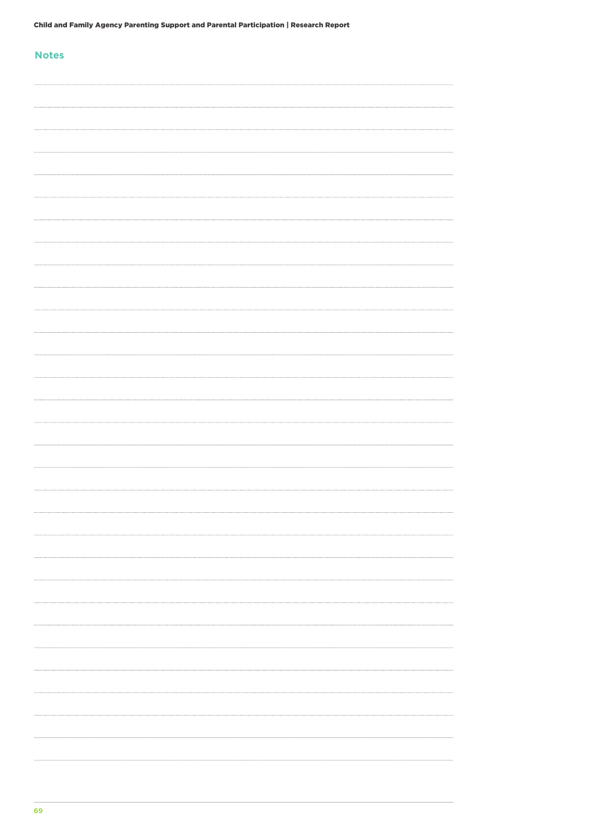## **Notes**

| . |
|---|
|   |
|   |
|   |
|   |
|   |
|   |
|   |
|   |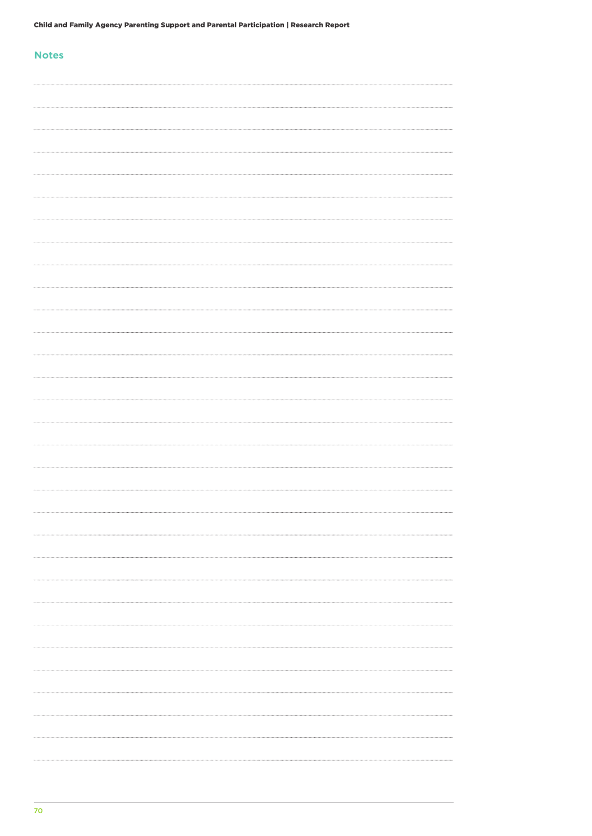| _____ | v<br>_<br>۰. | -- |  |
|-------|--------------|----|--|